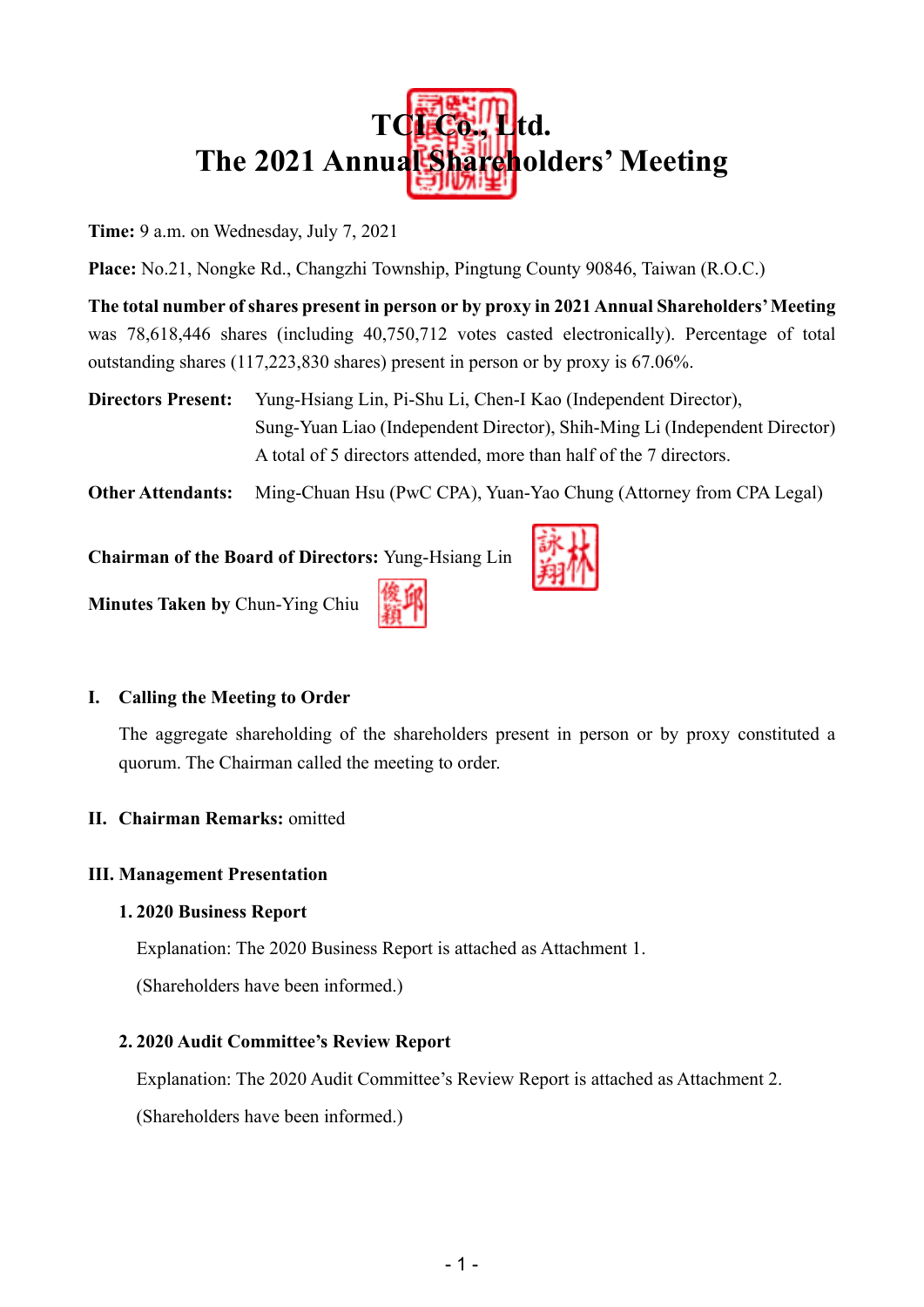

**Time:** 9 a.m. on Wednesday, July 7, 2021

**Place:** No.21, Nongke Rd., Changzhi Township, Pingtung County 90846, Taiwan (R.O.C.)

**The total number of shares present in person or by proxy in 2021 Annual Shareholders' Meeting** was 78,618,446 shares (including 40,750,712 votes casted electronically). Percentage of total outstanding shares (117,223,830 shares) present in person or by proxy is 67.06%.

**Directors Present:** Yung-Hsiang Lin, Pi-Shu Li, Chen-I Kao (Independent Director), Sung-Yuan Liao (Independent Director), Shih-Ming Li (Independent Director) A total of 5 directors attended, more than half of the 7 directors.

**Other Attendants:** Ming-Chuan Hsu (PwC CPA), Yuan-Yao Chung (Attorney from CPA Legal)

**Chairman of the Board of Directors:** Yung-Hsiang Lin



**Minutes Taken by** Chun-Ying Chiu

#### **I. Calling the Meeting to Order**

The aggregate shareholding of the shareholders present in person or by proxy constituted a quorum. The Chairman called the meeting to order.

**II. Chairman Remarks:** omitted

#### **III. Management Presentation**

#### **1. 2020 Business Report**

Explanation: The 2020 Business Report is attached as Attachment 1.

(Shareholders have been informed.)

#### **2. 2020 Audit Committee's Review Report**

Explanation: The 2020 Audit Committee's Review Report is attached as Attachment 2.

(Shareholders have been informed.)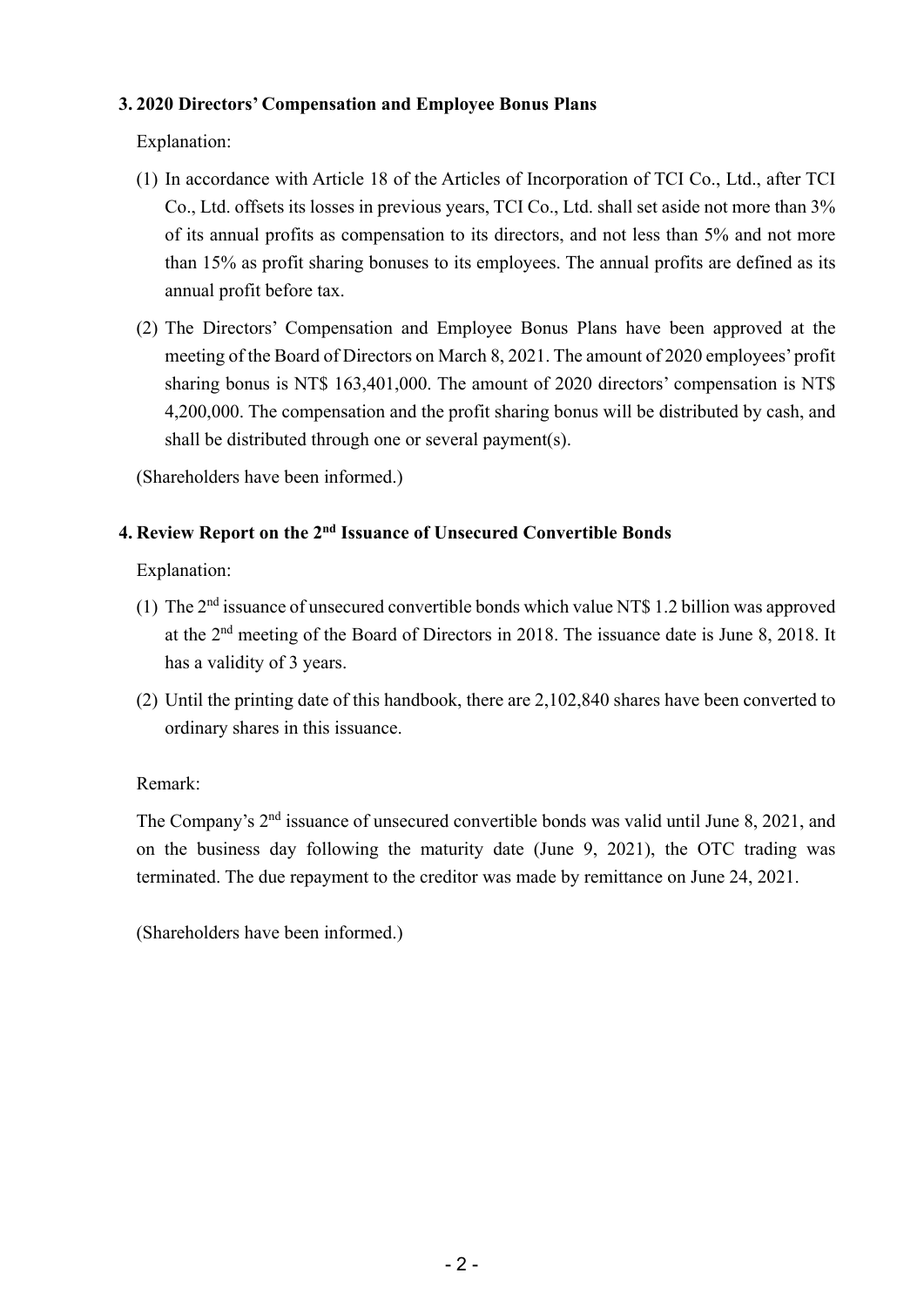#### **3. 2020 Directors' Compensation and Employee Bonus Plans**

#### Explanation:

- (1) In accordance with Article 18 of the Articles of Incorporation of TCI Co., Ltd., after TCI Co., Ltd. offsets its losses in previous years, TCI Co., Ltd. shall set aside not more than 3% of its annual profits as compensation to its directors, and not less than 5% and not more than 15% as profit sharing bonuses to its employees. The annual profits are defined as its annual profit before tax.
- (2) The Directors' Compensation and Employee Bonus Plans have been approved at the meeting of the Board of Directors on March 8, 2021. The amount of 2020 employees' profit sharing bonus is NT\$ 163,401,000. The amount of 2020 directors' compensation is NT\$ 4,200,000. The compensation and the profit sharing bonus will be distributed by cash, and shall be distributed through one or several payment(s).

(Shareholders have been informed.)

#### **4. Review Report on the 2nd Issuance of Unsecured Convertible Bonds**

Explanation:

- (1) The 2nd issuance of unsecured convertible bonds which value NT\$ 1.2 billion was approved at the 2nd meeting of the Board of Directors in 2018. The issuance date is June 8, 2018. It has a validity of 3 years.
- (2) Until the printing date of this handbook, there are 2,102,840 shares have been converted to ordinary shares in this issuance.

#### Remark:

The Company's  $2<sup>nd</sup>$  issuance of unsecured convertible bonds was valid until June 8, 2021, and on the business day following the maturity date (June 9, 2021), the OTC trading was terminated. The due repayment to the creditor was made by remittance on June 24, 2021.

(Shareholders have been informed.)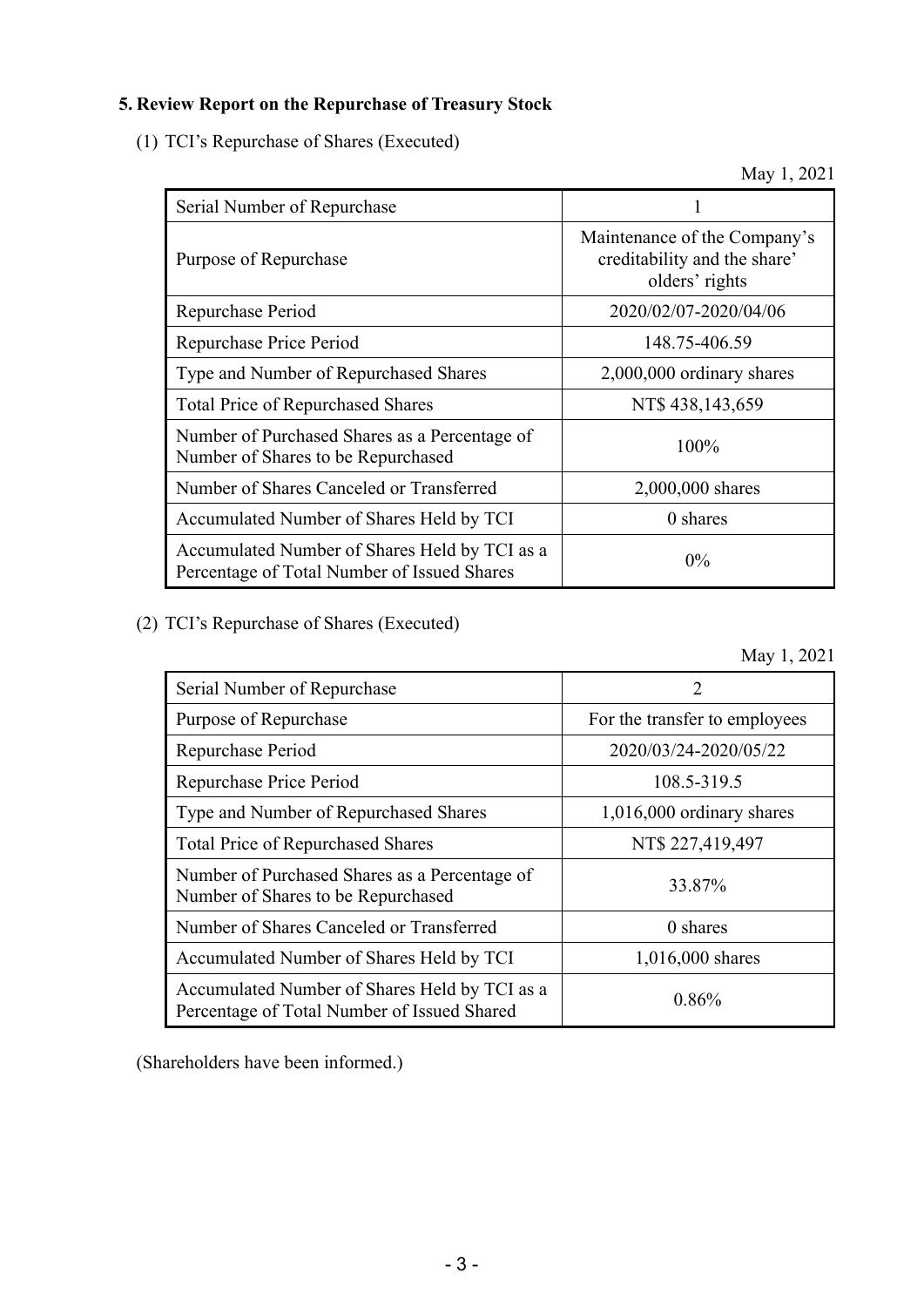#### **5. Review Report on the Repurchase of Treasury Stock**

(1) TCI's Repurchase of Shares (Executed)

May 1, 2021

| Serial Number of Repurchase                                                                  |                                                                                |
|----------------------------------------------------------------------------------------------|--------------------------------------------------------------------------------|
| Purpose of Repurchase                                                                        | Maintenance of the Company's<br>creditability and the share'<br>olders' rights |
| Repurchase Period                                                                            | 2020/02/07-2020/04/06                                                          |
| Repurchase Price Period                                                                      | 148.75-406.59                                                                  |
| Type and Number of Repurchased Shares                                                        | 2,000,000 ordinary shares                                                      |
| <b>Total Price of Repurchased Shares</b>                                                     | NT\$ 438,143,659                                                               |
| Number of Purchased Shares as a Percentage of<br>Number of Shares to be Repurchased          | 100%                                                                           |
| Number of Shares Canceled or Transferred                                                     | 2,000,000 shares                                                               |
| Accumulated Number of Shares Held by TCI                                                     | 0 shares                                                                       |
| Accumulated Number of Shares Held by TCI as a<br>Percentage of Total Number of Issued Shares | $0\%$                                                                          |

(2) TCI's Repurchase of Shares (Executed)

May 1, 2021

| Serial Number of Repurchase                                                                  |                               |
|----------------------------------------------------------------------------------------------|-------------------------------|
| Purpose of Repurchase                                                                        | For the transfer to employees |
| Repurchase Period                                                                            | 2020/03/24-2020/05/22         |
| Repurchase Price Period                                                                      | 108.5-319.5                   |
| Type and Number of Repurchased Shares                                                        | $1,016,000$ ordinary shares   |
| <b>Total Price of Repurchased Shares</b>                                                     | NT\$ 227,419,497              |
| Number of Purchased Shares as a Percentage of<br>Number of Shares to be Repurchased          | 33.87%                        |
| Number of Shares Canceled or Transferred                                                     | 0 shares                      |
| Accumulated Number of Shares Held by TCI                                                     | 1,016,000 shares              |
| Accumulated Number of Shares Held by TCI as a<br>Percentage of Total Number of Issued Shared | 0.86%                         |

(Shareholders have been informed.)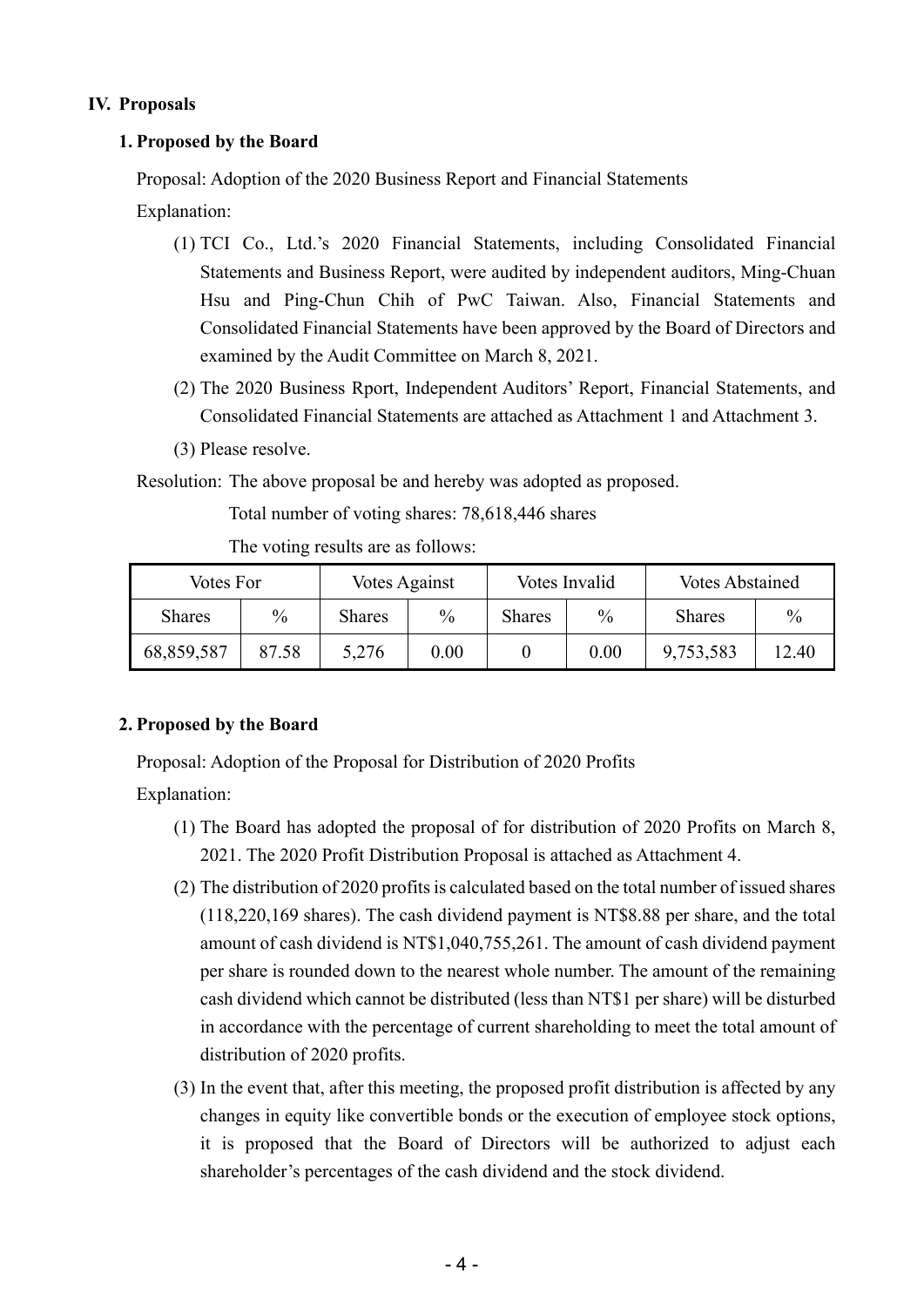#### **IV. Proposals**

#### **1. Proposed by the Board**

Proposal: Adoption of the 2020 Business Report and Financial Statements

Explanation:

- (1) TCI Co., Ltd.'s 2020 Financial Statements, including Consolidated Financial Statements and Business Report, were audited by independent auditors, Ming-Chuan Hsu and Ping-Chun Chih of PwC Taiwan. Also, Financial Statements and Consolidated Financial Statements have been approved by the Board of Directors and examined by the Audit Committee on March 8, 2021.
- (2) The 2020 Business Rport, Independent Auditors' Report, Financial Statements, and Consolidated Financial Statements are attached as Attachment 1 and Attachment 3.
- (3) Please resolve.

Resolution: The above proposal be and hereby was adopted as proposed.

Total number of voting shares: 78,618,446 shares

The voting results are as follows:

| Votes For     |       | Votes Against |      |               | Votes Invalid | <b>Votes Abstained</b> |               |
|---------------|-------|---------------|------|---------------|---------------|------------------------|---------------|
| <b>Shares</b> | $\%$  | <b>Shares</b> | $\%$ | <b>Shares</b> | $\%$          | <b>Shares</b>          | $\frac{0}{0}$ |
| 68,859,587    | 87.58 | 5,276         | 0.00 |               | 0.00          | 9,753,583              | 12.40         |

#### **2. Proposed by the Board**

Proposal: Adoption of the Proposal for Distribution of 2020 Profits

Explanation:

- (1) The Board has adopted the proposal of for distribution of 2020 Profits on March 8, 2021. The 2020 Profit Distribution Proposal is attached as Attachment 4.
- (2) The distribution of 2020 profits is calculated based on the total number of issued shares (118,220,169 shares). The cash dividend payment is NT\$8.88 per share, and the total amount of cash dividend is NT\$1,040,755,261. The amount of cash dividend payment per share is rounded down to the nearest whole number. The amount of the remaining cash dividend which cannot be distributed (less than NT\$1 per share) will be disturbed in accordance with the percentage of current shareholding to meet the total amount of distribution of 2020 profits.
- (3) In the event that, after this meeting, the proposed profit distribution is affected by any changes in equity like convertible bonds or the execution of employee stock options, it is proposed that the Board of Directors will be authorized to adjust each shareholder's percentages of the cash dividend and the stock dividend.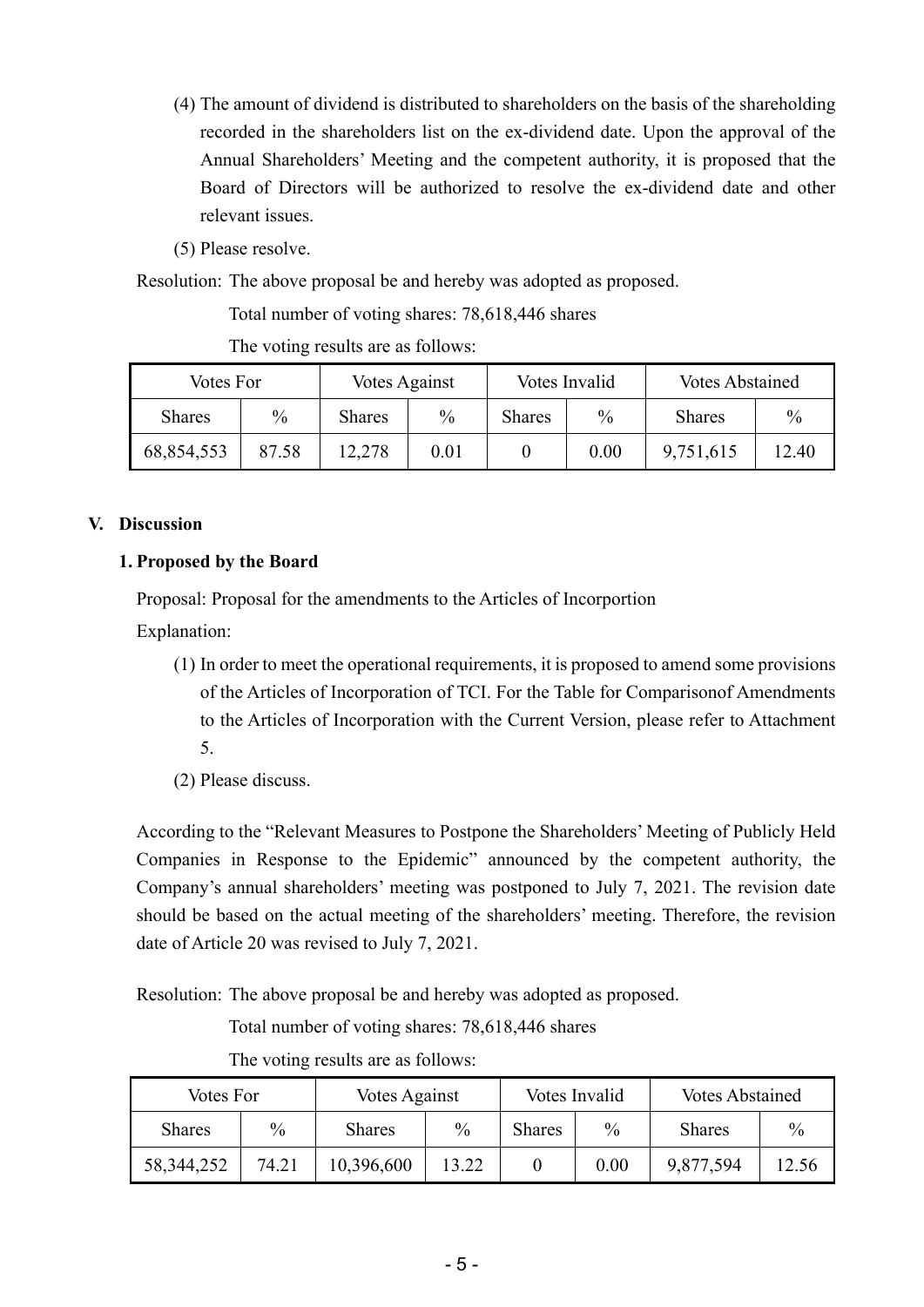- (4) The amount of dividend is distributed to shareholders on the basis of the shareholding recorded in the shareholders list on the ex-dividend date. Upon the approval of the Annual Shareholders' Meeting and the competent authority, it is proposed that the Board of Directors will be authorized to resolve the ex-dividend date and other relevant issues.
- (5) Please resolve.

Resolution: The above proposal be and hereby was adopted as proposed.

Total number of voting shares: 78,618,446 shares

The voting results are as follows:

| Votes For     |       | Votes Against |               |               | Votes Invalid | <b>Votes Abstained</b> |               |
|---------------|-------|---------------|---------------|---------------|---------------|------------------------|---------------|
| <b>Shares</b> | $\%$  | <b>Shares</b> | $\frac{0}{0}$ | <b>Shares</b> | $\%$          | <b>Shares</b>          | $\frac{0}{0}$ |
| 68,854,553    | 87.58 | 12,278        | 0.01          |               | 0.00          | 9,751,615              | 12.40         |

#### **V. Discussion**

#### **1. Proposed by the Board**

Proposal: Proposal for the amendments to the Articles of Incorportion

Explanation:

- (1) In order to meet the operational requirements, it is proposed to amend some provisions of the Articles of Incorporation of TCI. For the Table for Comparisonof Amendments to the Articles of Incorporation with the Current Version, please refer to Attachment 5.
- (2) Please discuss.

According to the "Relevant Measures to Postpone the Shareholders' Meeting of Publicly Held Companies in Response to the Epidemic" announced by the competent authority, the Company's annual shareholders' meeting was postponed to July 7, 2021. The revision date should be based on the actual meeting of the shareholders' meeting. Therefore, the revision date of Article 20 was revised to July 7, 2021.

Resolution: The above proposal be and hereby was adopted as proposed.

Total number of voting shares: 78,618,446 shares

| Votes For     |       | Votes Against |               |               | Votes Invalid | <b>Votes Abstained</b> |               |
|---------------|-------|---------------|---------------|---------------|---------------|------------------------|---------------|
| <b>Shares</b> | $\%$  | <b>Shares</b> | $\frac{0}{0}$ | <b>Shares</b> | $\frac{0}{0}$ | <b>Shares</b>          | $\frac{0}{0}$ |
| 58, 344, 252  | 74.21 | 10,396,600    | 13.22         |               | 0.00          | 9,877,594              | 12.56         |

The voting results are as follows: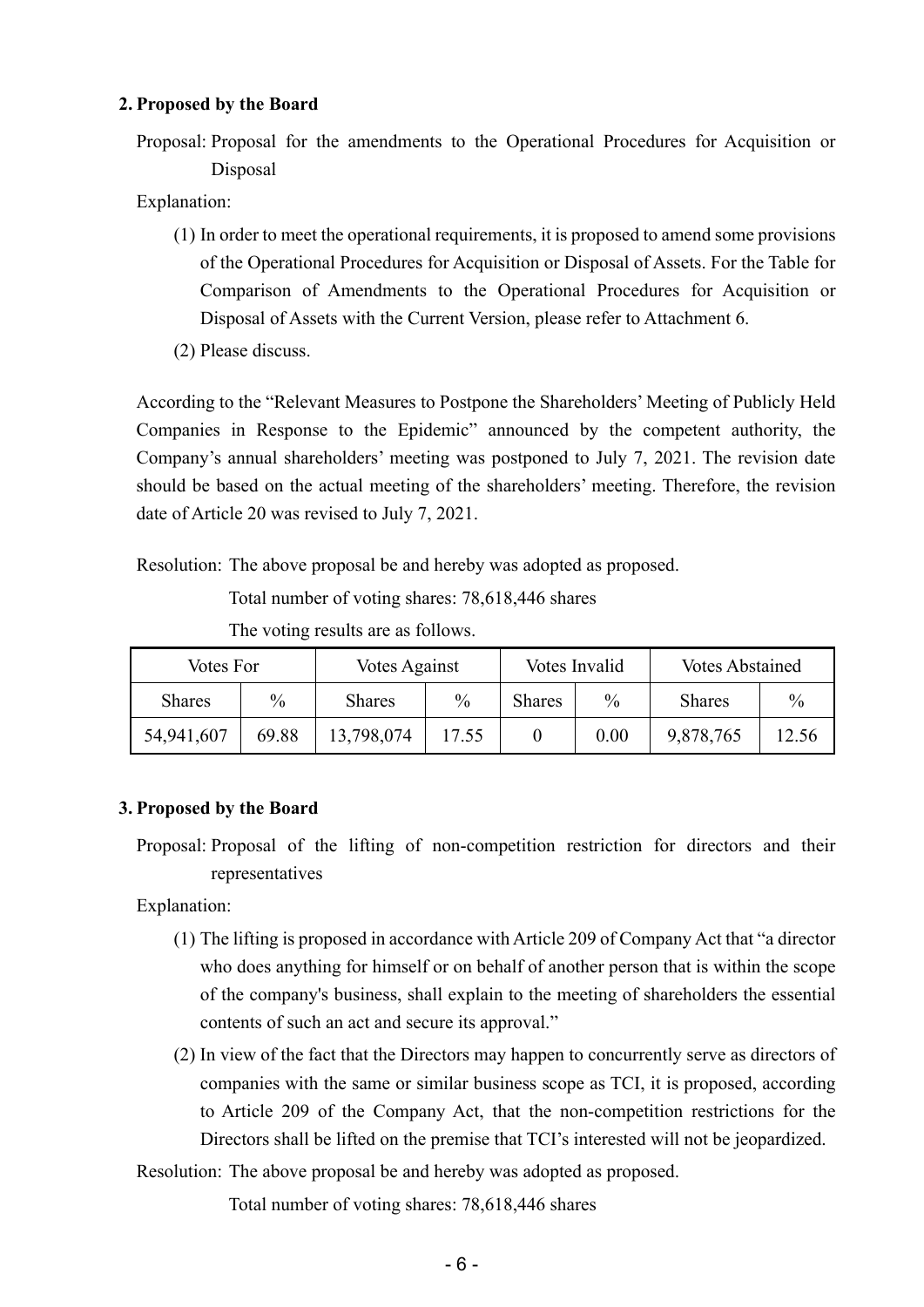#### **2. Proposed by the Board**

Proposal: Proposal for the amendments to the Operational Procedures for Acquisition or Disposal

Explanation:

- (1) In order to meet the operational requirements, it is proposed to amend some provisions of the Operational Procedures for Acquisition or Disposal of Assets. For the Table for Comparison of Amendments to the Operational Procedures for Acquisition or Disposal of Assets with the Current Version, please refer to Attachment 6.
- (2) Please discuss.

According to the "Relevant Measures to Postpone the Shareholders' Meeting of Publicly Held Companies in Response to the Epidemic" announced by the competent authority, the Company's annual shareholders' meeting was postponed to July 7, 2021. The revision date should be based on the actual meeting of the shareholders' meeting. Therefore, the revision date of Article 20 was revised to July 7, 2021.

Resolution: The above proposal be and hereby was adopted as proposed.

Total number of voting shares: 78,618,446 shares

The voting results are as follows.

| Votes For     |       | Votes Against |               |               | Votes Invalid | <b>Votes Abstained</b> |               |
|---------------|-------|---------------|---------------|---------------|---------------|------------------------|---------------|
| <b>Shares</b> | $\%$  | <b>Shares</b> | $\frac{0}{0}$ | <b>Shares</b> | $\%$          | <b>Shares</b>          | $\frac{0}{0}$ |
| 54,941,607    | 69.88 | 13,798,074    | 17.55         |               | 0.00          | 9,878,765              | 12.56         |

#### **3. Proposed by the Board**

Proposal: Proposal of the lifting of non-competition restriction for directors and their representatives

Explanation:

- (1) The lifting is proposed in accordance with Article 209 of Company Act that "a director who does anything for himself or on behalf of another person that is within the scope of the company's business, shall explain to the meeting of shareholders the essential contents of such an act and secure its approval."
- (2) In view of the fact that the Directors may happen to concurrently serve as directors of companies with the same or similar business scope as TCI, it is proposed, according to Article 209 of the Company Act, that the non-competition restrictions for the Directors shall be lifted on the premise that TCI's interested will not be jeopardized.

Resolution: The above proposal be and hereby was adopted as proposed.

Total number of voting shares: 78,618,446 shares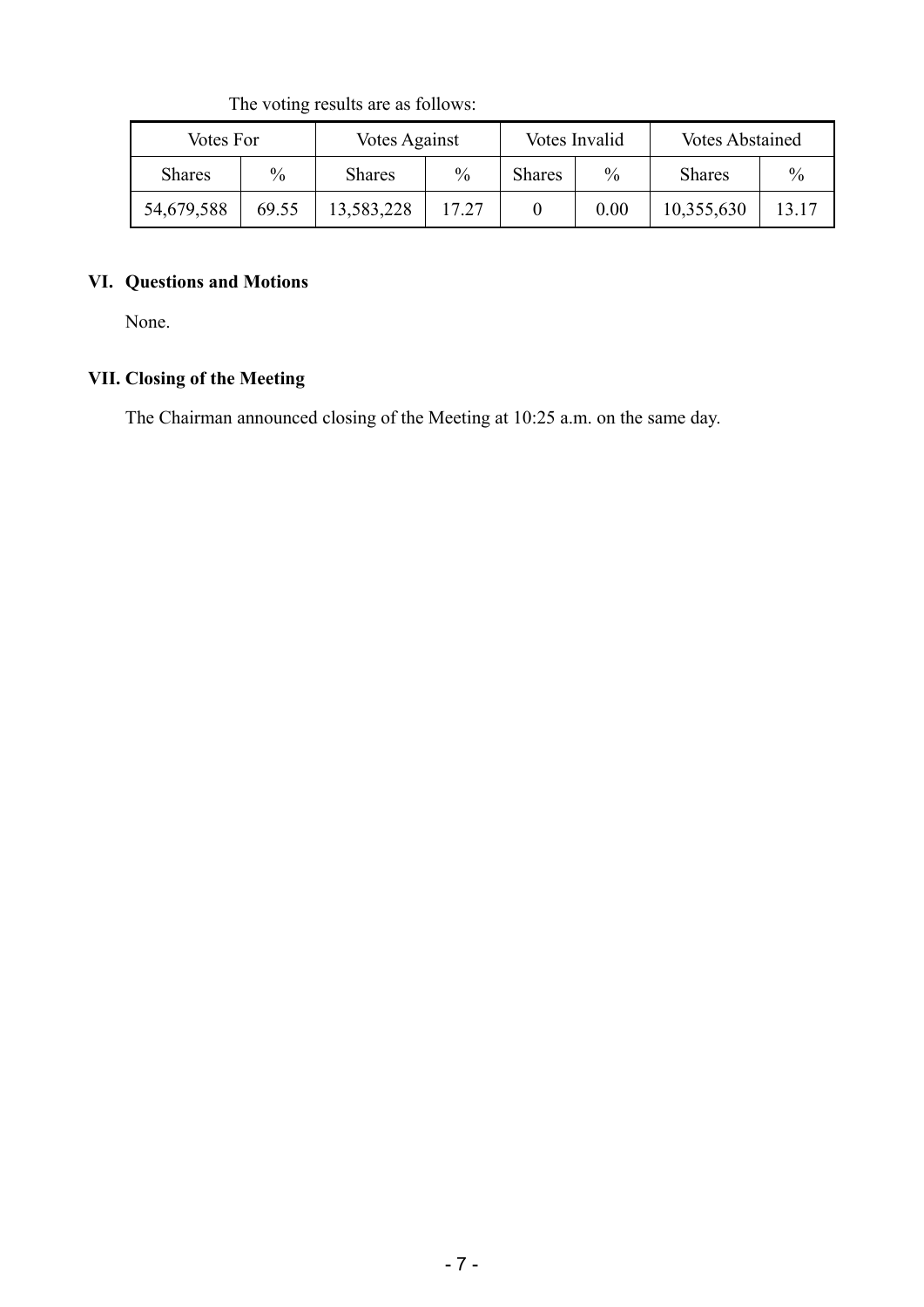| Votes For     |               | Votes Against |       |               | Votes Invalid | <b>Votes Abstained</b> |               |
|---------------|---------------|---------------|-------|---------------|---------------|------------------------|---------------|
| <b>Shares</b> | $\frac{0}{0}$ | <b>Shares</b> | $\%$  | <b>Shares</b> | $\%$          | <b>Shares</b>          | $\frac{0}{0}$ |
| 54,679,588    | 69.55         | 13,583,228    | 17.27 |               | 0.00          | 10,355,630             | 13.17         |

The voting results are as follows:

#### **VI. Questions and Motions**

None.

# **VII. Closing of the Meeting**

The Chairman announced closing of the Meeting at 10:25 a.m. on the same day.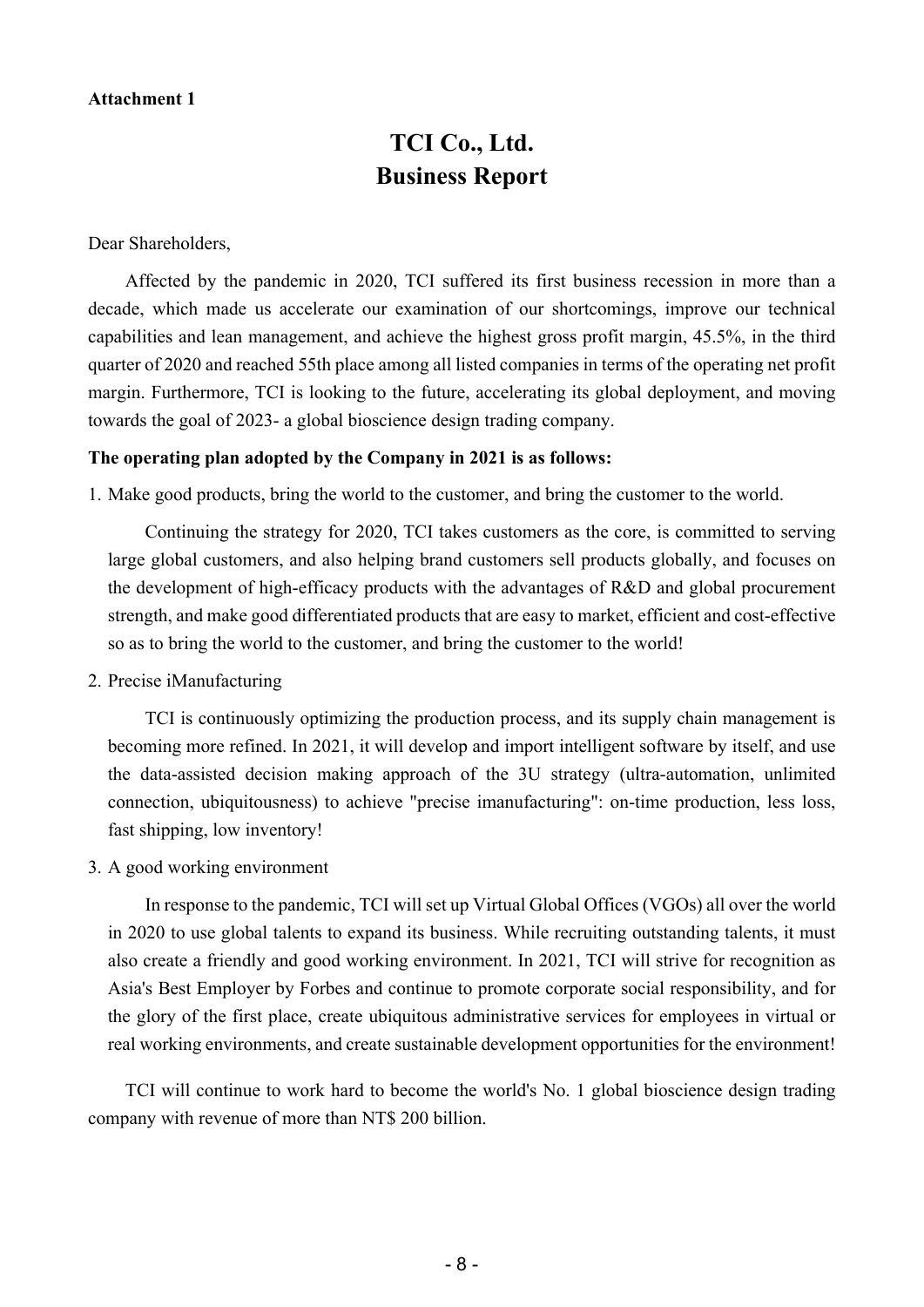#### **Attachment 1**

# **TCI Co., Ltd. Business Report**

Dear Shareholders,

Affected by the pandemic in 2020, TCI suffered its first business recession in more than a decade, which made us accelerate our examination of our shortcomings, improve our technical capabilities and lean management, and achieve the highest gross profit margin, 45.5%, in the third quarter of 2020 and reached 55th place among all listed companies in terms of the operating net profit margin. Furthermore, TCI is looking to the future, accelerating its global deployment, and moving towards the goal of 2023- a global bioscience design trading company.

#### **The operating plan adopted by the Company in 2021 is as follows:**

1. Make good products, bring the world to the customer, and bring the customer to the world.

Continuing the strategy for 2020, TCI takes customers as the core, is committed to serving large global customers, and also helping brand customers sell products globally, and focuses on the development of high-efficacy products with the advantages of R&D and global procurement strength, and make good differentiated products that are easy to market, efficient and cost-effective so as to bring the world to the customer, and bring the customer to the world!

2. Precise iManufacturing

TCI is continuously optimizing the production process, and its supply chain management is becoming more refined. In 2021, it will develop and import intelligent software by itself, and use the data-assisted decision making approach of the 3U strategy (ultra-automation, unlimited connection, ubiquitousness) to achieve "precise imanufacturing": on-time production, less loss, fast shipping, low inventory!

3. A good working environment

In response to the pandemic, TCI will set up Virtual Global Offices (VGOs) all over the world in 2020 to use global talents to expand its business. While recruiting outstanding talents, it must also create a friendly and good working environment. In 2021, TCI will strive for recognition as Asia's Best Employer by Forbes and continue to promote corporate social responsibility, and for the glory of the first place, create ubiquitous administrative services for employees in virtual or real working environments, and create sustainable development opportunities for the environment!

TCI will continue to work hard to become the world's No. 1 global bioscience design trading company with revenue of more than NT\$ 200 billion.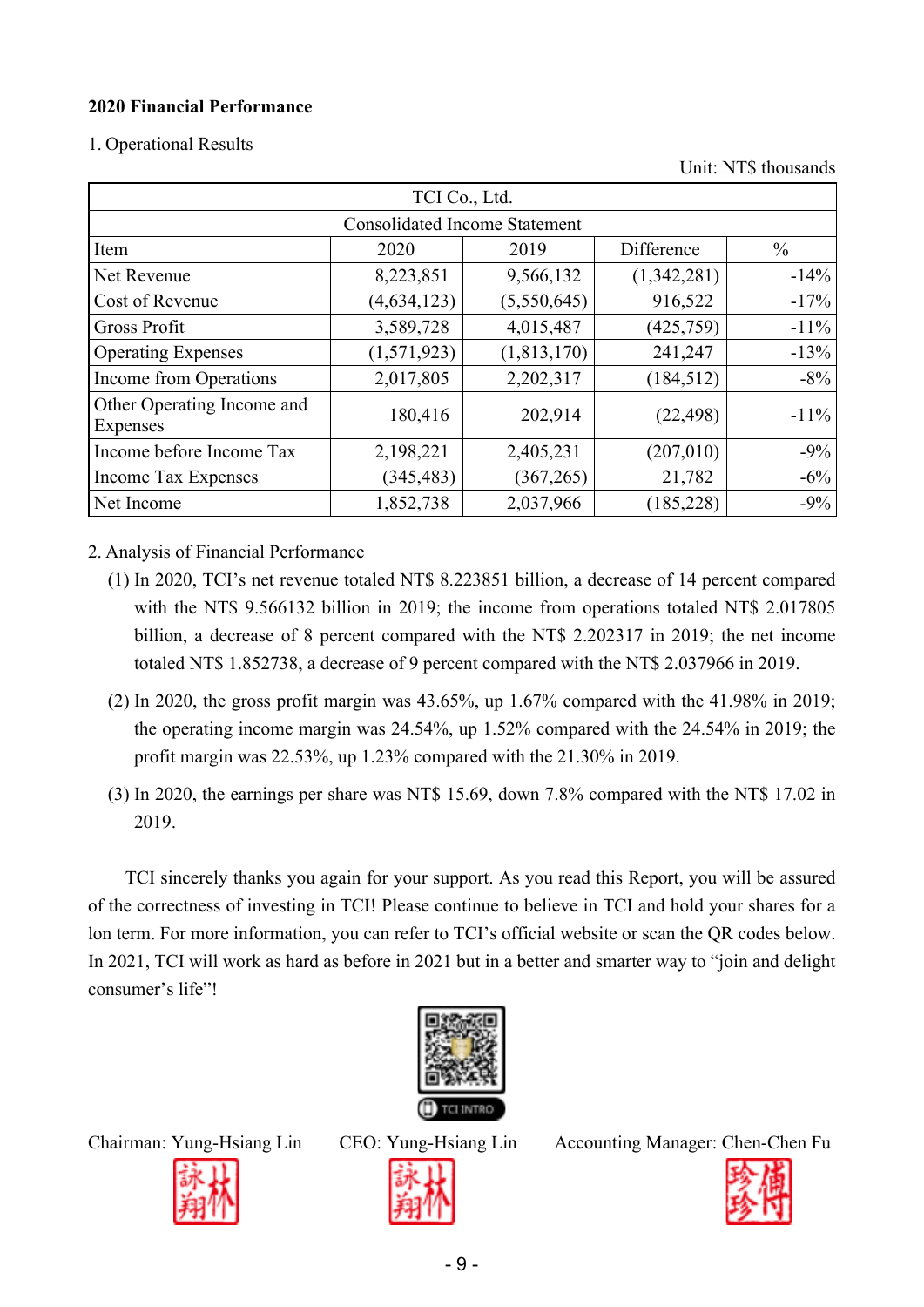#### **2020 Financial Performance**

1. Operational Results

Unit: NT\$ thousands

|                                               | TCI Co., Ltd.                        |               |             |               |
|-----------------------------------------------|--------------------------------------|---------------|-------------|---------------|
|                                               | <b>Consolidated Income Statement</b> |               |             |               |
| Item                                          | 2020                                 | 2019          | Difference  | $\frac{0}{0}$ |
| Net Revenue                                   | 8,223,851                            | 9,566,132     | (1,342,281) | $-14%$        |
| Cost of Revenue                               | (4, 634, 123)                        | (5,550,645)   | 916,522     | $-17%$        |
| Gross Profit                                  | 3,589,728                            | 4,015,487     | (425, 759)  | $-11\%$       |
| <b>Operating Expenses</b>                     | (1,571,923)                          | (1, 813, 170) | 241,247     | $-13%$        |
| Income from Operations                        | 2,017,805                            | 2,202,317     | (184, 512)  | $-8%$         |
| Other Operating Income and<br><b>Expenses</b> | 180,416                              | 202,914       | (22, 498)   | $-11\%$       |
| Income before Income Tax                      | 2,198,221                            | 2,405,231     | (207,010)   | $-9\%$        |
| <b>Income Tax Expenses</b>                    | (345, 483)                           | (367, 265)    | 21,782      | $-6\%$        |
| Net Income                                    | 1,852,738                            | 2,037,966     | (185, 228)  | $-9%$         |

2. Analysis of Financial Performance

- (1) In 2020, TCI's net revenue totaled NT\$ 8.223851 billion, a decrease of 14 percent compared with the NT\$ 9.566132 billion in 2019; the income from operations totaled NT\$ 2.017805 billion, a decrease of 8 percent compared with the NT\$ 2.202317 in 2019; the net income totaled NT\$ 1.852738, a decrease of 9 percent compared with the NT\$ 2.037966 in 2019.
- (2) In 2020, the gross profit margin was  $43.65\%$ , up  $1.67\%$  compared with the  $41.98\%$  in 2019; the operating income margin was 24.54%, up 1.52% compared with the 24.54% in 2019; the profit margin was 22.53%, up 1.23% compared with the 21.30% in 2019.
- (3) In 2020, the earnings per share was NT\$ 15.69, down 7.8% compared with the NT\$ 17.02 in 2019.

TCI sincerely thanks you again for your support. As you read this Report, you will be assured of the correctness of investing in TCI! Please continue to believe in TCI and hold your shares for a lon term. For more information, you can refer to TCI's official website or scan the QR codes below. In 2021, TCI will work as hard as before in 2021 but in a better and smarter way to "join and delight consumer's life"!





Chairman: Yung-Hsiang Lin CEO: Yung-Hsiang Lin Accounting Manager: Chen-Chen Fu



- 9 -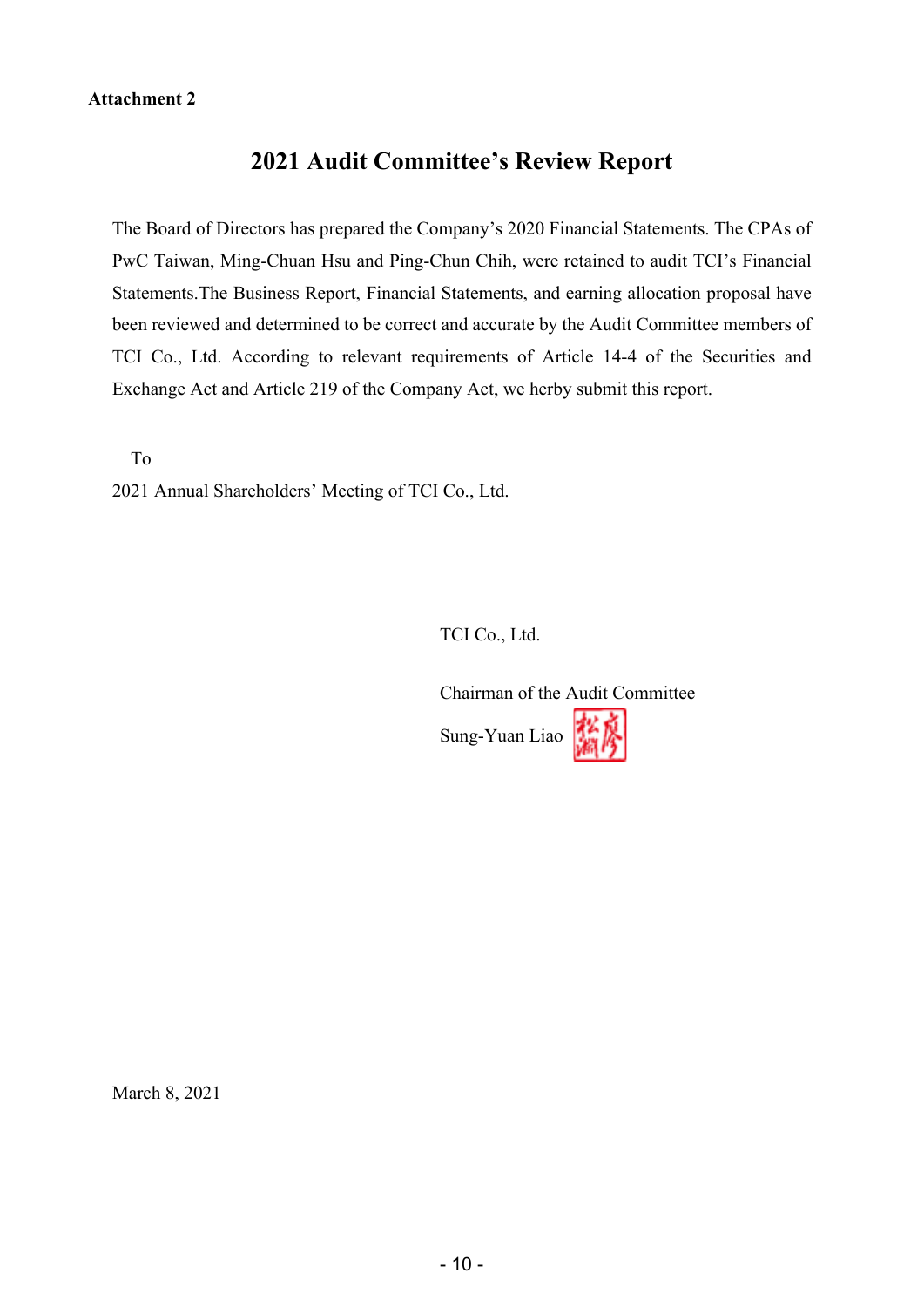#### **Attachment 2**

# **2021 Audit Committee's Review Report**

The Board of Directors has prepared the Company's 2020 Financial Statements. The CPAs of PwC Taiwan, Ming-Chuan Hsu and Ping-Chun Chih, were retained to audit TCI's Financial Statements.The Business Report, Financial Statements, and earning allocation proposal have been reviewed and determined to be correct and accurate by the Audit Committee members of TCI Co., Ltd. According to relevant requirements of Article 14-4 of the Securities and Exchange Act and Article 219 of the Company Act, we herby submit this report.

To

2021 Annual Shareholders' Meeting of TCI Co., Ltd.

TCI Co., Ltd.

Chairman of the Audit Committee Sung-Yuan Liao

March 8, 2021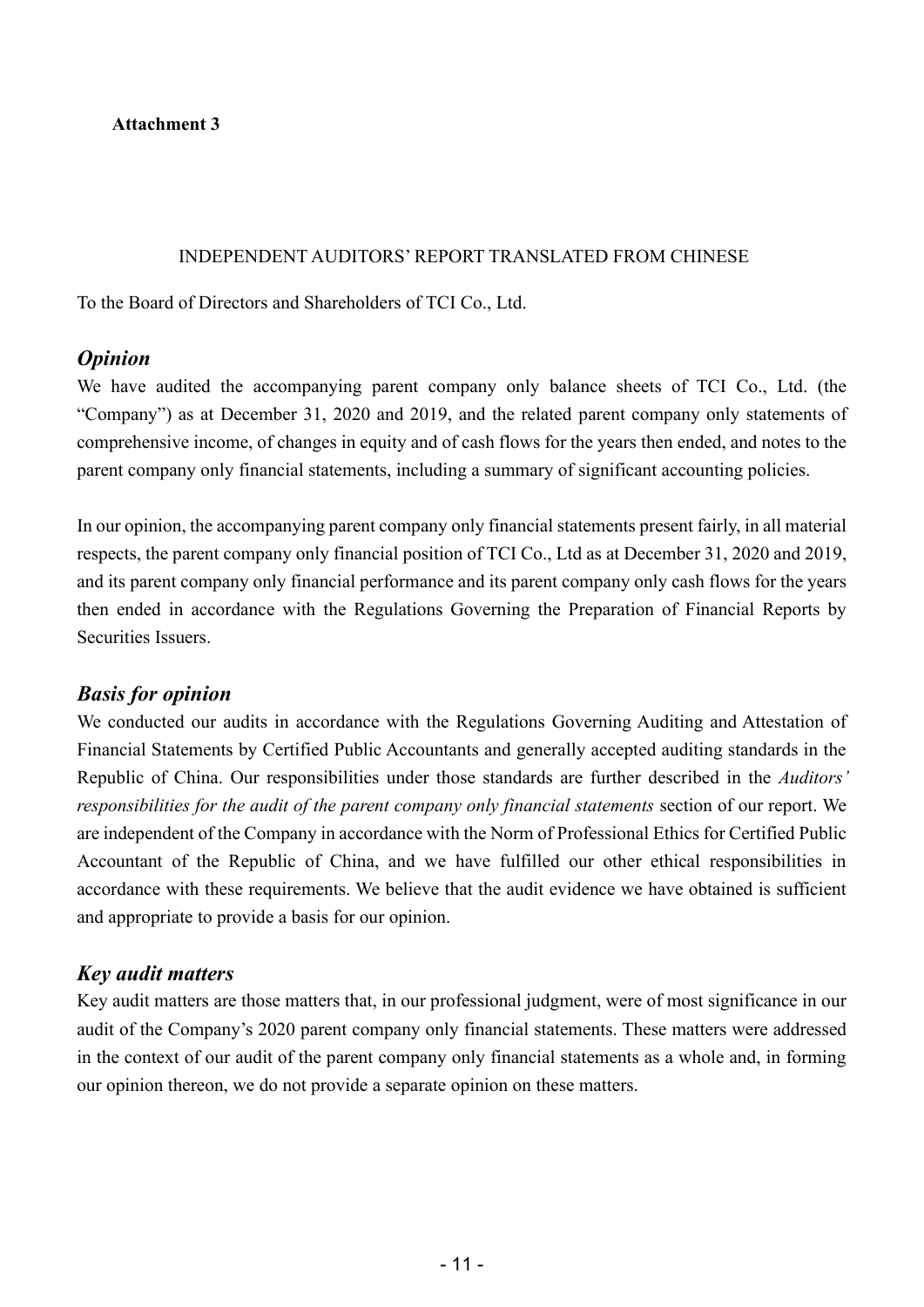**Attachment 3** 

#### INDEPENDENT AUDITORS' REPORT TRANSLATED FROM CHINESE

To the Board of Directors and Shareholders of TCI Co., Ltd.

#### *Opinion*

We have audited the accompanying parent company only balance sheets of TCI Co., Ltd. (the "Company") as at December 31, 2020 and 2019, and the related parent company only statements of comprehensive income, of changes in equity and of cash flows for the years then ended, and notes to the parent company only financial statements, including a summary of significant accounting policies.

In our opinion, the accompanying parent company only financial statements present fairly, in all material respects, the parent company only financial position of TCI Co., Ltd as at December 31, 2020 and 2019, and its parent company only financial performance and its parent company only cash flows for the years then ended in accordance with the Regulations Governing the Preparation of Financial Reports by Securities Issuers.

#### *Basis for opinion*

We conducted our audits in accordance with the Regulations Governing Auditing and Attestation of Financial Statements by Certified Public Accountants and generally accepted auditing standards in the Republic of China. Our responsibilities under those standards are further described in the *Auditors' responsibilities for the audit of the parent company only financial statements* section of our report. We are independent of the Company in accordance with the Norm of Professional Ethics for Certified Public Accountant of the Republic of China, and we have fulfilled our other ethical responsibilities in accordance with these requirements. We believe that the audit evidence we have obtained is sufficient and appropriate to provide a basis for our opinion.

# *Key audit matters*

Key audit matters are those matters that, in our professional judgment, were of most significance in our audit of the Company's 2020 parent company only financial statements. These matters were addressed in the context of our audit of the parent company only financial statements as a whole and, in forming our opinion thereon, we do not provide a separate opinion on these matters.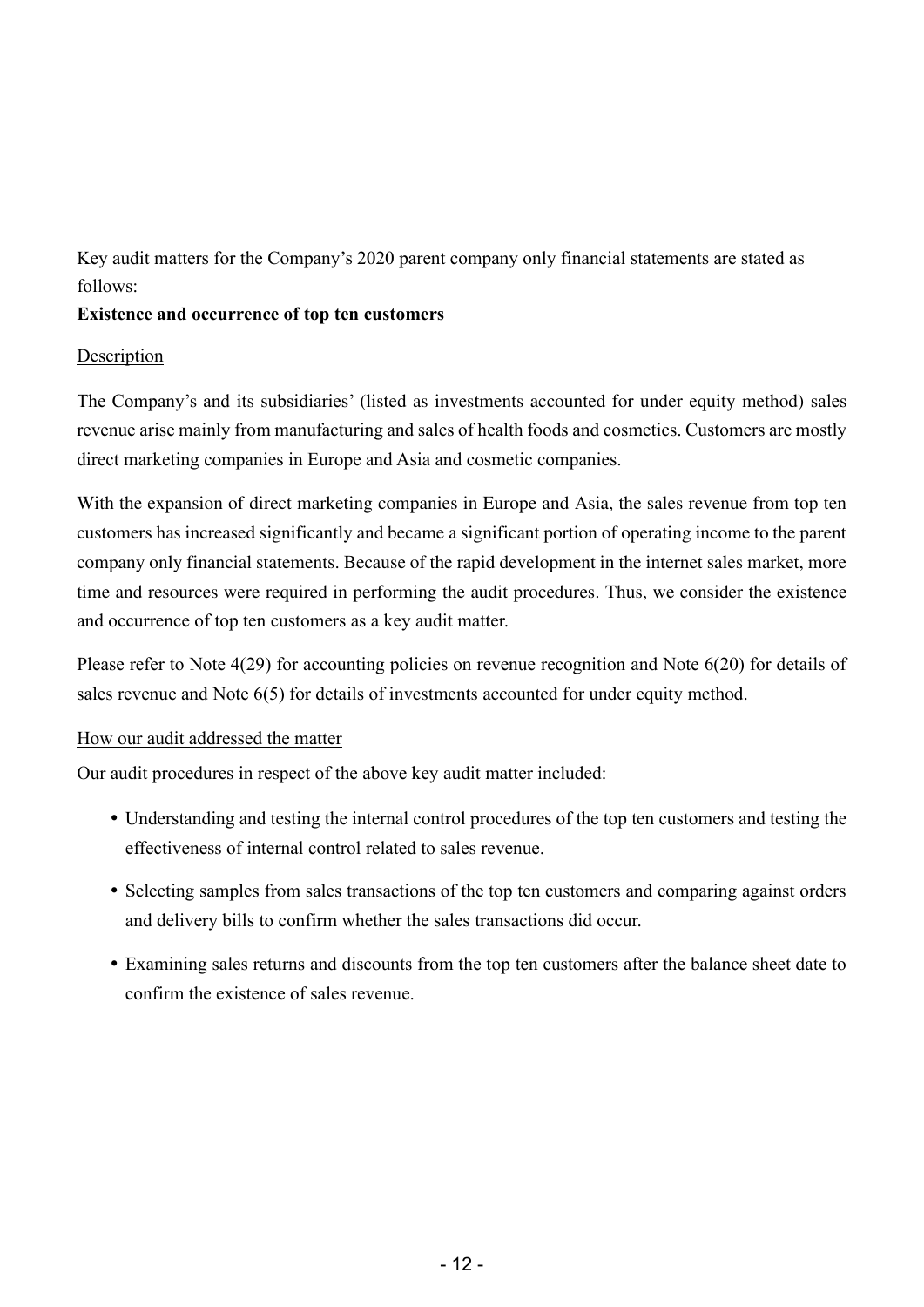Key audit matters for the Company's 2020 parent company only financial statements are stated as follows:

#### **Existence and occurrence of top ten customers**

#### Description

The Company's and its subsidiaries' (listed as investments accounted for under equity method) sales revenue arise mainly from manufacturing and sales of health foods and cosmetics. Customers are mostly direct marketing companies in Europe and Asia and cosmetic companies.

With the expansion of direct marketing companies in Europe and Asia, the sales revenue from top ten customers has increased significantly and became a significant portion of operating income to the parent company only financial statements. Because of the rapid development in the internet sales market, more time and resources were required in performing the audit procedures. Thus, we consider the existence and occurrence of top ten customers as a key audit matter.

Please refer to Note 4(29) for accounting policies on revenue recognition and Note 6(20) for details of sales revenue and Note 6(5) for details of investments accounted for under equity method.

#### How our audit addressed the matter

Our audit procedures in respect of the above key audit matter included:

- Understanding and testing the internal control procedures of the top ten customers and testing the effectiveness of internal control related to sales revenue.
- Selecting samples from sales transactions of the top ten customers and comparing against orders and delivery bills to confirm whether the sales transactions did occur.
- Examining sales returns and discounts from the top ten customers after the balance sheet date to confirm the existence of sales revenue.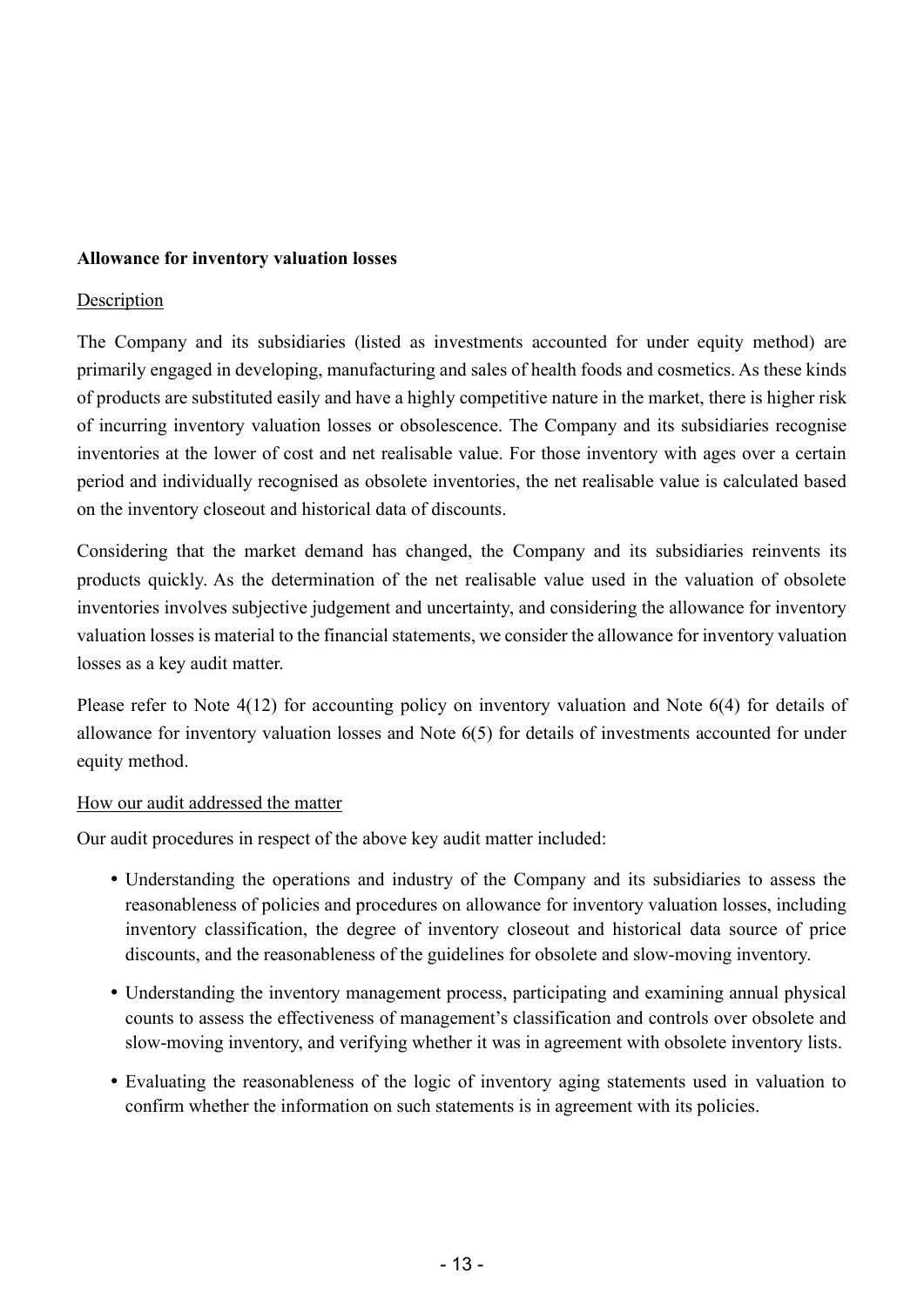#### **Allowance for inventory valuation losses**

#### Description

The Company and its subsidiaries (listed as investments accounted for under equity method) are primarily engaged in developing, manufacturing and sales of health foods and cosmetics. As these kinds of products are substituted easily and have a highly competitive nature in the market, there is higher risk of incurring inventory valuation losses or obsolescence. The Company and its subsidiaries recognise inventories at the lower of cost and net realisable value. For those inventory with ages over a certain period and individually recognised as obsolete inventories, the net realisable value is calculated based on the inventory closeout and historical data of discounts.

Considering that the market demand has changed, the Company and its subsidiaries reinvents its products quickly. As the determination of the net realisable value used in the valuation of obsolete inventories involves subjective judgement and uncertainty, and considering the allowance for inventory valuation losses is material to the financial statements, we consider the allowance for inventory valuation losses as a key audit matter.

Please refer to Note 4(12) for accounting policy on inventory valuation and Note 6(4) for details of allowance for inventory valuation losses and Note 6(5) for details of investments accounted for under equity method.

#### How our audit addressed the matter

Our audit procedures in respect of the above key audit matter included:

- Understanding the operations and industry of the Company and its subsidiaries to assess the reasonableness of policies and procedures on allowance for inventory valuation losses, including inventory classification, the degree of inventory closeout and historical data source of price discounts, and the reasonableness of the guidelines for obsolete and slow-moving inventory.
- Understanding the inventory management process, participating and examining annual physical counts to assess the effectiveness of management's classification and controls over obsolete and slow-moving inventory, and verifying whether it was in agreement with obsolete inventory lists.
- Evaluating the reasonableness of the logic of inventory aging statements used in valuation to confirm whether the information on such statements is in agreement with its policies.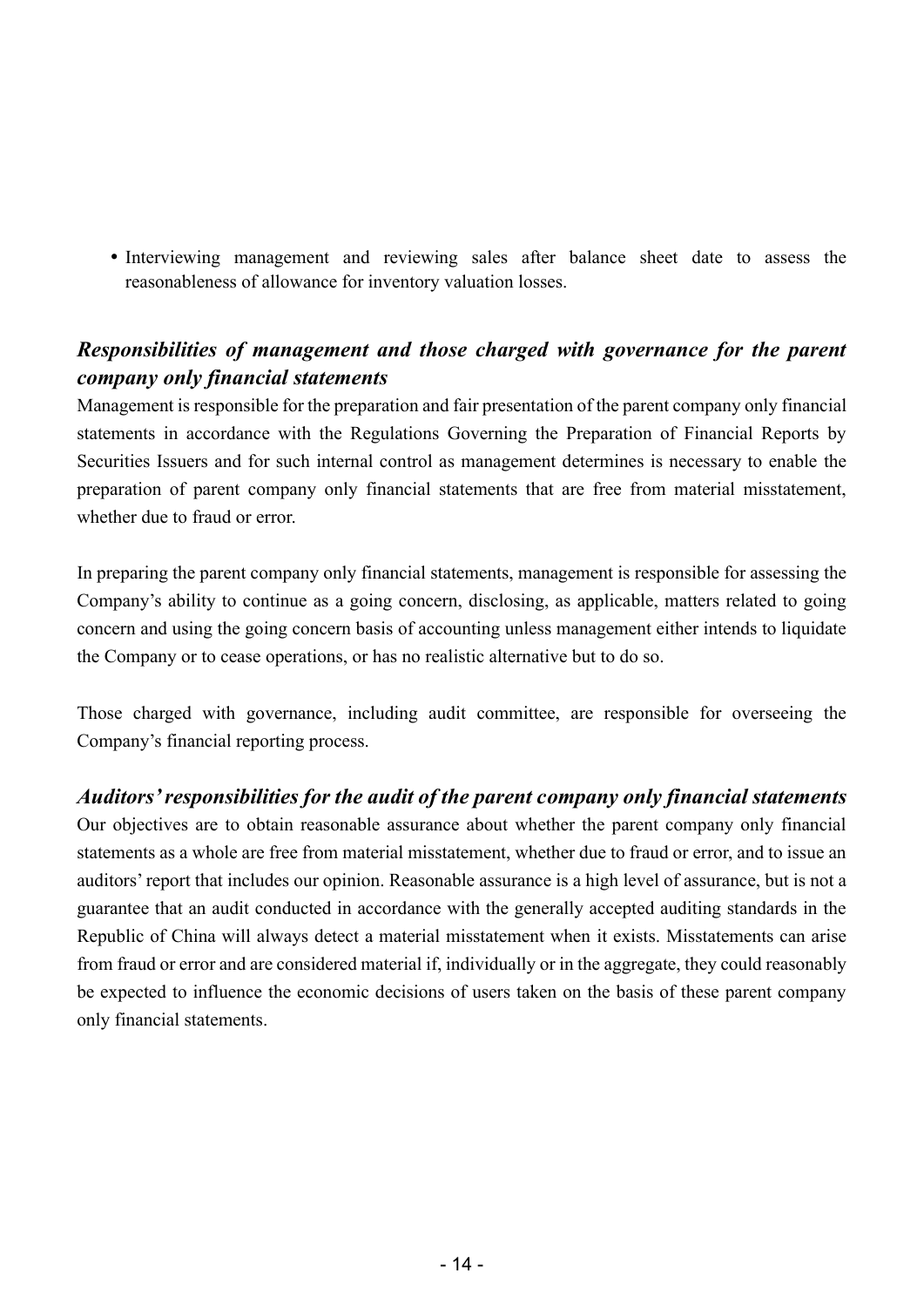Interviewing management and reviewing sales after balance sheet date to assess the reasonableness of allowance for inventory valuation losses.

# *Responsibilities of management and those charged with governance for the parent company only financial statements*

Management is responsible for the preparation and fair presentation of the parent company only financial statements in accordance with the Regulations Governing the Preparation of Financial Reports by Securities Issuers and for such internal control as management determines is necessary to enable the preparation of parent company only financial statements that are free from material misstatement, whether due to fraud or error.

In preparing the parent company only financial statements, management is responsible for assessing the Company's ability to continue as a going concern, disclosing, as applicable, matters related to going concern and using the going concern basis of accounting unless management either intends to liquidate the Company or to cease operations, or has no realistic alternative but to do so.

Those charged with governance, including audit committee, are responsible for overseeing the Company's financial reporting process.

# *Auditors' responsibilities for the audit of the parent company only financial statements*

Our objectives are to obtain reasonable assurance about whether the parent company only financial statements as a whole are free from material misstatement, whether due to fraud or error, and to issue an auditors' report that includes our opinion. Reasonable assurance is a high level of assurance, but is not a guarantee that an audit conducted in accordance with the generally accepted auditing standards in the Republic of China will always detect a material misstatement when it exists. Misstatements can arise from fraud or error and are considered material if, individually or in the aggregate, they could reasonably be expected to influence the economic decisions of users taken on the basis of these parent company only financial statements.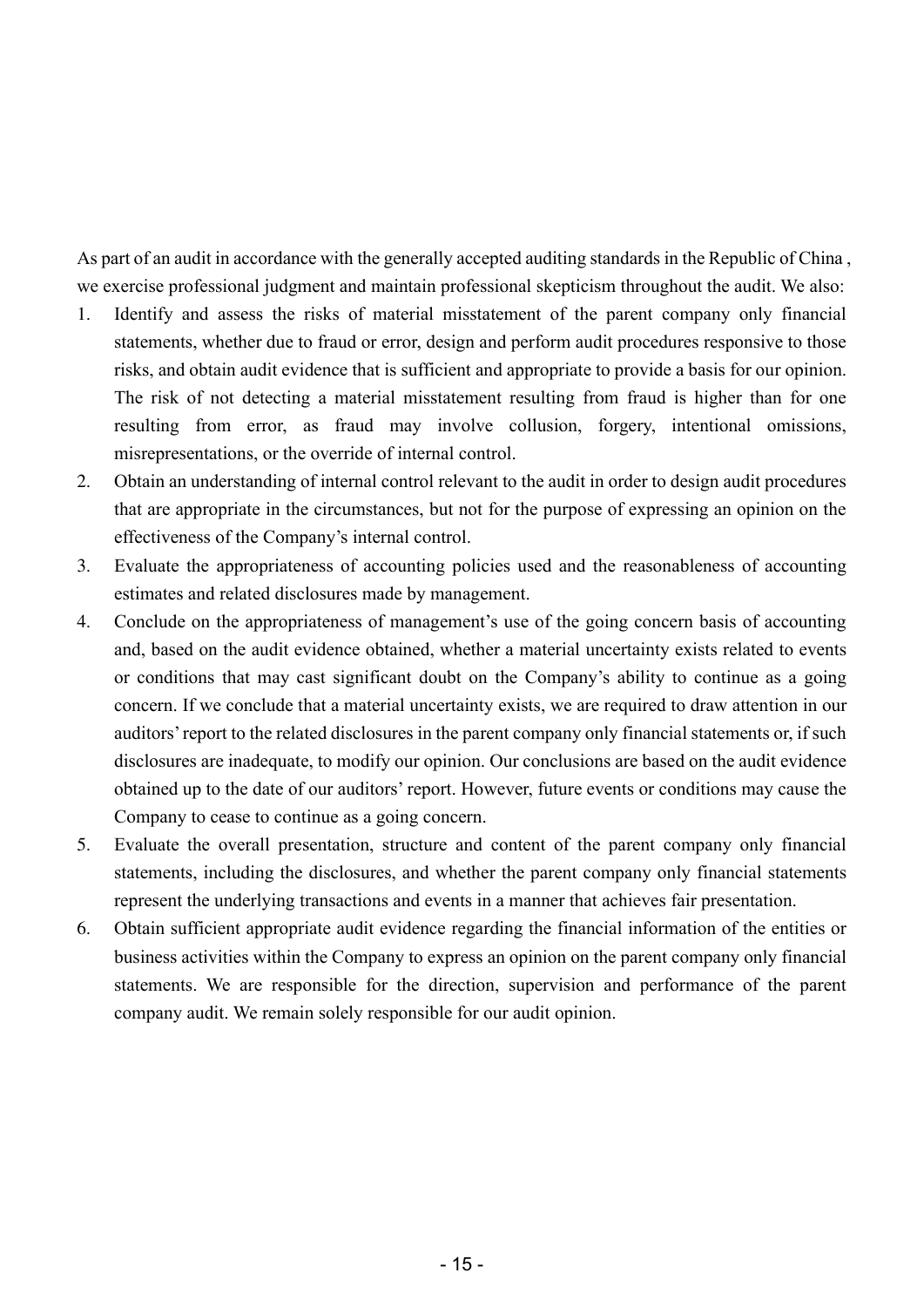As part of an audit in accordance with the generally accepted auditing standards in the Republic of China , we exercise professional judgment and maintain professional skepticism throughout the audit. We also:

- 1. Identify and assess the risks of material misstatement of the parent company only financial statements, whether due to fraud or error, design and perform audit procedures responsive to those risks, and obtain audit evidence that is sufficient and appropriate to provide a basis for our opinion. The risk of not detecting a material misstatement resulting from fraud is higher than for one resulting from error, as fraud may involve collusion, forgery, intentional omissions, misrepresentations, or the override of internal control.
- 2. Obtain an understanding of internal control relevant to the audit in order to design audit procedures that are appropriate in the circumstances, but not for the purpose of expressing an opinion on the effectiveness of the Company's internal control.
- 3. Evaluate the appropriateness of accounting policies used and the reasonableness of accounting estimates and related disclosures made by management.
- 4. Conclude on the appropriateness of management's use of the going concern basis of accounting and, based on the audit evidence obtained, whether a material uncertainty exists related to events or conditions that may cast significant doubt on the Company's ability to continue as a going concern. If we conclude that a material uncertainty exists, we are required to draw attention in our auditors' report to the related disclosures in the parent company only financial statements or, if such disclosures are inadequate, to modify our opinion. Our conclusions are based on the audit evidence obtained up to the date of our auditors' report. However, future events or conditions may cause the Company to cease to continue as a going concern.
- 5. Evaluate the overall presentation, structure and content of the parent company only financial statements, including the disclosures, and whether the parent company only financial statements represent the underlying transactions and events in a manner that achieves fair presentation.
- 6. Obtain sufficient appropriate audit evidence regarding the financial information of the entities or business activities within the Company to express an opinion on the parent company only financial statements. We are responsible for the direction, supervision and performance of the parent company audit. We remain solely responsible for our audit opinion.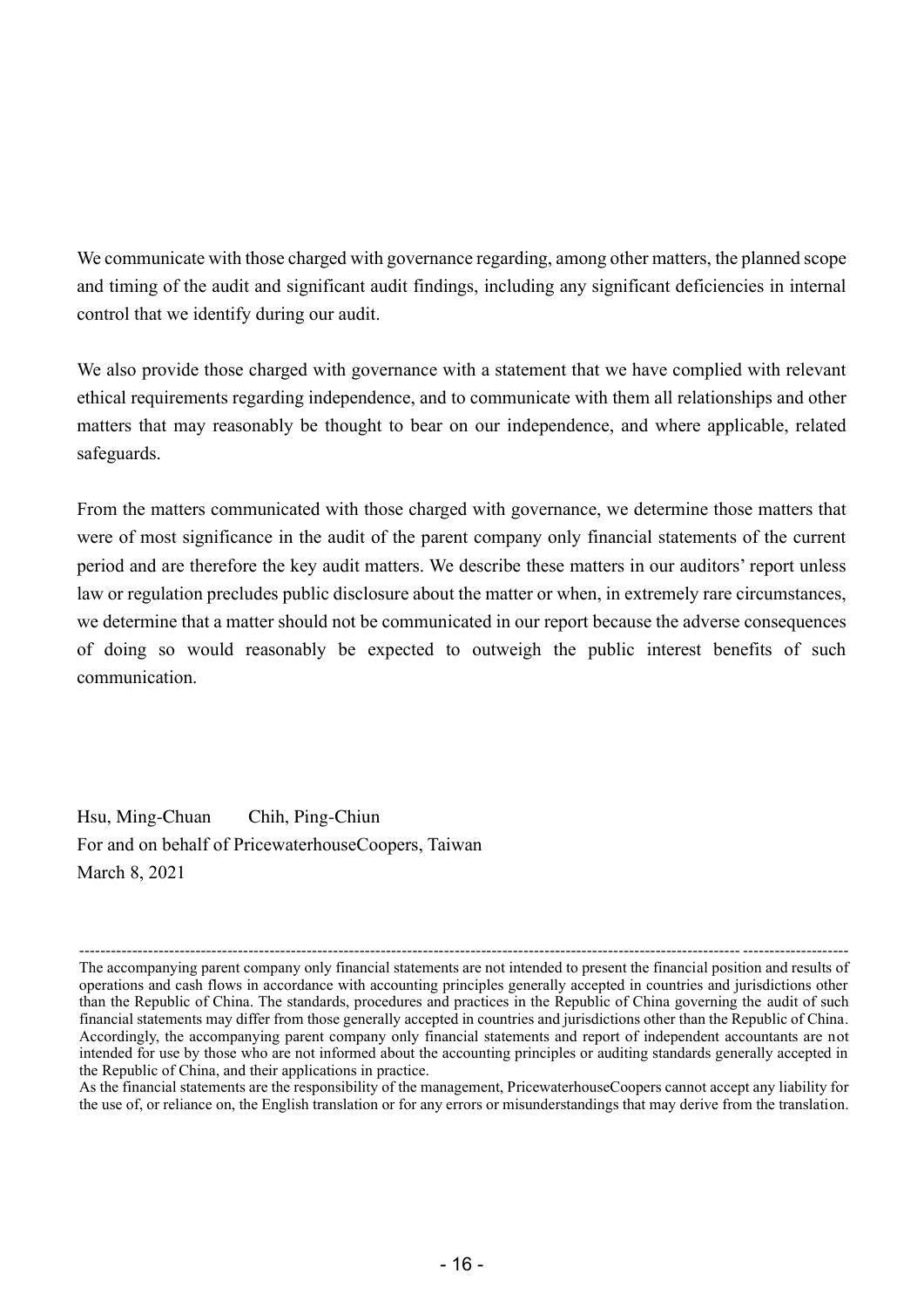We communicate with those charged with governance regarding, among other matters, the planned scope and timing of the audit and significant audit findings, including any significant deficiencies in internal control that we identify during our audit.

We also provide those charged with governance with a statement that we have complied with relevant ethical requirements regarding independence, and to communicate with them all relationships and other matters that may reasonably be thought to bear on our independence, and where applicable, related safeguards.

From the matters communicated with those charged with governance, we determine those matters that were of most significance in the audit of the parent company only financial statements of the current period and are therefore the key audit matters. We describe these matters in our auditors' report unless law or regulation precludes public disclosure about the matter or when, in extremely rare circumstances, we determine that a matter should not be communicated in our report because the adverse consequences of doing so would reasonably be expected to outweigh the public interest benefits of such communication.

Hsu, Ming-Chuan Chih, Ping-Chiun For and on behalf of PricewaterhouseCoopers, Taiwan March 8, 2021

<sup>----------------------------------------------------------------------------------------------------------------------------- --------------------</sup> The accompanying parent company only financial statements are not intended to present the financial position and results of operations and cash flows in accordance with accounting principles generally accepted in countries and jurisdictions other than the Republic of China. The standards, procedures and practices in the Republic of China governing the audit of such financial statements may differ from those generally accepted in countries and jurisdictions other than the Republic of China. Accordingly, the accompanying parent company only financial statements and report of independent accountants are not intended for use by those who are not informed about the accounting principles or auditing standards generally accepted in the Republic of China, and their applications in practice.

As the financial statements are the responsibility of the management, PricewaterhouseCoopers cannot accept any liability for the use of, or reliance on, the English translation or for any errors or misunderstandings that may derive from the translation.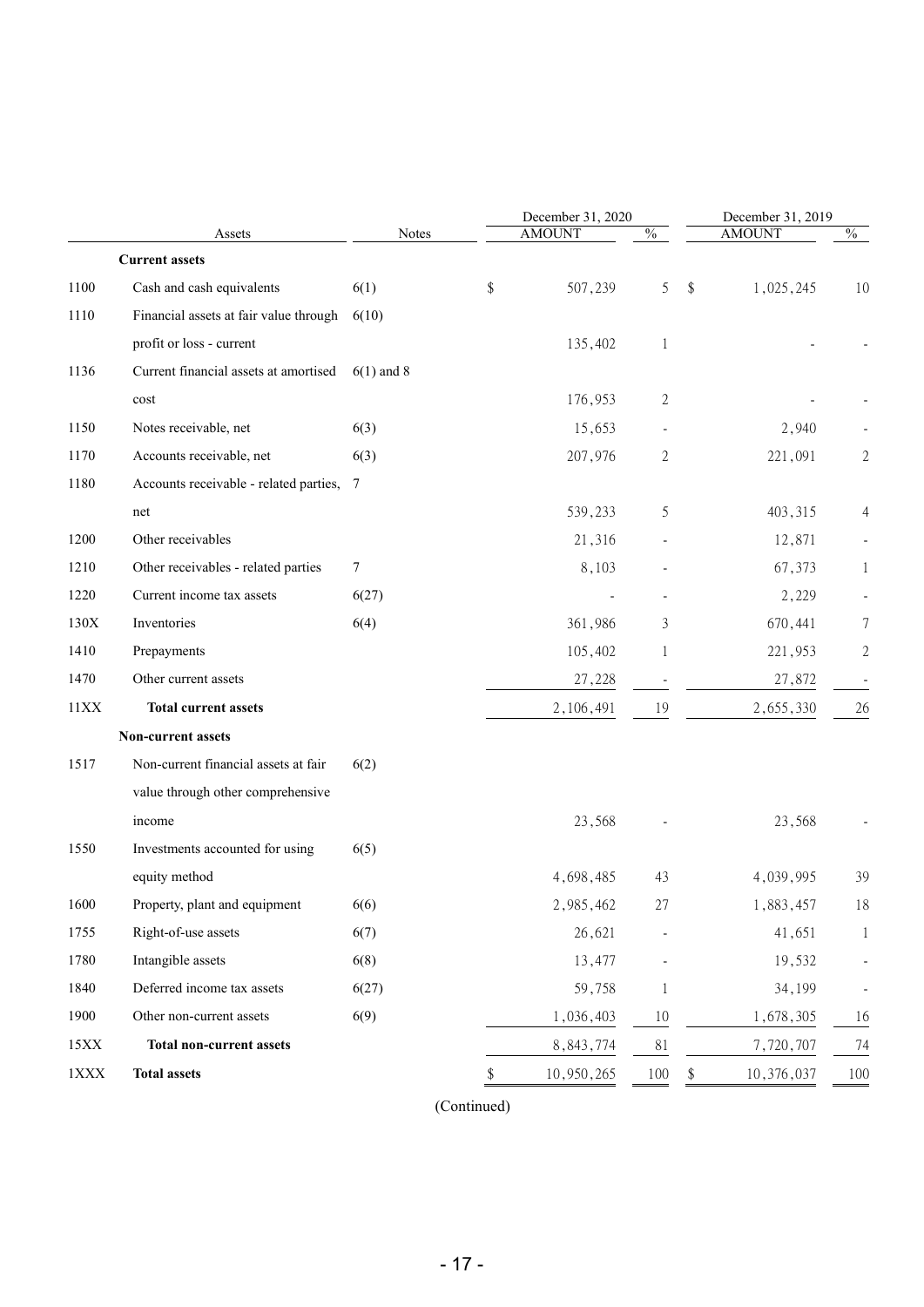|             |                                          |              | December 31, 2020 |      | December 31, 2019 |              |
|-------------|------------------------------------------|--------------|-------------------|------|-------------------|--------------|
|             | Assets                                   | Notes        | <b>AMOUNT</b>     | $\%$ | <b>AMOUNT</b>     | $\%$         |
|             | <b>Current assets</b>                    |              |                   |      |                   |              |
| 1100        | Cash and cash equivalents                | 6(1)         | \$<br>507,239     | 5    | \$<br>1,025,245   | 10           |
| 1110        | Financial assets at fair value through   | 6(10)        |                   |      |                   |              |
|             | profit or loss - current                 |              | 135,402           | 1    |                   |              |
| 1136        | Current financial assets at amortised    | $6(1)$ and 8 |                   |      |                   |              |
|             | cost                                     |              | 176,953           | 2    |                   |              |
| 1150        | Notes receivable, net                    | 6(3)         | 15,653            |      | 2,940             |              |
| 1170        | Accounts receivable, net                 | 6(3)         | 207,976           | 2    | 221,091           | 2            |
| 1180        | Accounts receivable - related parties, 7 |              |                   |      |                   |              |
|             | net                                      |              | 539,233           | 5    | 403,315           | 4            |
| 1200        | Other receivables                        |              | 21,316            |      | 12,871            |              |
| 1210        | Other receivables - related parties      | 7            | 8,103             |      | 67,373            | 1            |
| 1220        | Current income tax assets                | 6(27)        |                   |      | 2,229             |              |
| 130X        | Inventories                              | 6(4)         | 361,986           | 3    | 670,441           | 7            |
| 1410        | Prepayments                              |              | 105,402           | 1    | 221,953           | $\mathbf{2}$ |
| 1470        | Other current assets                     |              | 27,228            |      | 27,872            |              |
| 11XX        | <b>Total current assets</b>              |              | 2,106,491         | 19   | 2,655,330         | 26           |
|             | Non-current assets                       |              |                   |      |                   |              |
| 1517        | Non-current financial assets at fair     | 6(2)         |                   |      |                   |              |
|             | value through other comprehensive        |              |                   |      |                   |              |
|             | income                                   |              | 23,568            |      | 23,568            |              |
| 1550        | Investments accounted for using          | 6(5)         |                   |      |                   |              |
|             | equity method                            |              | 4,698,485         | 43   | 4,039,995         | 39           |
| 1600        | Property, plant and equipment            | 6(6)         | 2,985,462         | 27   | 1,883,457         | 18           |
| 1755        | Right-of-use assets                      | 6(7)         | 26,621            |      | 41,651            | 1            |
| 1780        | Intangible assets                        | 6(8)         | 13,477            |      | 19,532            |              |
| 1840        | Deferred income tax assets               | 6(27)        | 59,758            | 1    | 34,199            |              |
| 1900        | Other non-current assets                 | 6(9)         | 1,036,403         | 10   | 1,678,305         | 16           |
| 15XX        | <b>Total non-current assets</b>          |              | 8,843,774         | 81   | 7,720,707         | 74           |
| $1\rm{XXX}$ | <b>Total assets</b>                      |              | \$<br>10,950,265  | 100  | \$<br>10,376,037  | 100          |
|             |                                          |              |                   |      |                   |              |

(Continued)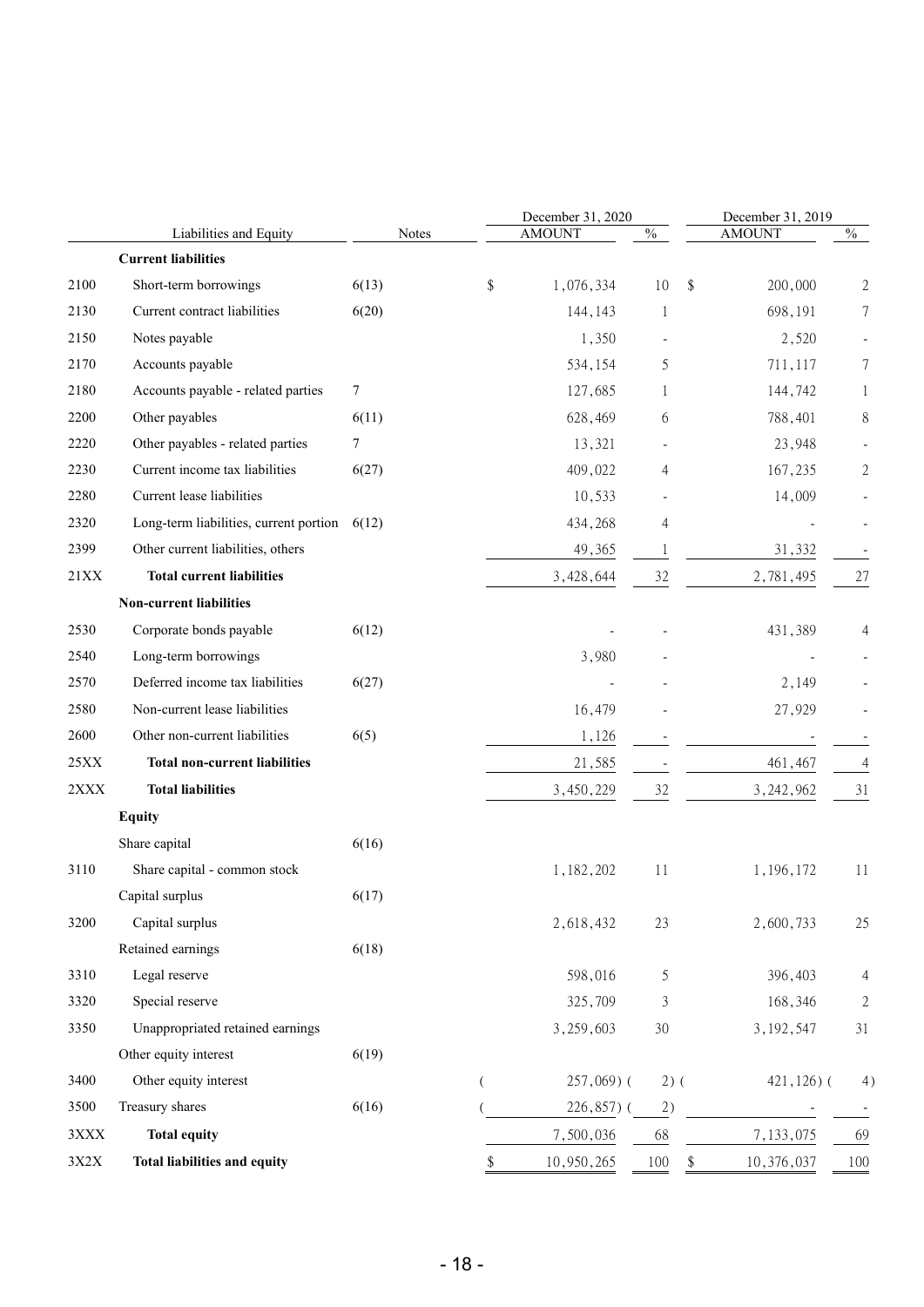|      | Liabilities and Equity                         | Notes |                | December 31, 2020<br><b>AMOUNT</b> | $\frac{0}{6}$  | December 31, 2019<br><b>AMOUNT</b> | $\%$             |
|------|------------------------------------------------|-------|----------------|------------------------------------|----------------|------------------------------------|------------------|
|      | <b>Current liabilities</b>                     |       |                |                                    |                |                                    |                  |
| 2100 | Short-term borrowings                          | 6(13) | \$             | 1,076,334                          | 10             | \$<br>200,000                      | 2                |
| 2130 | Current contract liabilities                   | 6(20) |                | 144,143                            | 1              | 698,191                            | 7                |
| 2150 | Notes payable                                  |       |                | 1,350                              |                | 2,520                              |                  |
| 2170 | Accounts payable                               |       |                | 534,154                            | 5              | 711,117                            | 7                |
| 2180 | Accounts payable - related parties             | 7     |                | 127,685                            | 1              | 144,742                            | 1                |
| 2200 | Other payables                                 | 6(11) |                | 628,469                            | 6              | 788,401                            | 8                |
| 2220 | Other payables - related parties               | 7     |                | 13,321                             |                | 23,948                             |                  |
| 2230 | Current income tax liabilities                 | 6(27) |                | 409,022                            | 4              | 167,235                            | $\mathbf{2}$     |
| 2280 | Current lease liabilities                      |       |                | 10,533                             |                | 14,009                             |                  |
| 2320 | Long-term liabilities, current portion $6(12)$ |       |                | 434,268                            | 4              |                                    |                  |
| 2399 | Other current liabilities, others              |       |                | 49,365                             | 1              | 31,332                             |                  |
| 21XX | <b>Total current liabilities</b>               |       |                | 3,428,644                          | 32             | 2,781,495                          | 27               |
|      | <b>Non-current liabilities</b>                 |       |                |                                    |                |                                    |                  |
| 2530 | Corporate bonds payable                        | 6(12) |                |                                    |                | 431,389                            | 4                |
| 2540 | Long-term borrowings                           |       |                | 3,980                              |                |                                    |                  |
| 2570 | Deferred income tax liabilities                | 6(27) |                |                                    |                | 2,149                              |                  |
| 2580 | Non-current lease liabilities                  |       |                | 16,479                             |                | 27,929                             |                  |
| 2600 | Other non-current liabilities                  | 6(5)  |                | 1,126                              |                |                                    |                  |
| 25XX | <b>Total non-current liabilities</b>           |       |                | 21,585                             |                | 461,467                            | 4                |
| 2XXX | <b>Total liabilities</b>                       |       |                | 3,450,229                          | 32             | 3, 242, 962                        | 31               |
|      | <b>Equity</b>                                  |       |                |                                    |                |                                    |                  |
|      | Share capital                                  | 6(16) |                |                                    |                |                                    |                  |
| 3110 | Share capital - common stock                   |       |                | 1,182,202                          | 11             | 1,196,172                          | 11               |
|      | Capital surplus                                | 6(17) |                |                                    |                |                                    |                  |
| 3200 | Capital surplus                                |       |                | 2,618,432                          | 23             | 2,600,733                          | 25               |
|      | Retained earnings                              | 6(18) |                |                                    |                |                                    |                  |
| 3310 | Legal reserve                                  |       |                | 598,016                            | 5              | 396,403                            | 4                |
| 3320 | Special reserve                                |       |                | 325,709                            | $\mathfrak{Z}$ | 168,346                            | $\boldsymbol{2}$ |
| 3350 | Unappropriated retained earnings               |       |                | 3,259,603                          | 30             | 3, 192, 547                        | 31               |
|      | Other equity interest                          | 6(19) |                |                                    |                |                                    |                  |
| 3400 | Other equity interest                          |       | $\overline{(}$ | $257,069$ (                        | $2)$ (         | $421,126$ ) (                      | 4)               |
| 3500 | Treasury shares                                | 6(16) |                | $226,857$ ) (                      | 2)             |                                    |                  |
| 3XXX | <b>Total equity</b>                            |       |                | 7,500,036                          | 68             | 7,133,075                          | 69               |
| 3X2X | <b>Total liabilities and equity</b>            |       | \$             | 10,950,265                         | 100            | 10,376,037<br>\$                   | 100              |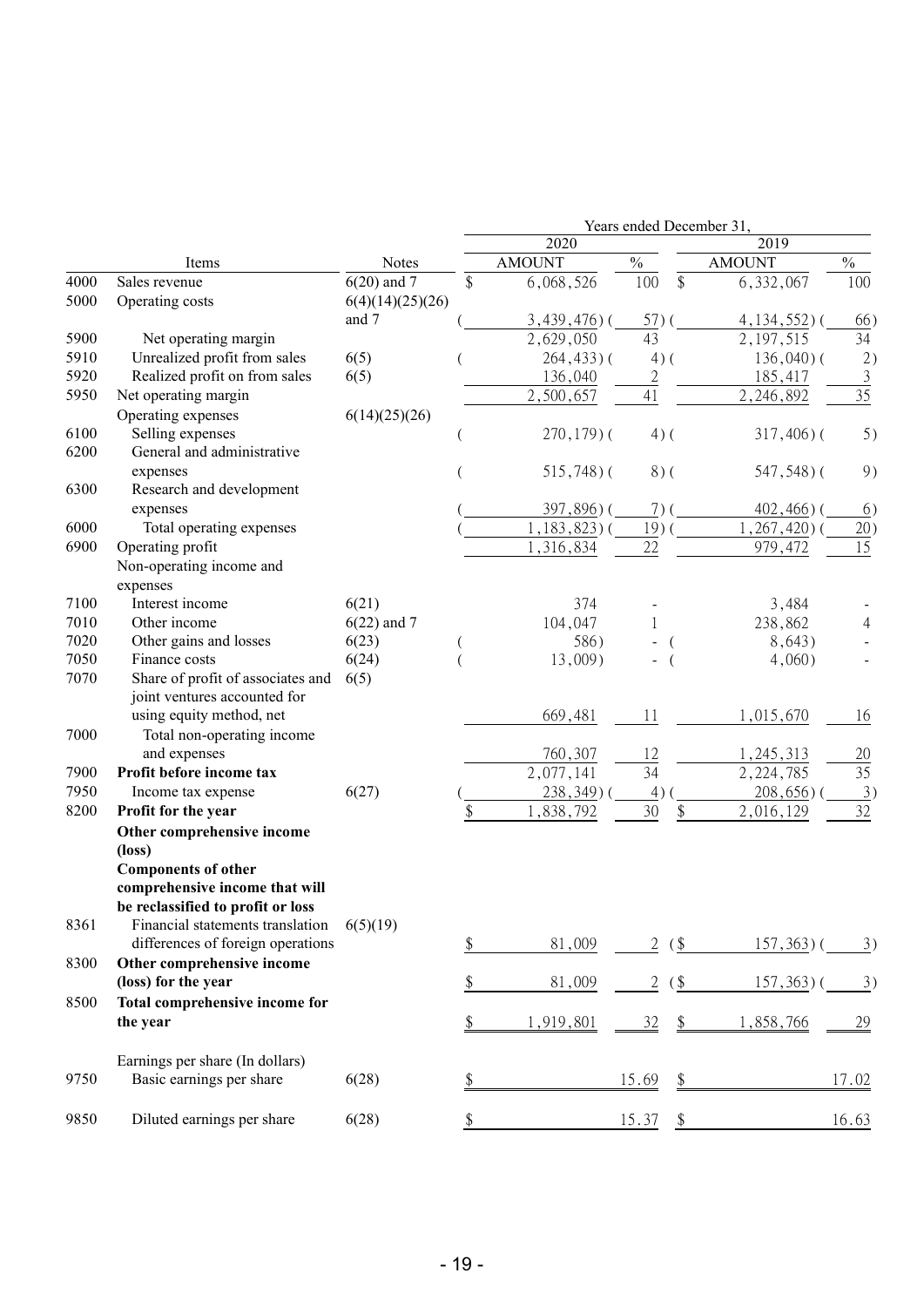|      |                                   |                  |                 | Years ended December 31, |               |                |                   |
|------|-----------------------------------|------------------|-----------------|--------------------------|---------------|----------------|-------------------|
|      |                                   |                  | 2020            |                          |               | 2019           |                   |
|      | Items                             | Notes            | <b>AMOUNT</b>   | $\frac{0}{0}$            |               | <b>AMOUNT</b>  | $\frac{0}{0}$     |
| 4000 | Sales revenue                     | $6(20)$ and 7    | \$<br>6,068,526 | 100                      | \$            | 6,332,067      | 100               |
| 5000 | Operating costs                   | 6(4)(14)(25)(26) |                 |                          |               |                |                   |
|      |                                   | and 7            | $3,439,476$ ) ( | 57)                      |               | $4,134,552$ )( | 66)               |
| 5900 | Net operating margin              |                  | 2,629,050       | 43                       |               | 2, 197, 515    | 34                |
| 5910 | Unrealized profit from sales      | 6(5)             | $264, 433$ ) (  | $4)$ (                   |               | $136,040$ ) (  | 2)                |
| 5920 | Realized profit on from sales     | 6(5)             | 136,040         | $\overline{2}$           |               | 185,417        | $\overline{3}$    |
| 5950 | Net operating margin              |                  | 2,500,657       | 41                       |               | 2,246,892      | 35                |
|      | Operating expenses                | 6(14)(25)(26)    |                 |                          |               |                |                   |
| 6100 | Selling expenses                  |                  | $270, 179$ ) (  | $4)$ (                   |               | $317,406$ ) (  | 5)                |
| 6200 | General and administrative        |                  |                 |                          |               |                |                   |
|      | expenses                          |                  | $515,748$ ) (   | $8)$ (                   |               | 547,548)(      | 9)                |
| 6300 | Research and development          |                  |                 |                          |               |                |                   |
|      | expenses                          |                  | 397,896)(       | $7)$ (                   |               | $402,466$ ) (  | 6)                |
| 6000 | Total operating expenses          |                  | $,183,823)$ (   | 19 <sup>0</sup>          |               | , 267, 420) (  | 20)               |
| 6900 | Operating profit                  |                  | 1,316,834       | 22                       |               | 979,472        | 15                |
|      | Non-operating income and          |                  |                 |                          |               |                |                   |
|      | expenses                          |                  |                 |                          |               |                |                   |
| 7100 | Interest income                   | 6(21)            | 374             |                          |               | 3,484          |                   |
| 7010 | Other income                      | $6(22)$ and 7    | 104,047         |                          |               | 238,862        | 4                 |
| 7020 | Other gains and losses            | 6(23)            | 586)            |                          |               | 8,643)         |                   |
| 7050 | Finance costs                     | 6(24)            | 13,009)         |                          |               | 4,060)         |                   |
| 7070 | Share of profit of associates and | 6(5)             |                 |                          |               |                |                   |
|      | joint ventures accounted for      |                  |                 |                          |               |                |                   |
|      | using equity method, net          |                  | 669,481         | 11                       |               | 1,015,670      | 16                |
| 7000 | Total non-operating income        |                  |                 |                          |               |                |                   |
|      | and expenses                      |                  | 760,307         | 12                       |               | 1,245,313      | 20                |
| 7900 | Profit before income tax          |                  | 2,077,141       | 34                       |               | 2, 224, 785    | 35                |
| 7950 | Income tax expense                | 6(27)            | $238,349$ )     | 4)                       |               | $208,656$ )    | 3)                |
| 8200 | Profit for the year               |                  | ,838,792        | 30                       | \$            | 2,016,129      | 32                |
|      | Other comprehensive income        |                  |                 |                          |               |                |                   |
|      | (loss)                            |                  |                 |                          |               |                |                   |
|      | <b>Components of other</b>        |                  |                 |                          |               |                |                   |
|      | comprehensive income that will    |                  |                 |                          |               |                |                   |
|      | be reclassified to profit or loss |                  |                 |                          |               |                |                   |
| 8361 | Financial statements translation  | 6(5)(19)         |                 |                          |               |                |                   |
|      | differences of foreign operations |                  | \$<br>81,009    | 2                        | $($ \$        | $157,363$ )    | $\underline{3}$ ) |
| 8300 | Other comprehensive income        |                  |                 |                          |               |                |                   |
|      | (loss) for the year               |                  | \$<br>81,009    | $\overline{2}$           | $\frac{1}{2}$ | $157,363$ )(   | $\overline{3})$   |
| 8500 | Total comprehensive income for    |                  |                 |                          |               |                |                   |
|      | the year                          |                  | \$<br>1,919,801 | 32                       | $\frac{1}{2}$ | 1,858,766      | <u>29</u>         |
|      |                                   |                  |                 |                          |               |                |                   |
|      | Earnings per share (In dollars)   |                  |                 |                          |               |                |                   |
| 9750 | Basic earnings per share          | 6(28)            |                 | 15.69                    |               |                | 17.02             |
|      |                                   |                  |                 |                          | \$            |                |                   |
| 9850 | Diluted earnings per share        | 6(28)            |                 |                          |               |                |                   |
|      |                                   |                  |                 | 15.37                    | \$            |                | 16.63             |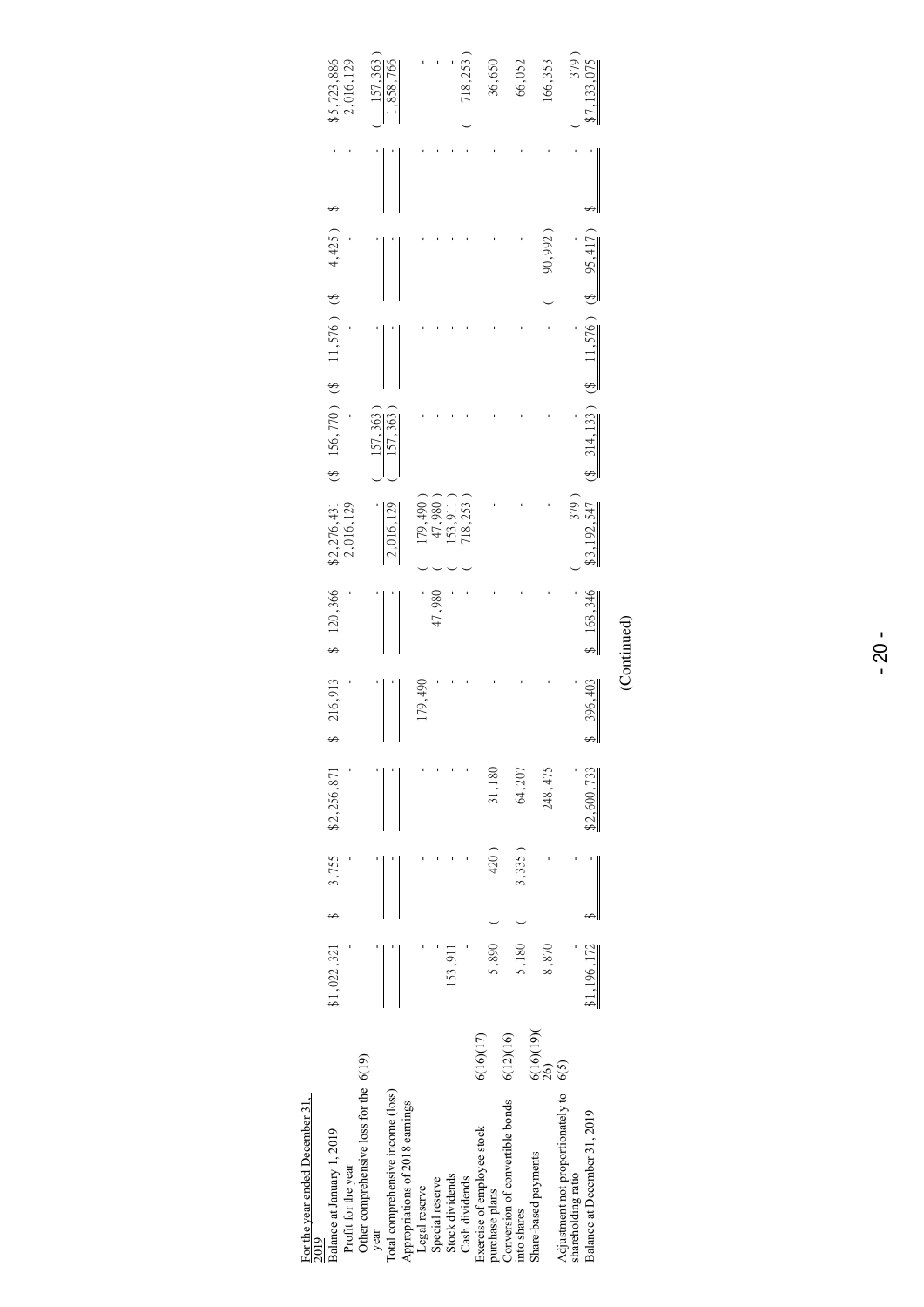| <b>KIN7</b>                                    |                       |        |             |         |             |                                                                        |                                                 |        |                  |                                |
|------------------------------------------------|-----------------------|--------|-------------|---------|-------------|------------------------------------------------------------------------|-------------------------------------------------|--------|------------------|--------------------------------|
| Balance at January 1, 2019                     | $$1,022,321$ $$3,755$ |        | \$2,256,871 | 216,913 | 120,366     |                                                                        | $(3 \t156, 770)$ $(3 \t11, 576)$ $(3 \t4, 425)$ |        |                  |                                |
| Profit for the year                            |                       |        |             |         |             | $\frac{$2,276,431}{2,016,129}$                                         |                                                 |        |                  | $\frac{$5,723,886}{2,016,129}$ |
| Other comprehensive loss for the 6(19)         |                       |        |             |         |             |                                                                        |                                                 |        |                  |                                |
| year                                           |                       |        |             |         |             |                                                                        | 157,363                                         |        |                  |                                |
| Total comprehensive income (loss)              |                       |        |             |         |             | 2,016,129                                                              | 157,363                                         |        |                  | $\frac{157,363}{1,858,766}$    |
| Appropriations of 2018 earnings                |                       |        |             |         |             |                                                                        |                                                 |        |                  |                                |
| Legal reserve                                  |                       |        |             | .79,490 |             |                                                                        |                                                 |        |                  |                                |
| Special reserve                                |                       |        |             |         | 47,980      | $\begin{array}{c} 179,490 \\ 47,980 \\ 153,911 \\ 718,253 \end{array}$ |                                                 |        |                  |                                |
| Stock dividends                                | 153,911               |        |             |         |             |                                                                        |                                                 |        |                  |                                |
| Cash dividends                                 |                       |        |             |         |             |                                                                        |                                                 |        |                  | 18,253                         |
| 6(16)(17)<br>Exercise of employee stock        |                       |        |             |         |             |                                                                        |                                                 |        |                  |                                |
| purchase plans                                 | 5,890                 | 420)   | 31,180      |         |             |                                                                        |                                                 |        |                  | 36,650                         |
| 6(12)(16)<br>Conversion of convertible bonds   |                       |        |             |         |             |                                                                        |                                                 |        |                  |                                |
| into shares                                    | 5,180                 | 3,335) | 64,207      |         |             |                                                                        |                                                 |        |                  | 66,052                         |
| $\frac{6(16)(19)}{26}$<br>Share-based payments | 8,870                 |        | 248,475     |         |             |                                                                        |                                                 |        | 90,992           | 166,353                        |
| 6(5)<br>Adjustment not proportionately to      |                       |        |             |         |             |                                                                        |                                                 |        |                  |                                |
| shareholding ratio                             |                       |        |             |         |             | 379)                                                                   |                                                 |        |                  | 379)                           |
| Balance at December 31, 2019                   | 1,196,172             |        | \$2,600,733 | 396,403 | 168,346     | 3,192,547                                                              | $(8 \quad 314, 133)$                            | 11,576 | $(8 \t 95, 417)$ | 7,133,075                      |
|                                                |                       |        |             |         | (Continued) |                                                                        |                                                 |        |                  |                                |
|                                                |                       |        |             |         |             |                                                                        |                                                 |        |                  |                                |

# For the year ended December 31, For the year ended December 31,<br>2019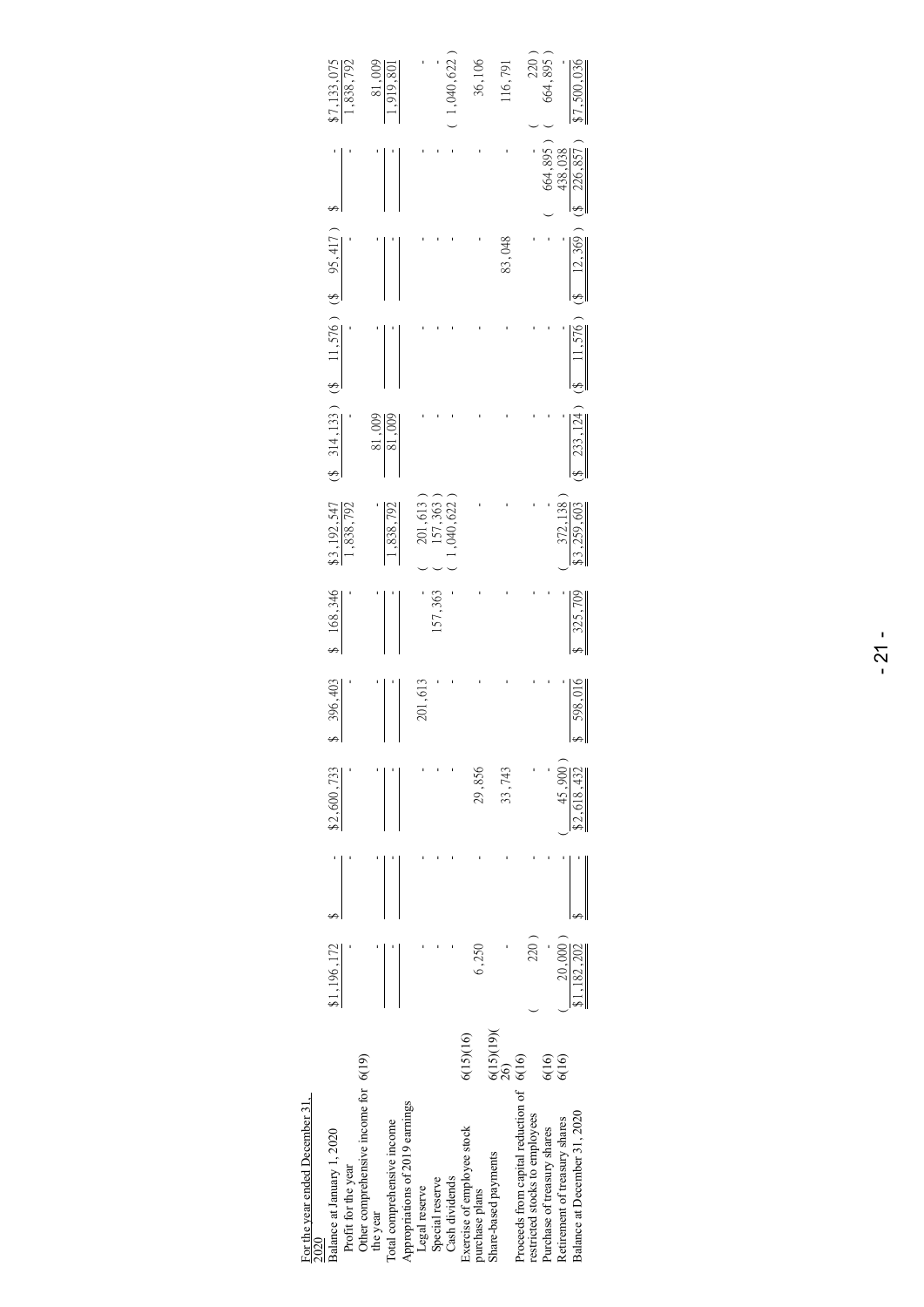| For the year ended December 31,<br>2020                                    |                        |                        |                       |         |         |                         |                                               |        |        |                    |                     |
|----------------------------------------------------------------------------|------------------------|------------------------|-----------------------|---------|---------|-------------------------|-----------------------------------------------|--------|--------|--------------------|---------------------|
| Balance at January 1, 2020<br>Profit for the year                          |                        | \$1,196,172            | \$2,600,733           | 396,403 | 168,346 | \$3,192,547<br>,838,792 | $(3, 314, 133)$ $(8, 11, 576)$ $(8, 95, 417)$ |        |        |                    | 133,075<br>,838,792 |
| Other comprehensive income for 6(19)<br>the year                           |                        |                        |                       |         |         |                         | 81,009                                        |        |        |                    | 81,009              |
| Total comprehensive income                                                 |                        |                        |                       |         |         | .838,792                | 81,009                                        |        |        |                    | ,919,80             |
| Appropriations of 2019 earnings<br>Legal reserve                           |                        |                        |                       | 201,613 |         |                         |                                               |        |        |                    |                     |
| Special reserve                                                            |                        |                        |                       |         | 157,363 | 201,613<br>157,363      |                                               |        |        |                    |                     |
| Cash dividends                                                             |                        |                        |                       |         |         | ,040,622                |                                               |        |        |                    | 1,040,622           |
| Exercise of employee stock<br>purchase plans                               | 6(15)(16)              | 6,250                  | 29,856                |         |         |                         |                                               |        |        |                    | 36,106              |
| Share-based payments                                                       | $\frac{6(15)(19)}{26}$ |                        | 33,743                |         |         |                         |                                               |        | 83,048 |                    | 116,791             |
| Proceeds from capital reduction of 6(16)<br>restricted stocks to employees |                        | 220)                   |                       |         |         |                         |                                               |        |        |                    | $220$ $^{\circ}$    |
| Purchase of treasury shares                                                | 6(16)                  |                        |                       |         |         |                         |                                               |        |        | 664,895)           | 664,895             |
| Balance at December 31, 2020<br>Retirement of treasury shares              | 6(16)                  | 20,000)<br>\$1,182,202 | 45,900<br>\$2,618,432 | 598,01  | 325,709 | 372,138<br>3,259,603    | 233, 124                                      | 11,576 | 12,369 | 226,857<br>438,038 | \$7,500,036         |
|                                                                            |                        |                        |                       |         |         |                         |                                               |        |        |                    |                     |

# For the year ended December 31,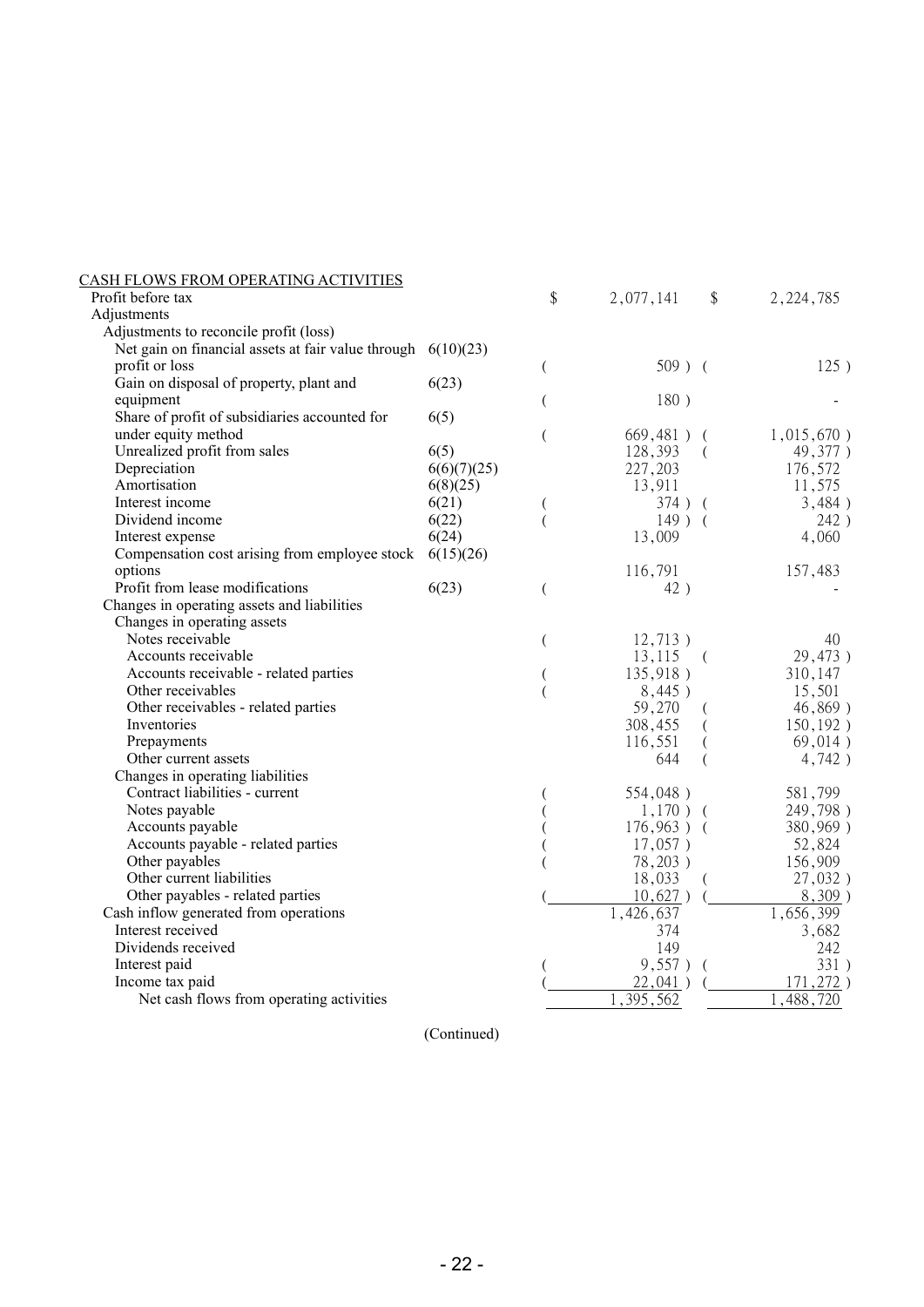| <u>CASH FLOWS FROM OPERATING ACTIVITIES</u>        |             |    |               |          |             |
|----------------------------------------------------|-------------|----|---------------|----------|-------------|
| Profit before tax                                  |             | \$ | 2,077,141     | \$       | 2, 224, 785 |
| Adjustments                                        |             |    |               |          |             |
| Adjustments to reconcile profit (loss)             |             |    |               |          |             |
| Net gain on financial assets at fair value through | 6(10)(23)   |    |               |          |             |
| profit or loss                                     |             | (  | $509$ ) (     |          | 125)        |
| Gain on disposal of property, plant and            | 6(23)       |    |               |          |             |
| equipment                                          |             |    | 180)          |          |             |
| Share of profit of subsidiaries accounted for      | 6(5)        |    |               |          |             |
| under equity method                                |             | (  | 669,481)      |          | 1,015,670)  |
| Unrealized profit from sales                       | 6(5)        |    | 128,393       | $\left($ | 49,377)     |
| Depreciation                                       | 6(6)(7)(25) |    | 227,203       |          | 176,572     |
| Amortisation                                       | 6(8)(25)    |    | 13,911        |          | 11,575      |
| Interest income                                    | 6(21)       |    | 374) (        |          | 3,484)      |
| Dividend income                                    | 6(22)       |    | $149$ ) (     |          | 242)        |
| Interest expense                                   | 6(24)       |    | 13,009        |          | 4,060       |
| Compensation cost arising from employee stock      | 6(15)(26)   |    |               |          |             |
| options                                            |             |    | 116,791       |          | 157,483     |
| Profit from lease modifications                    | 6(23)       | (  | 42)           |          |             |
| Changes in operating assets and liabilities        |             |    |               |          |             |
| Changes in operating assets                        |             |    |               |          |             |
| Notes receivable                                   |             | (  | 12,713)       |          | 40          |
| Accounts receivable                                |             |    | 13,115        | $\left($ | 29,473)     |
| Accounts receivable - related parties              |             |    | 135,918)      |          | 310,147     |
| Other receivables                                  |             |    | 8,445)        |          | 15,501      |
| Other receivables - related parties                |             |    | 59,270        |          | 46,869)     |
| Inventories                                        |             |    | 308,455       |          | 150, 192)   |
| Prepayments                                        |             |    | 116,551       |          | 69,014)     |
| Other current assets                               |             |    | 644           |          | 4,742)      |
| Changes in operating liabilities                   |             |    |               |          |             |
| Contract liabilities - current                     |             |    | 554,048)      |          | 581,799     |
| Notes payable                                      |             |    | $1,170$ ) (   |          | 249,798)    |
| Accounts payable                                   |             |    | $176,963$ ) ( |          | 380,969)    |
| Accounts payable - related parties                 |             |    | $17,057$ )    |          | 52,824      |
| Other payables                                     |             |    | 78,203)       |          | 156,909     |
| Other current liabilities                          |             |    | 18,033        |          | 27,032)     |
| Other payables - related parties                   |             |    | 10,627)       |          | $8,309$ )   |
| Cash inflow generated from operations              |             |    | 1,426,637     |          | 1,656,399   |
| Interest received                                  |             |    | 374           |          | 3,682       |
| Dividends received                                 |             |    | 149           |          | 242         |
| Interest paid                                      |             |    | 9,557)        | $\left($ | 331)        |
| Income tax paid                                    |             |    | 22,041)       |          | 171,272)    |
| Net cash flows from operating activities           |             |    | 395,562       |          | 488<br>720  |
|                                                    |             |    |               |          |             |

(Continued)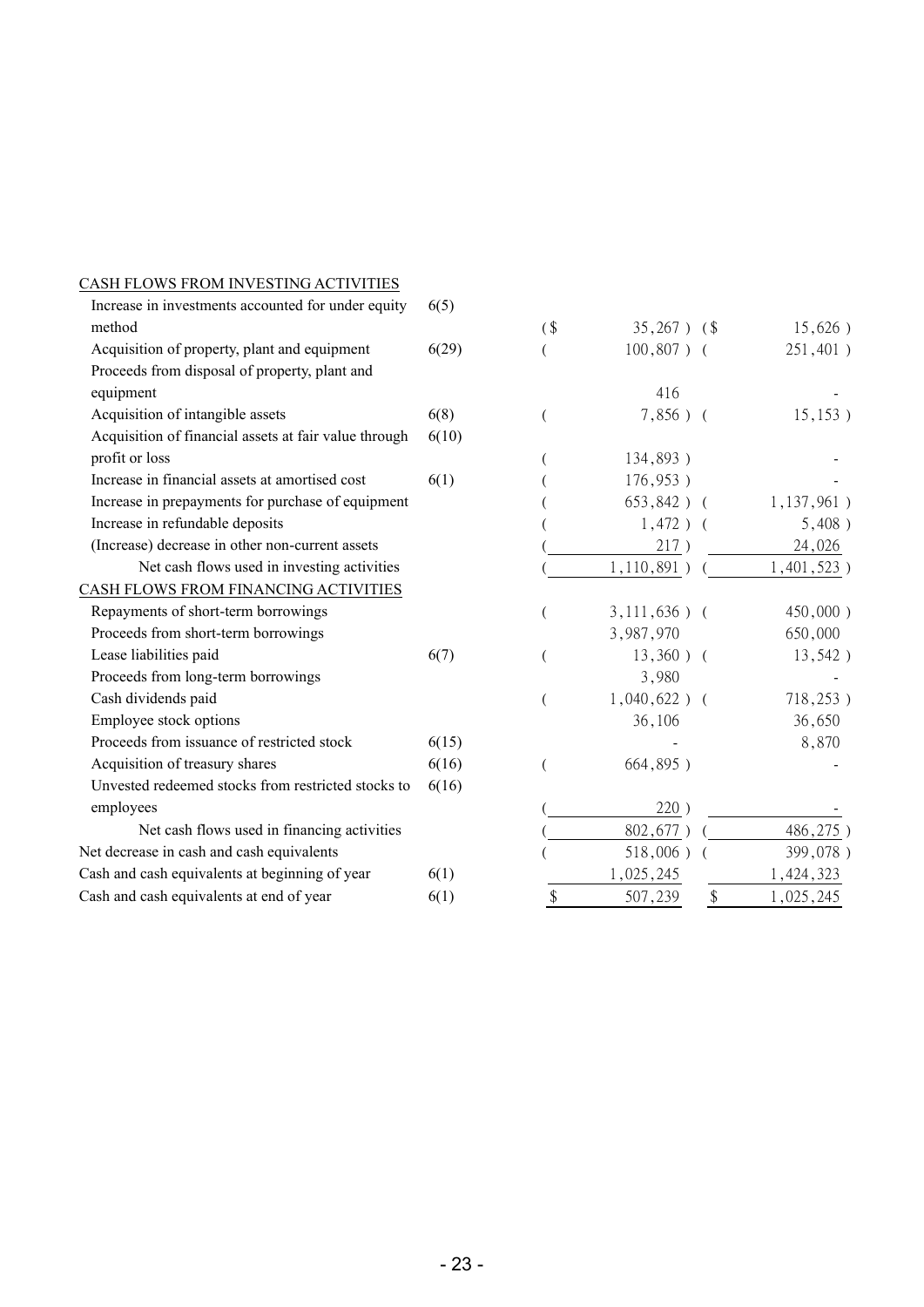| Increase in investments accounted for under equity    | 6(5)  |        |                  |                           |               |
|-------------------------------------------------------|-------|--------|------------------|---------------------------|---------------|
| method                                                |       | $($ \$ | $35,267$ ) $(\$$ |                           | 15,626)       |
| Acquisition of property, plant and equipment          | 6(29) |        | $100,807$ ) (    |                           | 251,401)      |
| Proceeds from disposal of property, plant and         |       |        |                  |                           |               |
| equipment                                             |       |        | 416              |                           |               |
| Acquisition of intangible assets                      | 6(8)  |        | $7,856$ ) (      |                           | 15, 153)      |
| Acquisition of financial assets at fair value through | 6(10) |        |                  |                           |               |
| profit or loss                                        |       |        | 134,893)         |                           |               |
| Increase in financial assets at amortised cost        | 6(1)  |        | 176,953)         |                           |               |
| Increase in prepayments for purchase of equipment     |       |        | $653,842$ ) (    |                           | $1,137,961$ ) |
| Increase in refundable deposits                       |       |        | $1,472$ ) (      |                           | 5,408)        |
| (Increase) decrease in other non-current assets       |       |        | 217)             |                           | 24,026        |
| Net cash flows used in investing activities           |       |        | 1,110,891)       |                           | $1,401,523$ ) |
| CASH FLOWS FROM FINANCING ACTIVITIES                  |       |        |                  |                           |               |
| Repayments of short-term borrowings                   |       |        | $3,111,636$ ) (  |                           | 450,000)      |
| Proceeds from short-term borrowings                   |       |        | 3,987,970        |                           | 650,000       |
| Lease liabilities paid                                | 6(7)  |        | $13,360$ ) (     |                           | 13,542)       |
| Proceeds from long-term borrowings                    |       |        | 3,980            |                           |               |
| Cash dividends paid                                   |       |        | $1,040,622$ ) (  |                           | 718,253)      |
| Employee stock options                                |       |        | 36,106           |                           | 36,650        |
| Proceeds from issuance of restricted stock            | 6(15) |        |                  |                           | 8,870         |
| Acquisition of treasury shares                        | 6(16) |        | 664,895)         |                           |               |
| Unvested redeemed stocks from restricted stocks to    | 6(16) |        |                  |                           |               |
| employees                                             |       |        | 220)             |                           |               |
| Net cash flows used in financing activities           |       |        | 802,677)         |                           | 486,275)      |
| Net decrease in cash and cash equivalents             |       |        | 518,006)         |                           | 399,078)      |
| Cash and cash equivalents at beginning of year        | 6(1)  |        | 1,025,245        |                           | 1,424,323     |
| Cash and cash equivalents at end of year              | 6(1)  | \$     | 507,239          | $\boldsymbol{\mathsf{S}}$ | 1,025,245     |

CASH FLOWS FROM INVESTING ACTIVITIES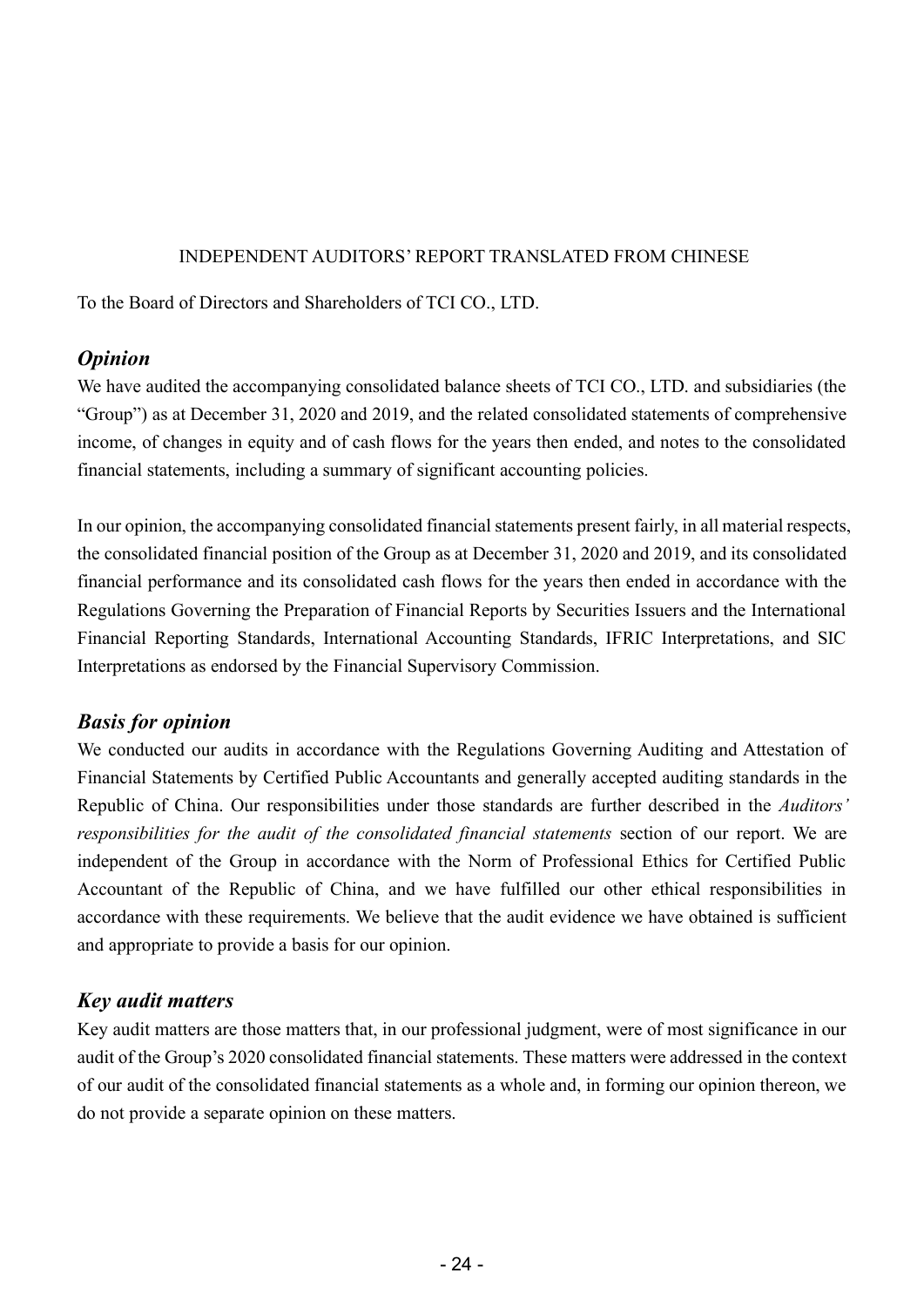#### INDEPENDENT AUDITORS' REPORT TRANSLATED FROM CHINESE

To the Board of Directors and Shareholders of TCI CO., LTD.

#### *Opinion*

We have audited the accompanying consolidated balance sheets of TCI CO., LTD. and subsidiaries (the "Group") as at December 31, 2020 and 2019, and the related consolidated statements of comprehensive income, of changes in equity and of cash flows for the years then ended, and notes to the consolidated financial statements, including a summary of significant accounting policies.

In our opinion, the accompanying consolidated financial statements present fairly, in all material respects, the consolidated financial position of the Group as at December 31, 2020 and 2019, and its consolidated financial performance and its consolidated cash flows for the years then ended in accordance with the Regulations Governing the Preparation of Financial Reports by Securities Issuers and the International Financial Reporting Standards, International Accounting Standards, IFRIC Interpretations, and SIC Interpretations as endorsed by the Financial Supervisory Commission.

# *Basis for opinion*

We conducted our audits in accordance with the Regulations Governing Auditing and Attestation of Financial Statements by Certified Public Accountants and generally accepted auditing standards in the Republic of China. Our responsibilities under those standards are further described in the *Auditors' responsibilities for the audit of the consolidated financial statements* section of our report. We are independent of the Group in accordance with the Norm of Professional Ethics for Certified Public Accountant of the Republic of China, and we have fulfilled our other ethical responsibilities in accordance with these requirements. We believe that the audit evidence we have obtained is sufficient and appropriate to provide a basis for our opinion.

# *Key audit matters*

Key audit matters are those matters that, in our professional judgment, were of most significance in our audit of the Group's 2020 consolidated financial statements. These matters were addressed in the context of our audit of the consolidated financial statements as a whole and, in forming our opinion thereon, we do not provide a separate opinion on these matters.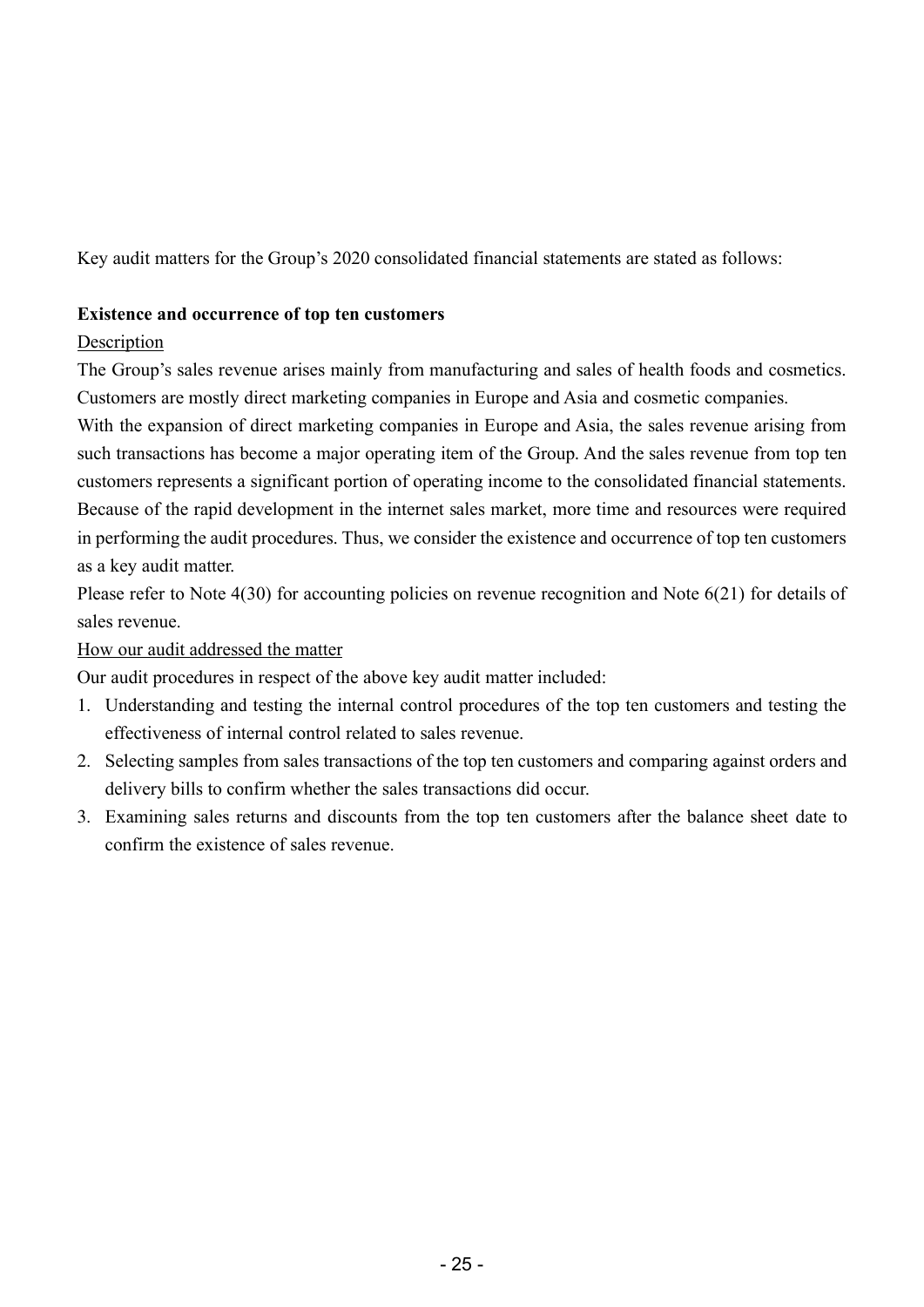Key audit matters for the Group's 2020 consolidated financial statements are stated as follows:

#### **Existence and occurrence of top ten customers**

#### **Description**

The Group's sales revenue arises mainly from manufacturing and sales of health foods and cosmetics. Customers are mostly direct marketing companies in Europe and Asia and cosmetic companies.

With the expansion of direct marketing companies in Europe and Asia, the sales revenue arising from such transactions has become a major operating item of the Group. And the sales revenue from top ten customers represents a significant portion of operating income to the consolidated financial statements. Because of the rapid development in the internet sales market, more time and resources were required in performing the audit procedures. Thus, we consider the existence and occurrence of top ten customers as a key audit matter.

Please refer to Note 4(30) for accounting policies on revenue recognition and Note 6(21) for details of sales revenue.

How our audit addressed the matter

Our audit procedures in respect of the above key audit matter included:

- 1. Understanding and testing the internal control procedures of the top ten customers and testing the effectiveness of internal control related to sales revenue.
- 2. Selecting samples from sales transactions of the top ten customers and comparing against orders and delivery bills to confirm whether the sales transactions did occur.
- 3. Examining sales returns and discounts from the top ten customers after the balance sheet date to confirm the existence of sales revenue.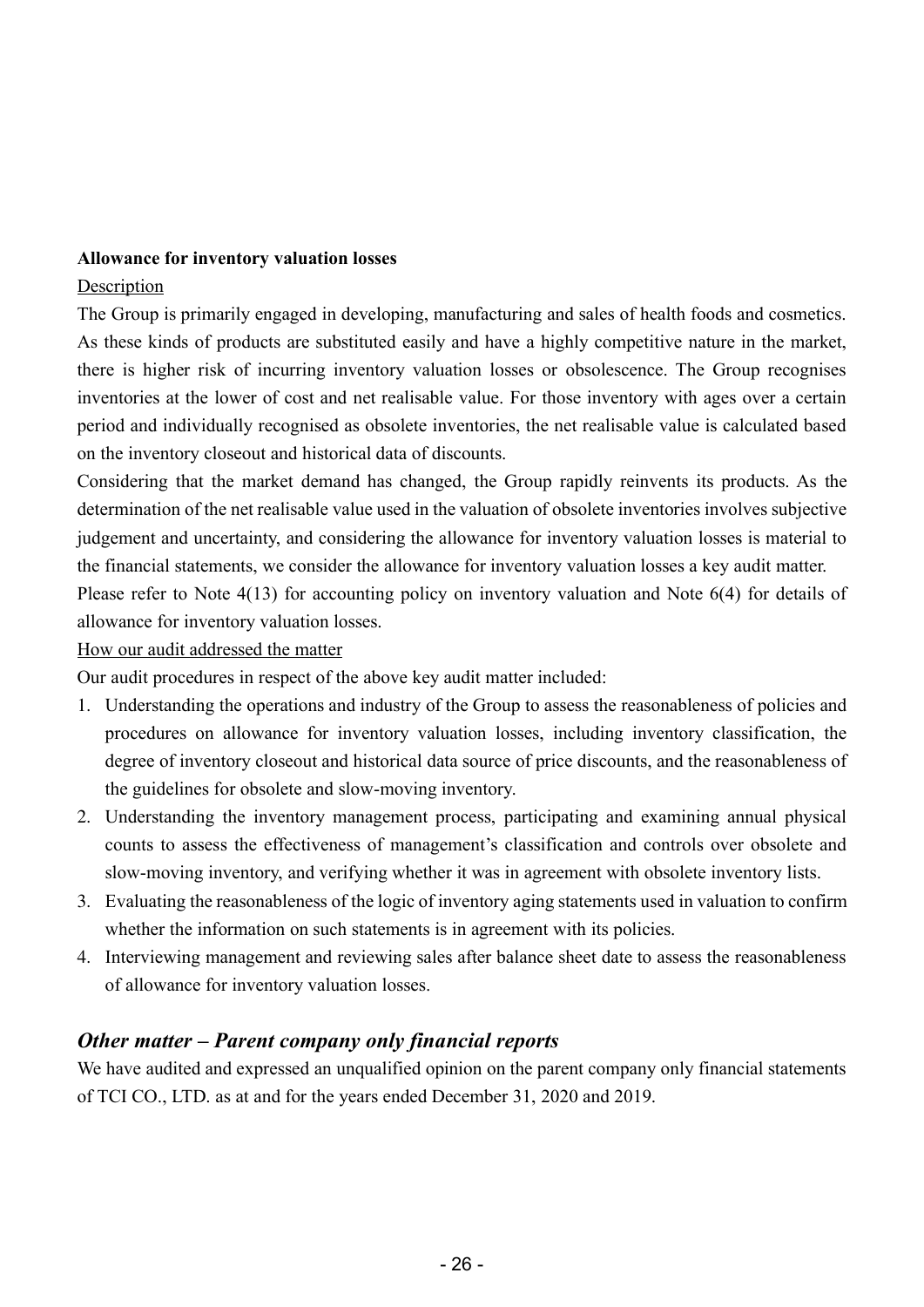#### **Allowance for inventory valuation losses**

#### Description

The Group is primarily engaged in developing, manufacturing and sales of health foods and cosmetics. As these kinds of products are substituted easily and have a highly competitive nature in the market, there is higher risk of incurring inventory valuation losses or obsolescence. The Group recognises inventories at the lower of cost and net realisable value. For those inventory with ages over a certain period and individually recognised as obsolete inventories, the net realisable value is calculated based on the inventory closeout and historical data of discounts.

Considering that the market demand has changed, the Group rapidly reinvents its products. As the determination of the net realisable value used in the valuation of obsolete inventories involves subjective judgement and uncertainty, and considering the allowance for inventory valuation losses is material to the financial statements, we consider the allowance for inventory valuation losses a key audit matter. Please refer to Note 4(13) for accounting policy on inventory valuation and Note 6(4) for details of

allowance for inventory valuation losses.

#### How our audit addressed the matter

Our audit procedures in respect of the above key audit matter included:

- 1. Understanding the operations and industry of the Group to assess the reasonableness of policies and procedures on allowance for inventory valuation losses, including inventory classification, the degree of inventory closeout and historical data source of price discounts, and the reasonableness of the guidelines for obsolete and slow-moving inventory.
- 2. Understanding the inventory management process, participating and examining annual physical counts to assess the effectiveness of management's classification and controls over obsolete and slow-moving inventory, and verifying whether it was in agreement with obsolete inventory lists.
- 3. Evaluating the reasonableness of the logic of inventory aging statements used in valuation to confirm whether the information on such statements is in agreement with its policies.
- 4. Interviewing management and reviewing sales after balance sheet date to assess the reasonableness of allowance for inventory valuation losses.

#### *Other matter – Parent company only financial reports*

We have audited and expressed an unqualified opinion on the parent company only financial statements of TCI CO., LTD. as at and for the years ended December 31, 2020 and 2019.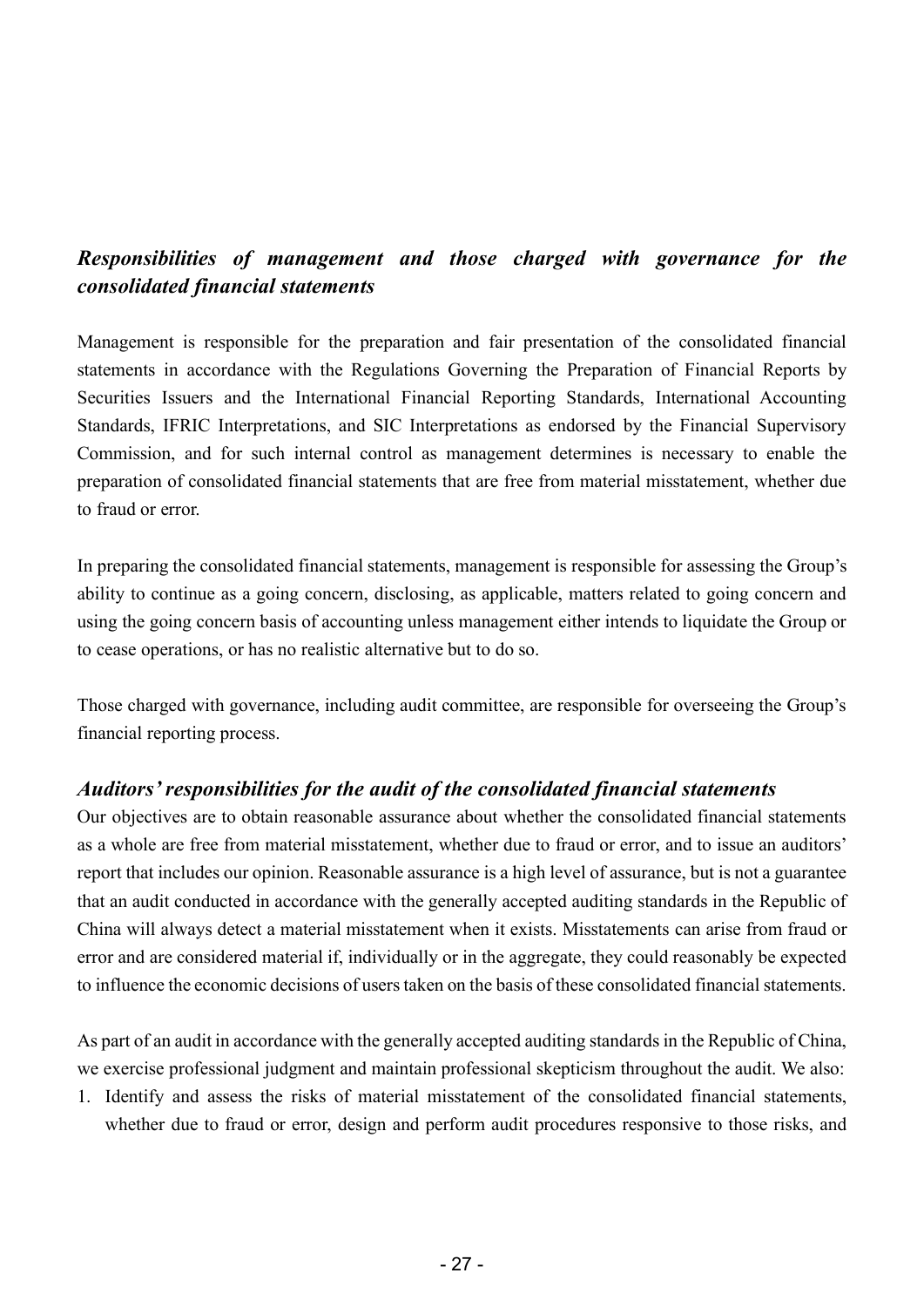# *Responsibilities of management and those charged with governance for the consolidated financial statements*

Management is responsible for the preparation and fair presentation of the consolidated financial statements in accordance with the Regulations Governing the Preparation of Financial Reports by Securities Issuers and the International Financial Reporting Standards, International Accounting Standards, IFRIC Interpretations, and SIC Interpretations as endorsed by the Financial Supervisory Commission, and for such internal control as management determines is necessary to enable the preparation of consolidated financial statements that are free from material misstatement, whether due to fraud or error.

In preparing the consolidated financial statements, management is responsible for assessing the Group's ability to continue as a going concern, disclosing, as applicable, matters related to going concern and using the going concern basis of accounting unless management either intends to liquidate the Group or to cease operations, or has no realistic alternative but to do so.

Those charged with governance, including audit committee, are responsible for overseeing the Group's financial reporting process.

#### *Auditors' responsibilities for the audit of the consolidated financial statements*

Our objectives are to obtain reasonable assurance about whether the consolidated financial statements as a whole are free from material misstatement, whether due to fraud or error, and to issue an auditors' report that includes our opinion. Reasonable assurance is a high level of assurance, but is not a guarantee that an audit conducted in accordance with the generally accepted auditing standards in the Republic of China will always detect a material misstatement when it exists. Misstatements can arise from fraud or error and are considered material if, individually or in the aggregate, they could reasonably be expected to influence the economic decisions of users taken on the basis of these consolidated financial statements.

As part of an audit in accordance with the generally accepted auditing standards in the Republic of China, we exercise professional judgment and maintain professional skepticism throughout the audit. We also:

1. Identify and assess the risks of material misstatement of the consolidated financial statements, whether due to fraud or error, design and perform audit procedures responsive to those risks, and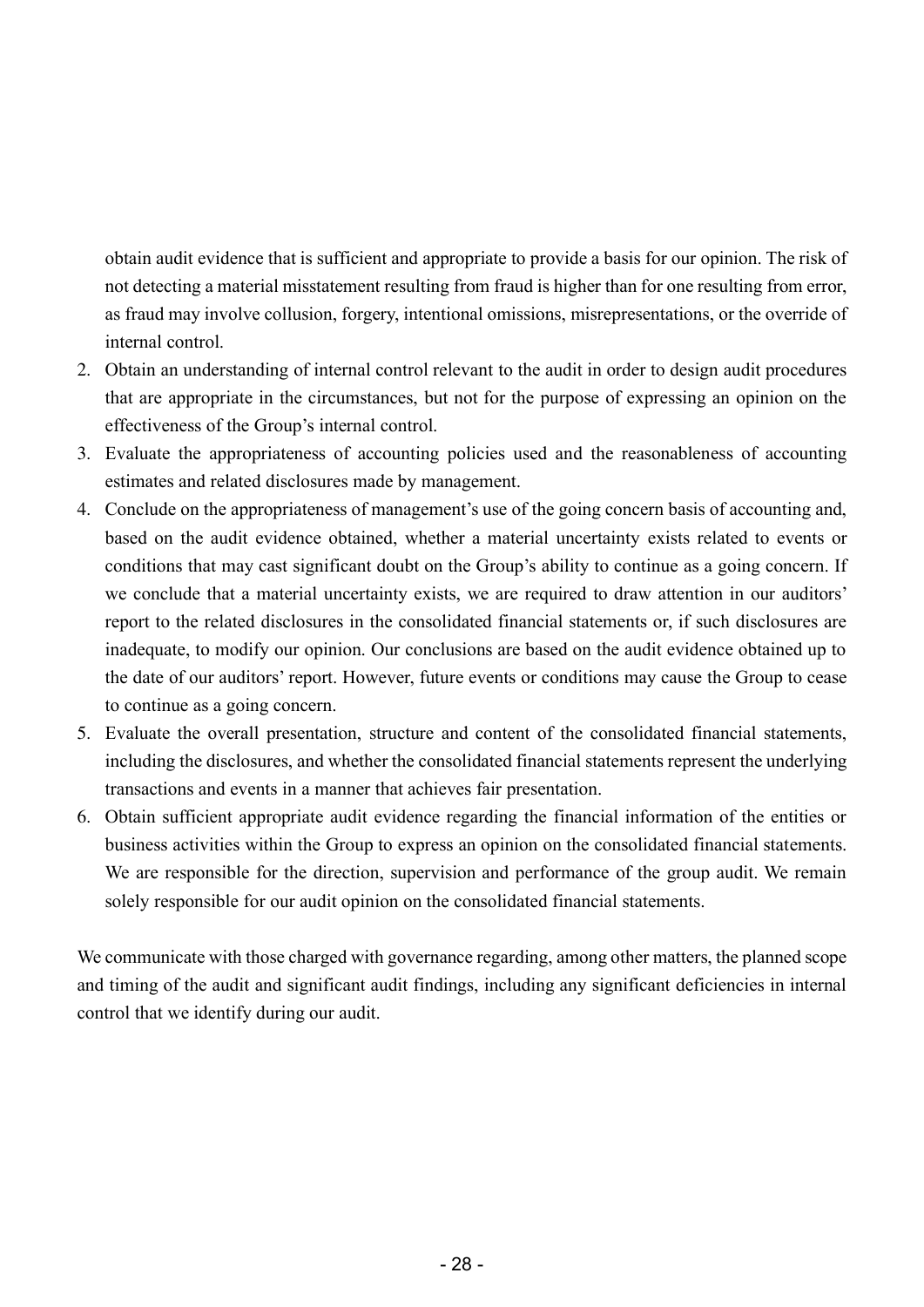obtain audit evidence that is sufficient and appropriate to provide a basis for our opinion. The risk of not detecting a material misstatement resulting from fraud is higher than for one resulting from error, as fraud may involve collusion, forgery, intentional omissions, misrepresentations, or the override of internal control.

- 2. Obtain an understanding of internal control relevant to the audit in order to design audit procedures that are appropriate in the circumstances, but not for the purpose of expressing an opinion on the effectiveness of the Group's internal control.
- 3. Evaluate the appropriateness of accounting policies used and the reasonableness of accounting estimates and related disclosures made by management.
- 4. Conclude on the appropriateness of management's use of the going concern basis of accounting and, based on the audit evidence obtained, whether a material uncertainty exists related to events or conditions that may cast significant doubt on the Group's ability to continue as a going concern. If we conclude that a material uncertainty exists, we are required to draw attention in our auditors' report to the related disclosures in the consolidated financial statements or, if such disclosures are inadequate, to modify our opinion. Our conclusions are based on the audit evidence obtained up to the date of our auditors' report. However, future events or conditions may cause the Group to cease to continue as a going concern.
- 5. Evaluate the overall presentation, structure and content of the consolidated financial statements, including the disclosures, and whether the consolidated financial statements represent the underlying transactions and events in a manner that achieves fair presentation.
- 6. Obtain sufficient appropriate audit evidence regarding the financial information of the entities or business activities within the Group to express an opinion on the consolidated financial statements. We are responsible for the direction, supervision and performance of the group audit. We remain solely responsible for our audit opinion on the consolidated financial statements.

We communicate with those charged with governance regarding, among other matters, the planned scope and timing of the audit and significant audit findings, including any significant deficiencies in internal control that we identify during our audit.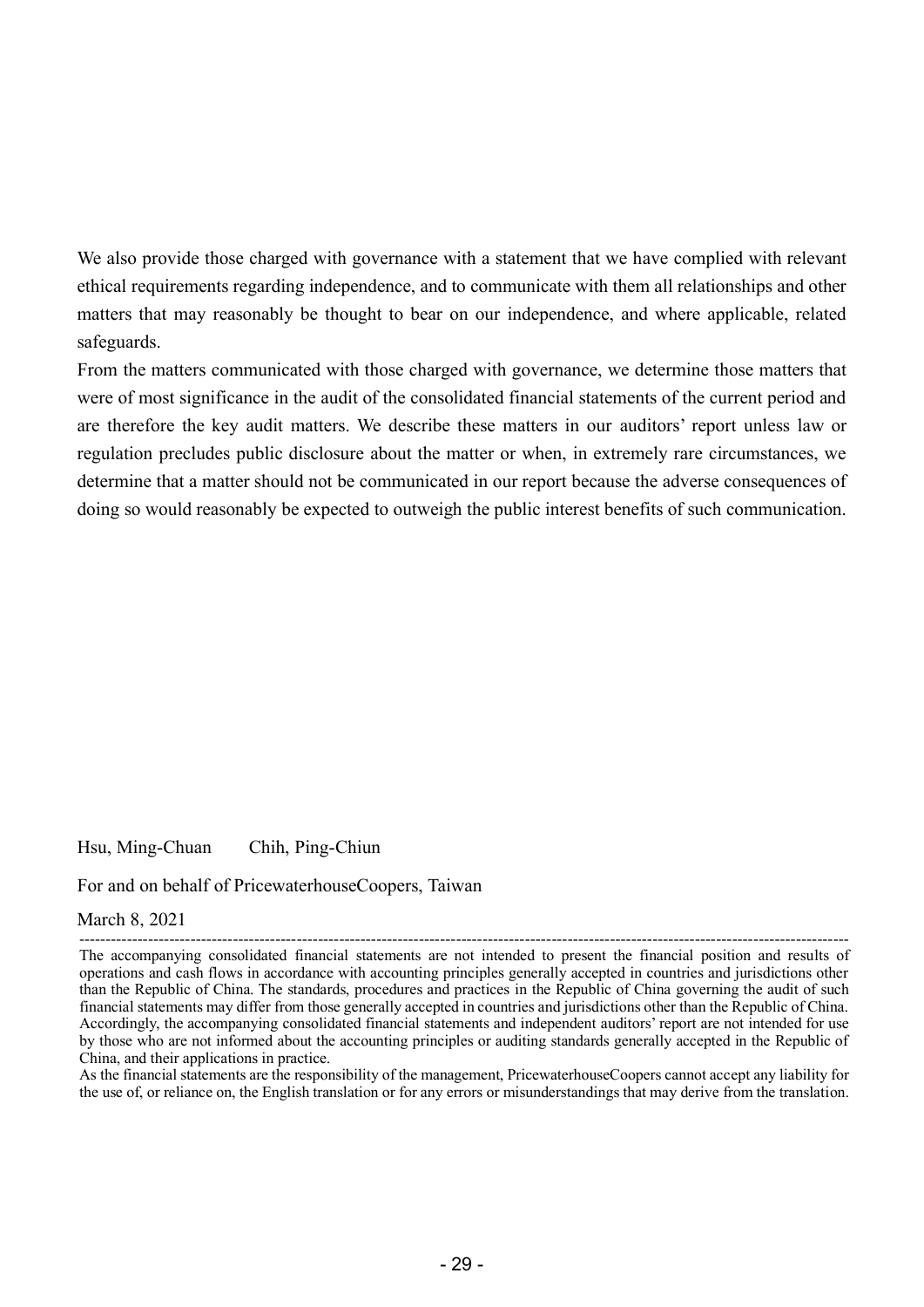We also provide those charged with governance with a statement that we have complied with relevant ethical requirements regarding independence, and to communicate with them all relationships and other matters that may reasonably be thought to bear on our independence, and where applicable, related safeguards.

From the matters communicated with those charged with governance, we determine those matters that were of most significance in the audit of the consolidated financial statements of the current period and are therefore the key audit matters. We describe these matters in our auditors' report unless law or regulation precludes public disclosure about the matter or when, in extremely rare circumstances, we determine that a matter should not be communicated in our report because the adverse consequences of doing so would reasonably be expected to outweigh the public interest benefits of such communication.

Hsu, Ming-Chuan Chih, Ping-Chiun

For and on behalf of PricewaterhouseCoopers, Taiwan

#### March 8, 2021

As the financial statements are the responsibility of the management, PricewaterhouseCoopers cannot accept any liability for the use of, or reliance on, the English translation or for any errors or misunderstandings that may derive from the translation.

<sup>-------------------------------------------------------------------------------------------------------------------------------------------------</sup> The accompanying consolidated financial statements are not intended to present the financial position and results of operations and cash flows in accordance with accounting principles generally accepted in countries and jurisdictions other than the Republic of China. The standards, procedures and practices in the Republic of China governing the audit of such financial statements may differ from those generally accepted in countries and jurisdictions other than the Republic of China. Accordingly, the accompanying consolidated financial statements and independent auditors' report are not intended for use by those who are not informed about the accounting principles or auditing standards generally accepted in the Republic of China, and their applications in practice.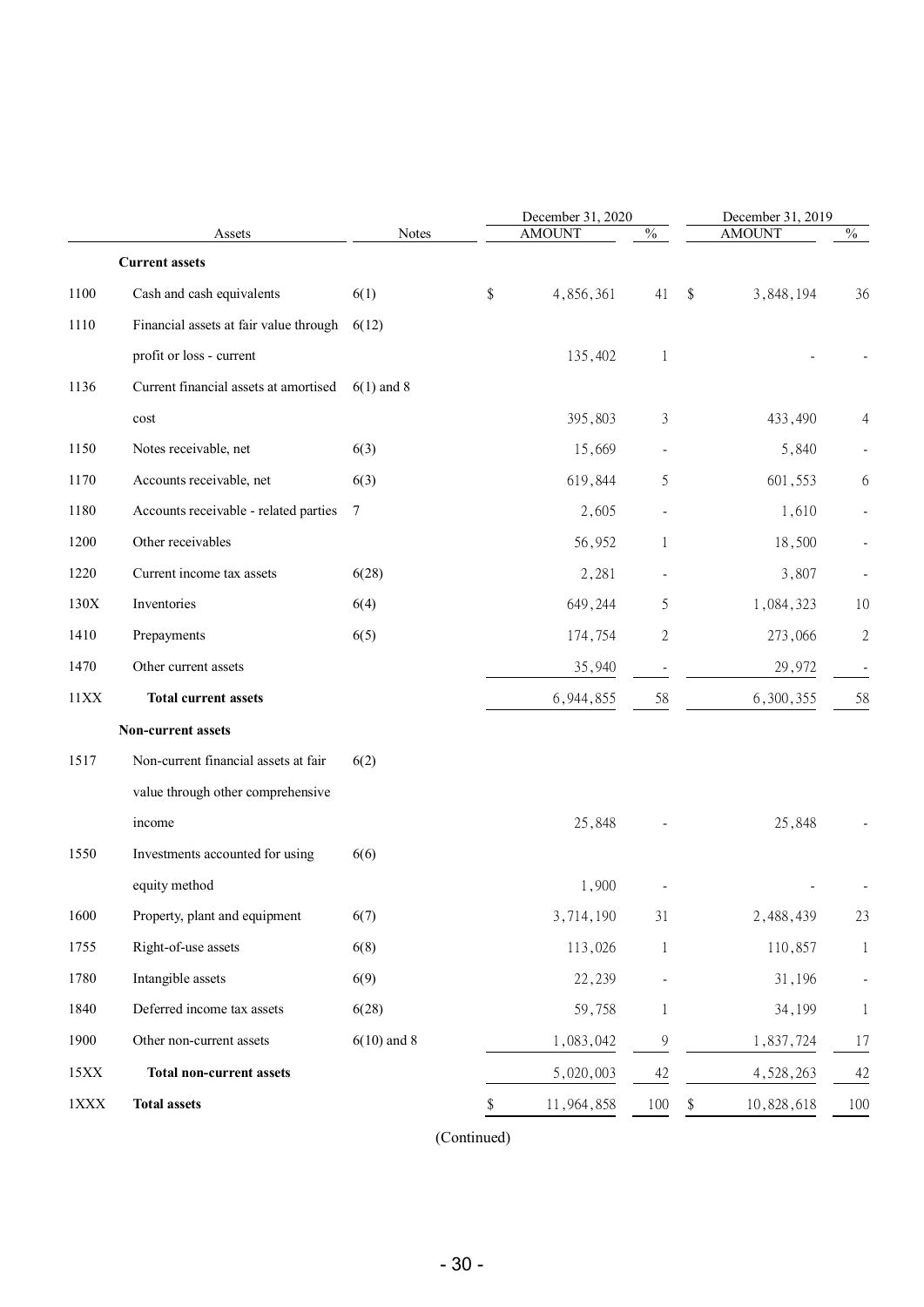|             |                                        |               | December 31, 2020 |              | December 31, 2019 |              |
|-------------|----------------------------------------|---------------|-------------------|--------------|-------------------|--------------|
|             | Assets                                 | <b>Notes</b>  | <b>AMOUNT</b>     | $\%$         | <b>AMOUNT</b>     | $\%$         |
|             | <b>Current assets</b>                  |               |                   |              |                   |              |
| 1100        | Cash and cash equivalents              | 6(1)          | \$<br>4,856,361   | 41           | \$<br>3,848,194   | 36           |
| 1110        | Financial assets at fair value through | 6(12)         |                   |              |                   |              |
|             | profit or loss - current               |               | 135,402           | 1            |                   |              |
| 1136        | Current financial assets at amortised  | $6(1)$ and 8  |                   |              |                   |              |
|             | $\mathop{\text{cost}}$                 |               | 395,803           | 3            | 433,490           |              |
| 1150        | Notes receivable, net                  | 6(3)          | 15,669            |              | 5,840             |              |
| 1170        | Accounts receivable, net               | 6(3)          | 619,844           | 5            | 601,553           | 6            |
| 1180        | Accounts receivable - related parties  | $\tau$        | 2,605             |              | 1,610             |              |
| 1200        | Other receivables                      |               | 56,952            | 1            | 18,500            |              |
| 1220        | Current income tax assets              | 6(28)         | 2,281             |              | 3,807             |              |
| 130X        | Inventories                            | 6(4)          | 649,244           | 5            | 1,084,323         | 10           |
| 1410        | Prepayments                            | 6(5)          | 174,754           | 2            | 273,066           | $\sqrt{2}$   |
| 1470        | Other current assets                   |               | 35,940            |              | 29,972            |              |
| 11XX        | <b>Total current assets</b>            |               | 6,944,855         | 58           | 6,300,355         | 58           |
|             | Non-current assets                     |               |                   |              |                   |              |
| 1517        | Non-current financial assets at fair   | 6(2)          |                   |              |                   |              |
|             | value through other comprehensive      |               |                   |              |                   |              |
|             | income                                 |               | 25,848            |              | 25,848            |              |
| 1550        | Investments accounted for using        | 6(6)          |                   |              |                   |              |
|             | equity method                          |               | 1,900             |              |                   |              |
| 1600        | Property, plant and equipment          | 6(7)          | 3,714,190         | 31           | 2,488,439         | 23           |
| 1755        | Right-of-use assets                    | 6(8)          | 113,026           | $\mathbf{1}$ | 110,857           | $\mathbf{1}$ |
| 1780        | Intangible assets                      | 6(9)          | 22,239            |              | 31,196            |              |
| 1840        | Deferred income tax assets             | 6(28)         | 59,758            | 1            | 34,199            | 1            |
| 1900        | Other non-current assets               | $6(10)$ and 8 | 1,083,042         | 9            | 1,837,724         | 17           |
| 15XX        | <b>Total non-current assets</b>        |               | 5,020,003         | 42           | 4,528,263         | 42           |
| $1\rm{XXX}$ | <b>Total assets</b>                    |               | 11,964,858        | 100          | \$<br>10,828,618  | 100          |

(Continued)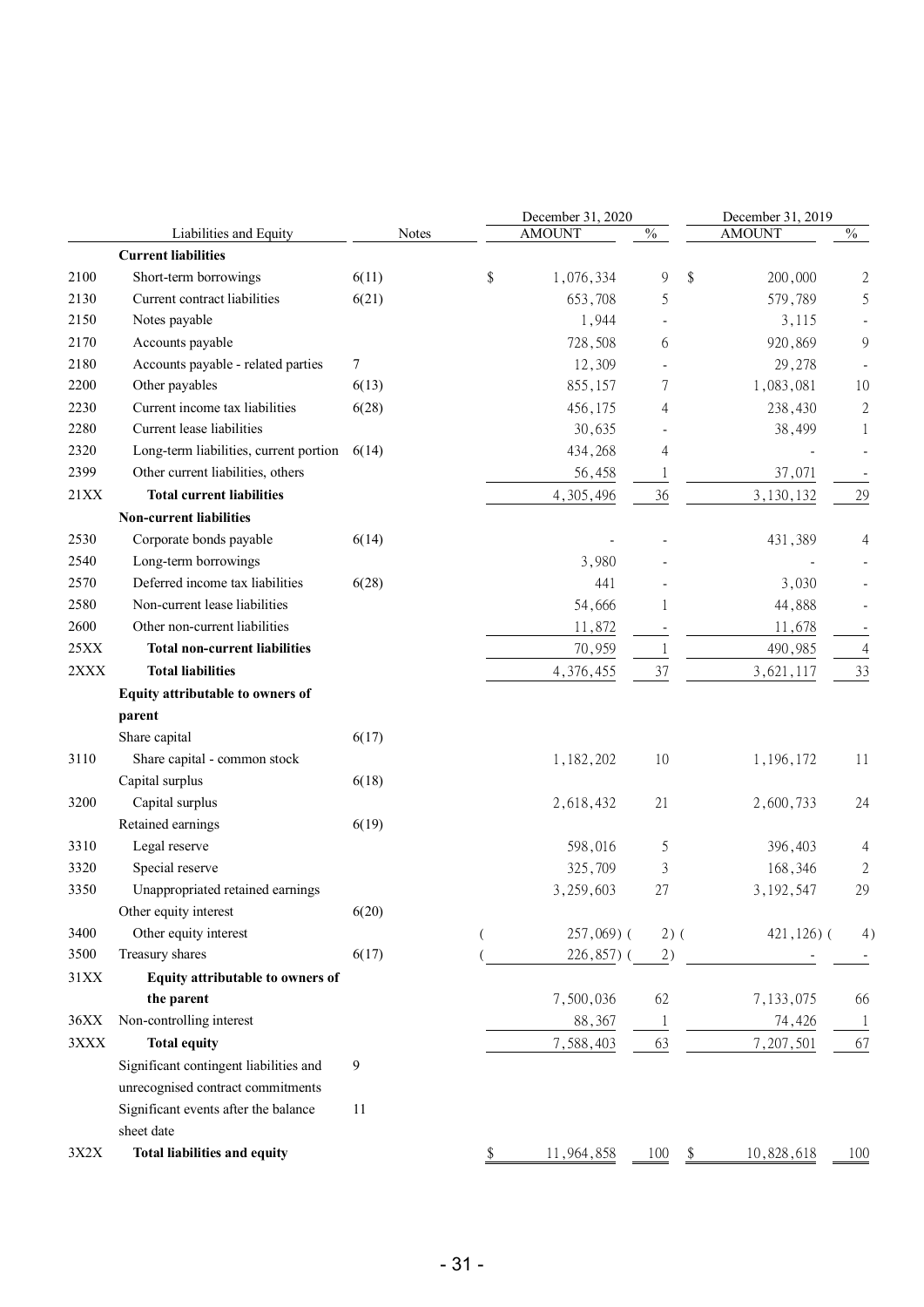|      |                                        |       |    | December 31, 2020 |        | December 31, 2019 |                |
|------|----------------------------------------|-------|----|-------------------|--------|-------------------|----------------|
|      | Liabilities and Equity                 | Notes |    | <b>AMOUNT</b>     | $\%$   | <b>AMOUNT</b>     | $\%$           |
|      | <b>Current liabilities</b>             |       |    |                   |        |                   |                |
| 2100 | Short-term borrowings                  | 6(11) | \$ | 1,076,334         | 9      | \$<br>200,000     | $\mathfrak{2}$ |
| 2130 | Current contract liabilities           | 6(21) |    | 653,708           | 5      | 579,789           | 5              |
| 2150 | Notes payable                          |       |    | 1,944             |        | 3,115             |                |
| 2170 | Accounts payable                       |       |    | 728,508           | 6      | 920,869           | 9              |
| 2180 | Accounts payable - related parties     | 7     |    | 12,309            |        | 29,278            |                |
| 2200 | Other payables                         | 6(13) |    | 855,157           | 7      | 1,083,081         | 10             |
| 2230 | Current income tax liabilities         | 6(28) |    | 456,175           | 4      | 238,430           | $\sqrt{2}$     |
| 2280 | Current lease liabilities              |       |    | 30,635            |        | 38,499            | 1              |
| 2320 | Long-term liabilities, current portion | 6(14) |    | 434,268           | 4      |                   |                |
| 2399 | Other current liabilities, others      |       |    | 56,458            | 1      | 37,071            |                |
| 21XX | <b>Total current liabilities</b>       |       |    | 4,305,496         | 36     | 3,130,132         | 29             |
|      | <b>Non-current liabilities</b>         |       |    |                   |        |                   |                |
| 2530 | Corporate bonds payable                | 6(14) |    |                   |        | 431,389           | 4              |
| 2540 | Long-term borrowings                   |       |    | 3,980             |        |                   |                |
| 2570 | Deferred income tax liabilities        | 6(28) |    | 441               |        | 3,030             |                |
| 2580 | Non-current lease liabilities          |       |    | 54,666            | 1      | 44,888            |                |
| 2600 | Other non-current liabilities          |       |    | 11,872            |        | 11,678            |                |
| 25XX | <b>Total non-current liabilities</b>   |       |    | 70,959            | 1      | 490,985           | $\overline{4}$ |
| 2XXX | <b>Total liabilities</b>               |       |    | 4,376,455         | 37     | 3,621,117         | 33             |
|      | Equity attributable to owners of       |       |    |                   |        |                   |                |
|      | parent                                 |       |    |                   |        |                   |                |
|      | Share capital                          | 6(17) |    |                   |        |                   |                |
| 3110 | Share capital - common stock           |       |    | 1,182,202         | 10     | 1,196,172         | 11             |
|      | Capital surplus                        | 6(18) |    |                   |        |                   |                |
| 3200 | Capital surplus                        |       |    | 2,618,432         | 21     | 2,600,733         | 24             |
|      | Retained earnings                      | 6(19) |    |                   |        |                   |                |
| 3310 | Legal reserve                          |       |    | 598,016           | 5      | 396,403           | 4              |
| 3320 | Special reserve                        |       |    | 325,709           | 3      | 168,346           | 2              |
| 3350 | Unappropriated retained earnings       |       |    | 3,259,603         | 27     | 3, 192, 547       | 29             |
|      | Other equity interest                  | 6(20) |    |                   |        |                   |                |
| 3400 | Other equity interest                  |       |    | $257,069$ (       | $2)$ ( | $421,126$ ) (     | 4)             |
| 3500 | Treasury shares                        | 6(17) |    | 226,857) (        | 2)     |                   |                |
| 31XX | Equity attributable to owners of       |       |    |                   |        |                   |                |
|      | the parent                             |       |    | 7,500,036         | 62     | 7,133,075         | 66             |
| 36XX | Non-controlling interest               |       |    | 88,367            | 1      | 74,426            | $\mathbf{1}$   |
| 3XXX | <b>Total equity</b>                    |       |    | 7,588,403         | 63     | 7,207,501         | 67             |
|      | Significant contingent liabilities and | 9     |    |                   |        |                   |                |
|      | unrecognised contract commitments      |       |    |                   |        |                   |                |
|      | Significant events after the balance   | 11    |    |                   |        |                   |                |
|      | sheet date                             |       |    |                   |        |                   |                |
| 3X2X | <b>Total liabilities and equity</b>    |       | P. | 11,964,858        | 100    | 10,828,618<br>\$  | 100            |
|      |                                        |       |    |                   |        |                   |                |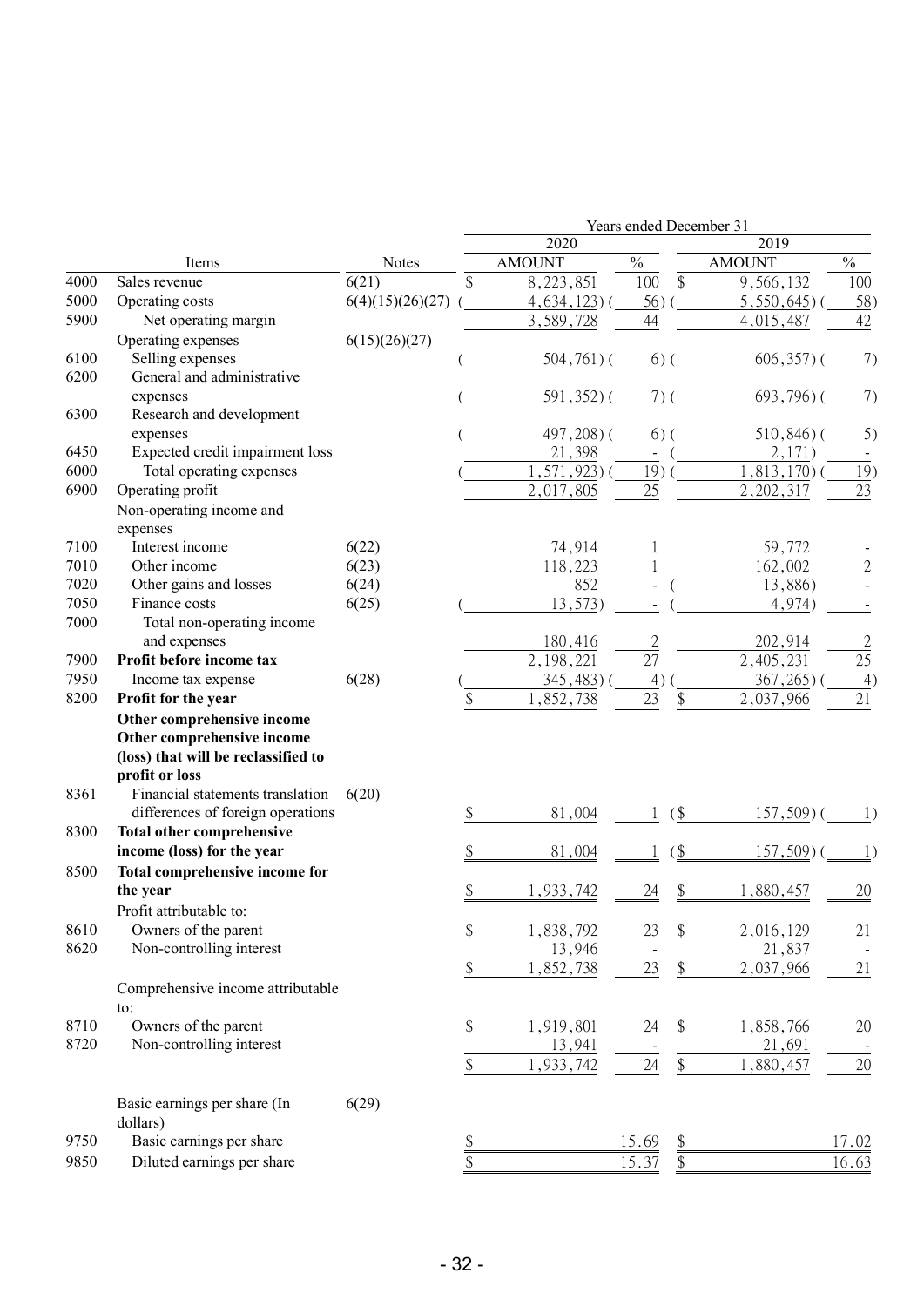|      |                                     |                  | Years ended December 31 |                 |                |                   |                |                          |
|------|-------------------------------------|------------------|-------------------------|-----------------|----------------|-------------------|----------------|--------------------------|
|      |                                     |                  |                         | 2020            |                |                   | 2019           |                          |
|      | Items                               | <b>Notes</b>     |                         | <b>AMOUNT</b>   | $\frac{0}{0}$  |                   | <b>AMOUNT</b>  | $\frac{0}{0}$            |
| 4000 | Sales revenue                       | 6(21)            | \$                      | 8,223,851       | 100            | \$                | 9,566,132      | 100                      |
| 5000 | Operating costs                     | 6(4)(15)(26)(27) |                         | $4,634,123$ ) ( | 56)            |                   | $5,550,645$ )  | 58)                      |
| 5900 | Net operating margin                |                  |                         | 3,589,728       | 44             |                   | 4,015,487      | 42                       |
|      | Operating expenses                  | 6(15)(26)(27)    |                         |                 |                |                   |                |                          |
| 6100 | Selling expenses                    |                  |                         | $504,761$ ) (   |                | $6)$ (            | $606, 357$ ) ( | 7)                       |
| 6200 | General and administrative          |                  |                         |                 |                |                   |                |                          |
|      | expenses                            |                  |                         | $591,352$ )(    |                | $7)$ (            | $693,796$ ) (  | 7)                       |
| 6300 | Research and development            |                  |                         |                 |                |                   |                |                          |
|      | expenses                            |                  |                         | $497,208$ ) (   |                | $6)$ (            | $510,846$ ) (  | 5)                       |
| 6450 | Expected credit impairment loss     |                  |                         | 21,398          | $\blacksquare$ |                   | 2,171)         |                          |
| 6000 | Total operating expenses            |                  |                         | $1, 571, 923$ ) | 19)            |                   | $1,813,170$ )  | 19)                      |
| 6900 | Operating profit                    |                  |                         | 2,017,805       | 25             |                   | 2, 202, 317    | 23                       |
|      | Non-operating income and            |                  |                         |                 |                |                   |                |                          |
|      | expenses                            |                  |                         |                 |                |                   |                |                          |
| 7100 | Interest income                     | 6(22)            |                         | 74,914          |                |                   | 59,772         |                          |
| 7010 | Other income                        | 6(23)            |                         | 118,223         |                |                   | 162,002        | $\overline{2}$           |
| 7020 | Other gains and losses              | 6(24)            |                         | 852             |                |                   | 13,886)        |                          |
| 7050 | Finance costs                       | 6(25)            |                         | 13,573)         |                |                   | 4,974)         |                          |
| 7000 | Total non-operating income          |                  |                         |                 |                |                   |                |                          |
|      | and expenses                        |                  |                         | 180,416         | $\overline{2}$ |                   | 202,914        | $\overline{2}$           |
| 7900 | Profit before income tax            |                  |                         | 2,198,221       | 27             |                   | 2,405,231      | 25                       |
| 7950 | Income tax expense                  | 6(28)            |                         | 345,483)        | 4)             |                   | 367,265        | 4)                       |
| 8200 | Profit for the year                 |                  | \$                      | ,852,738        | 23             | $\frac{1}{2}$     | 2,037,966      | 21                       |
|      | Other comprehensive income          |                  |                         |                 |                |                   |                |                          |
|      | Other comprehensive income          |                  |                         |                 |                |                   |                |                          |
|      | (loss) that will be reclassified to |                  |                         |                 |                |                   |                |                          |
|      | profit or loss                      |                  |                         |                 |                |                   |                |                          |
| 8361 | Financial statements translation    | 6(20)            |                         |                 |                |                   |                |                          |
|      | differences of foreign operations   |                  | \$                      | 81,004          |                | $($ \$            | $157,509$ ) (  | 1)                       |
| 8300 | <b>Total other comprehensive</b>    |                  |                         |                 |                |                   |                |                          |
|      | income (loss) for the year          |                  |                         | 81,004          |                | $($ \$            | $157,509$ )    | $\left  \ \right\rangle$ |
| 8500 | Total comprehensive income for      |                  |                         |                 |                |                   |                |                          |
|      | the year                            |                  |                         | 1,933,742       | 24             | \$                | 1,880,457      | 20                       |
|      | Profit attributable to:             |                  |                         |                 |                |                   |                |                          |
| 8610 | Owners of the parent                |                  | \$                      | 1,838,792       | 23             | \$                | 2,016,129      | 21                       |
| 8620 | Non-controlling interest            |                  |                         | 13,946          |                |                   | 21,837         |                          |
|      |                                     |                  | \$                      | 1,852,738       | $23\,$         | $\frac{1}{2}$     | 2,037,966      | 21                       |
|      | Comprehensive income attributable   |                  |                         |                 |                |                   |                |                          |
|      | to:                                 |                  |                         |                 |                |                   |                |                          |
| 8710 | Owners of the parent                |                  |                         | 1,919,801       | 24             | \$                | 1,858,766      |                          |
| 8720 | Non-controlling interest            |                  | \$                      |                 |                |                   |                | 20                       |
|      |                                     |                  |                         | 13,941          |                |                   | 21,691         |                          |
|      |                                     |                  | \$                      | 1,933,742       | 24             | $\boldsymbol{\$}$ | 1,880,457      | 20                       |
|      |                                     |                  |                         |                 |                |                   |                |                          |
|      | Basic earnings per share (In        | 6(29)            |                         |                 |                |                   |                |                          |
|      | dollars)                            |                  |                         |                 |                |                   |                |                          |
| 9750 | Basic earnings per share            |                  | $\frac{1}{2}$           |                 | 15.69          | $\frac{1}{2}$     |                | 17.02                    |
| 9850 | Diluted earnings per share          |                  | \$                      |                 | 15.37          | $\frac{1}{2}$     |                | 16.63                    |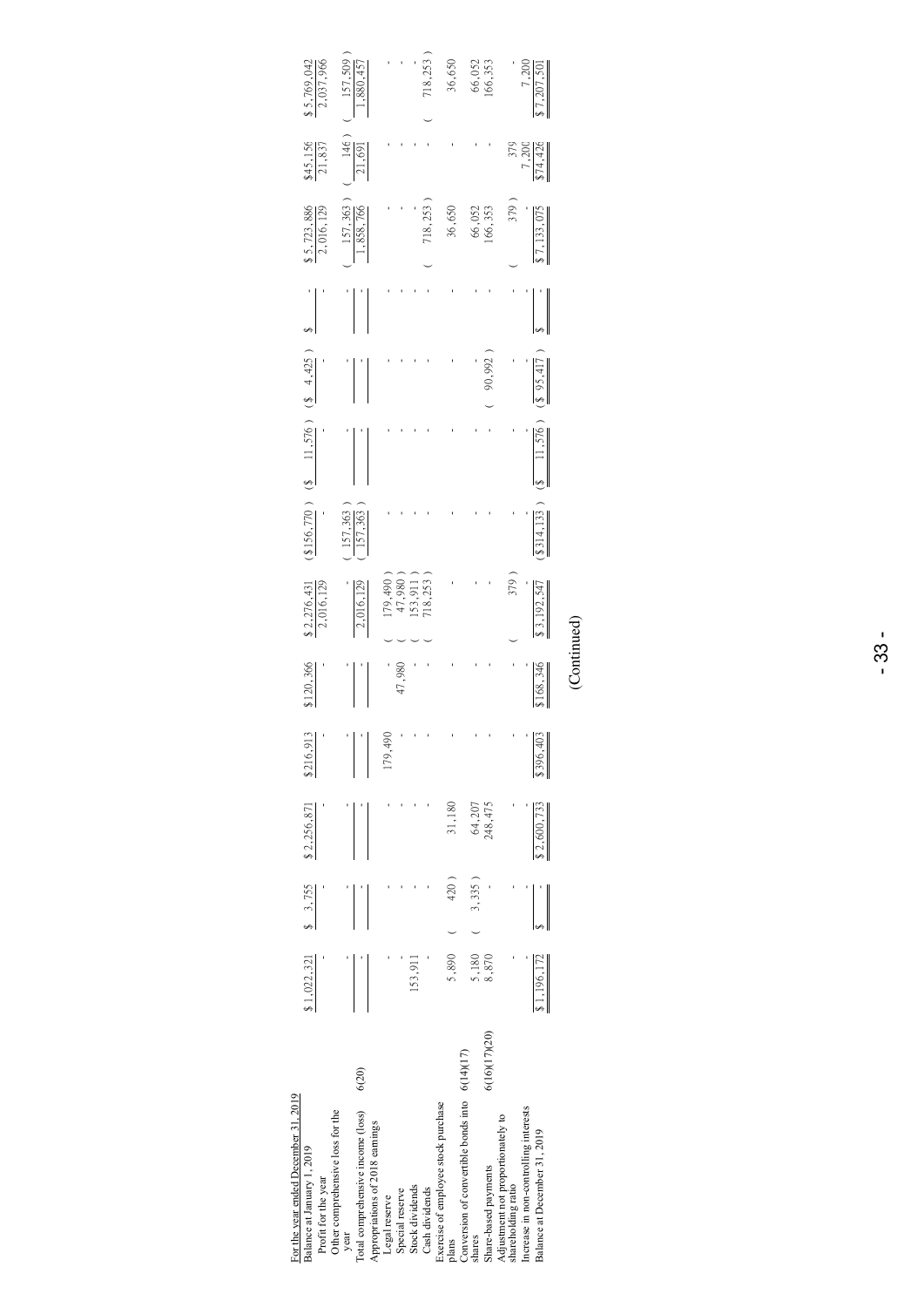| For the year ended December 31, 2019                     |               |                       |           |                     |                |             |                                                                        |                           |        |                                              |                                |                          |                             |
|----------------------------------------------------------|---------------|-----------------------|-----------|---------------------|----------------|-------------|------------------------------------------------------------------------|---------------------------|--------|----------------------------------------------|--------------------------------|--------------------------|-----------------------------|
| Balance at January 1, 2019<br>Profit for the year        |               | $$1,022,321$ $$3,755$ |           | \$2,256,871         | \$216,913<br>ľ | 120,366     | $\frac{$2,276,431}{2,016,129}$                                         |                           |        | $(1.56, 770)$ $(8$ $11, 576)$ $(8$ $4, 425)$ | $\frac{$5,723,886}{2,016,129}$ | $\frac{$45,156}{21,837}$ | 2,037,966<br>$-5,769,042$   |
| Other comprehensive loss for the<br>year                 |               |                       |           |                     |                |             |                                                                        |                           |        |                                              |                                |                          |                             |
| Total comprehensive income (loss)                        | 6(20)         |                       |           |                     |                |             | 2,016,129                                                              | $\frac{157,363}{157,363}$ |        |                                              | $\frac{157,363}{1,858,766}$    | $\frac{146}{21,691}$     | $\frac{157,509}{1,880,457}$ |
| Appropriations of 2018 earnings                          |               |                       |           |                     |                |             |                                                                        |                           |        |                                              |                                |                          |                             |
| Legal reserve                                            |               |                       |           |                     | 179,490        |             |                                                                        |                           |        |                                              |                                |                          |                             |
| Special reserve                                          |               |                       |           |                     |                | 47,980      |                                                                        |                           |        |                                              |                                |                          |                             |
| Stock dividends                                          |               | 153,911               |           |                     |                |             | $\begin{array}{c} 179,490 \\ 47,980 \\ 153,911 \\ 718,253 \end{array}$ |                           |        |                                              |                                |                          |                             |
| Cash dividends                                           |               |                       |           |                     |                |             |                                                                        |                           |        |                                              | 718,253                        |                          | 718,253                     |
| Exercise of employee stock purchase<br>plans             |               | 5,890                 | 420)      | 31,180              |                |             |                                                                        |                           |        |                                              | 36,650                         |                          | 36,650                      |
| Conversion of convertible bonds into 6(14)(17)<br>shares |               |                       | $3,335$ ) |                     |                |             |                                                                        |                           |        |                                              |                                |                          |                             |
| Share-based payments                                     | 6(16)(17)(20) | 5,180<br>8,870        |           | 64, 207<br>248, 475 |                |             |                                                                        |                           |        | 90,992                                       | 66,052<br>166,353              |                          | 66,052<br>166,353           |
| Adjustment not proportionately to<br>shareholding ratio  |               |                       |           |                     | ľ              |             | 379)                                                                   |                           |        |                                              | 379)                           | 379                      |                             |
| Increase in non-controlling interests                    |               |                       |           |                     |                |             |                                                                        |                           |        |                                              |                                |                          |                             |
| Balance at December 31, 2019                             |               | 1,196,172             |           | \$2,600,733         | \$396,403      | \$168,346   | $\sqrt{3,192,545}$                                                     | (314, 133)                | 11,576 | $(\sqrt[3]{95,417})$                         | 17,133,07                      | $\frac{7,200}{14,426}$   | $\frac{7,200}{57,207,501}$  |
|                                                          |               |                       |           |                     |                | (Continued) |                                                                        |                           |        |                                              |                                |                          |                             |

- 33 -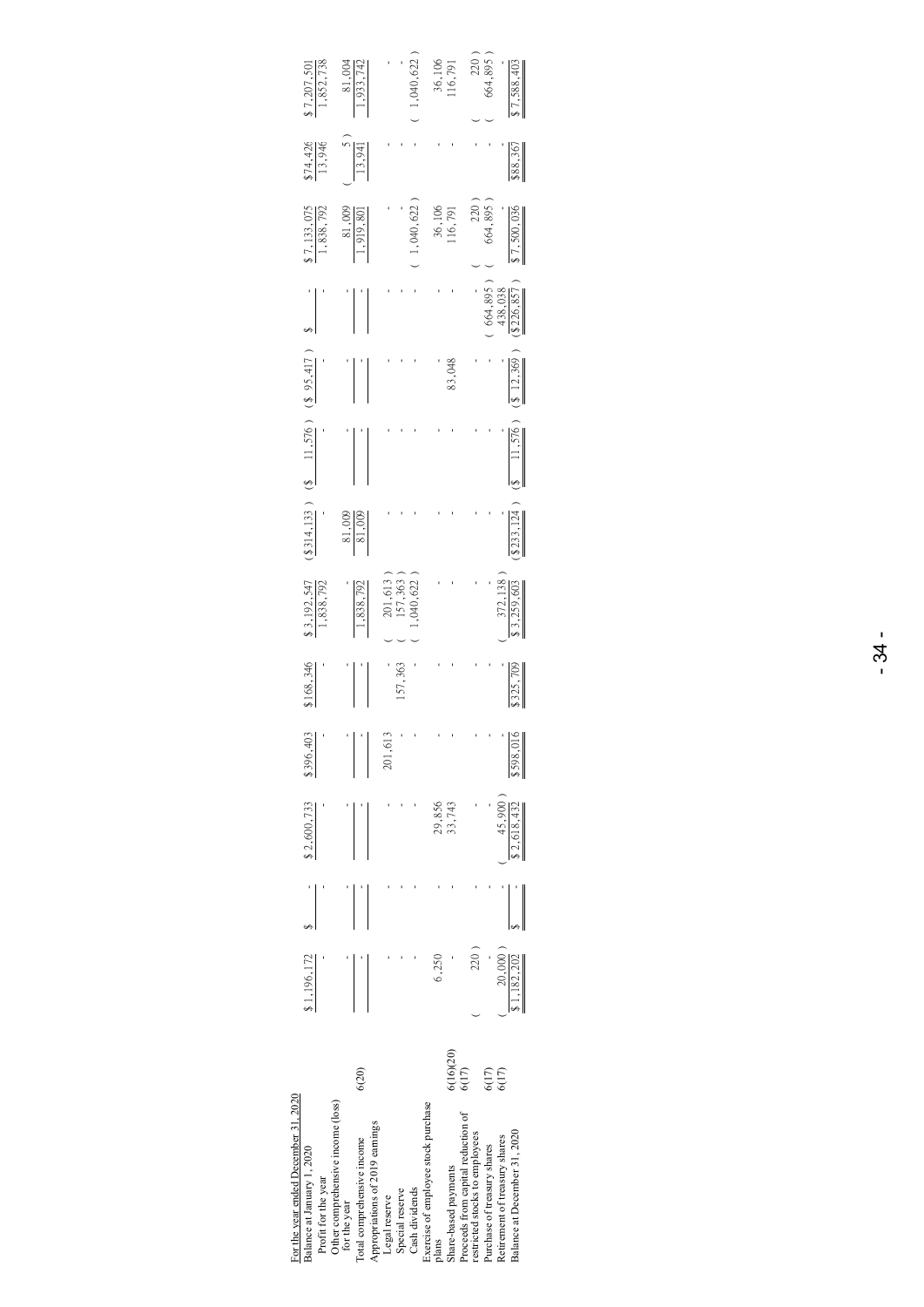| $\frac{1}{1,852,738}$                                                                     | $\frac{81,004}{1,933,742}$                                                                                         | 1,040,622                                          | 36,106<br>116,791                                                    | $220^{\circ}$<br>564,895<br>7,588,40                                                                                                                                 |
|-------------------------------------------------------------------------------------------|--------------------------------------------------------------------------------------------------------------------|----------------------------------------------------|----------------------------------------------------------------------|----------------------------------------------------------------------------------------------------------------------------------------------------------------------|
| 574,426                                                                                   | $\frac{5}{13,941}$                                                                                                 |                                                    |                                                                      | $\frac{88.367}{2}$                                                                                                                                                   |
| i 7, 133, 075<br>1, 838, 792                                                              | $\frac{81,009}{1,919,801}$                                                                                         | 1,040,622                                          | 36,106<br>116,791                                                    | 664,895<br>220<br>.7,500,036                                                                                                                                         |
|                                                                                           |                                                                                                                    |                                                    |                                                                      | $\frac{664,895}{438,038}$<br>$\frac{438,038}{8\,226,857}$                                                                                                            |
|                                                                                           |                                                                                                                    |                                                    | 83,048                                                               | $(\frac{1}{2}, \frac{12}{269})$                                                                                                                                      |
|                                                                                           |                                                                                                                    |                                                    |                                                                      | 11,576                                                                                                                                                               |
| $$314,133$ (\$ 11,576) (\$ 95,417)                                                        | $\frac{81,009}{81,009}$                                                                                            |                                                    |                                                                      | \$233,124                                                                                                                                                            |
| $\frac{1}{1,838,792}$                                                                     | ,838,79%                                                                                                           | ,040,622<br>201,613<br>157,363                     |                                                                      | $\frac{372,138}{2}$                                                                                                                                                  |
| 168,346                                                                                   |                                                                                                                    | 157,363                                            |                                                                      | $\frac{325,709}{2}$                                                                                                                                                  |
| \$396,403                                                                                 |                                                                                                                    | 201,61                                             |                                                                      | \$598,016                                                                                                                                                            |
| \$2,600,733                                                                               |                                                                                                                    |                                                    | 29,856<br>33,743                                                     | 45,900<br>\$2,618,432                                                                                                                                                |
| $\frac{1}{2}$                                                                             |                                                                                                                    |                                                    |                                                                      |                                                                                                                                                                      |
| 31,196,172                                                                                |                                                                                                                    |                                                    | 6,250                                                                | 220)<br>20,000<br>\$1,182,202                                                                                                                                        |
|                                                                                           | 6(20)                                                                                                              |                                                    | 6(16)(20)<br>6(17)                                                   | 6(17)<br>6(17)                                                                                                                                                       |
| For the year ended December 31, 2020<br>Balance at January 1, 2020<br>Profit for the year | Other comprehensive income (loss)<br>Appropriations of 2019 earnings<br>Total comprehensive income<br>for the year | Cash dividends<br>Special reserve<br>Legal reserve | Exercise of employee stock purchase<br>Share-based payments<br>plans | Proceeds from capital reduction of<br>Balance at December 31, 2020<br>restricted stocks to employees<br>Retirement of treasury shares<br>Purchase of treasury shares |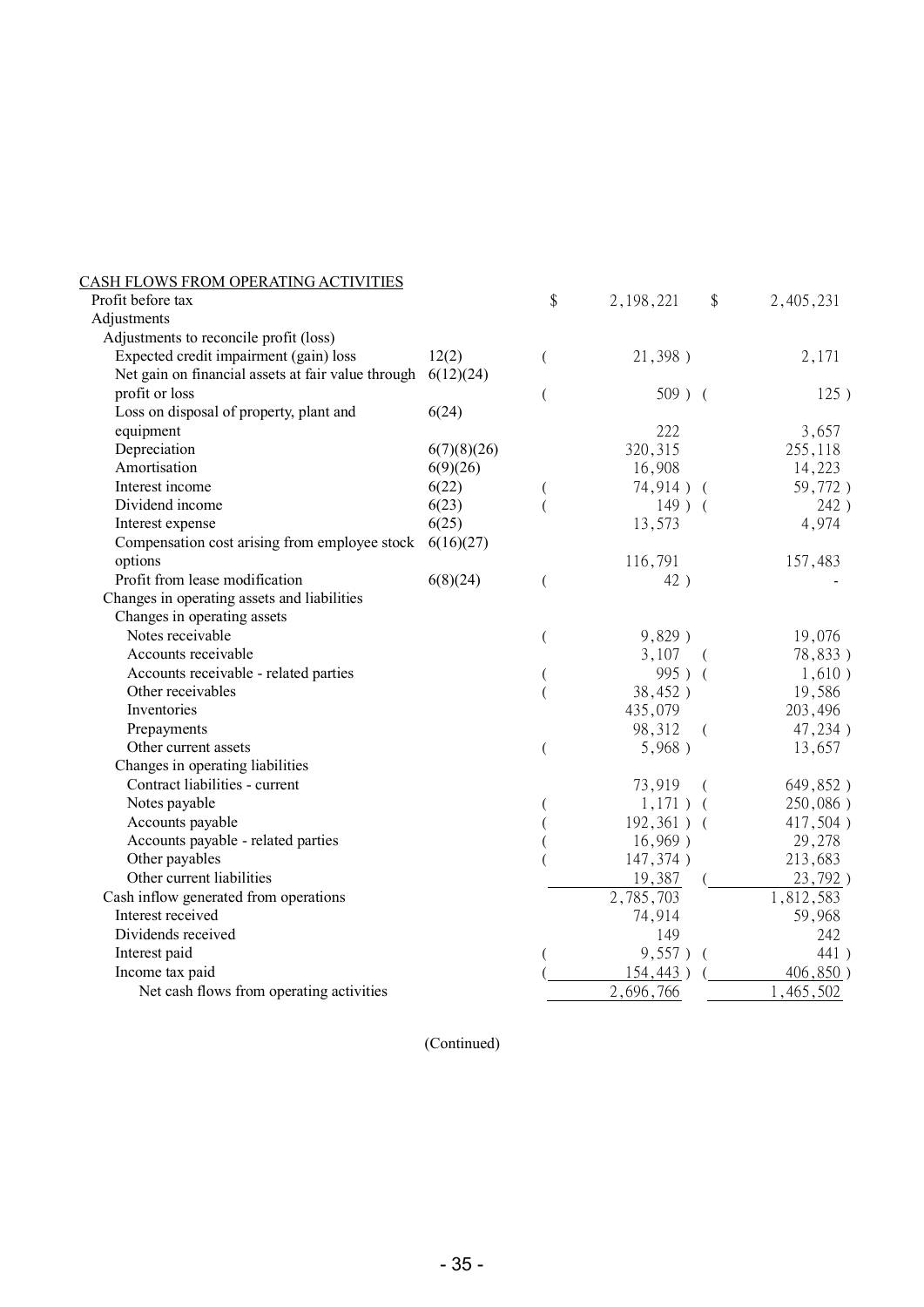| CASH FLOWS FROM OPERATING ACTIVITIES               |             |    |               |            |           |
|----------------------------------------------------|-------------|----|---------------|------------|-----------|
| Profit before tax                                  |             | \$ | 2, 198, 221   | \$         | 2,405,231 |
| Adjustments                                        |             |    |               |            |           |
| Adjustments to reconcile profit (loss)             |             |    |               |            |           |
| Expected credit impairment (gain) loss             | 12(2)       | (  | 21,398)       |            | 2,171     |
| Net gain on financial assets at fair value through | 6(12)(24)   |    |               |            |           |
| profit or loss                                     |             | (  | $509$ ) (     |            | 125)      |
| Loss on disposal of property, plant and            | 6(24)       |    |               |            |           |
| equipment                                          |             |    | 222           |            | 3,657     |
| Depreciation                                       | 6(7)(8)(26) |    | 320, 315      |            | 255,118   |
| Amortisation                                       | 6(9)(26)    |    | 16,908        |            | 14,223    |
| Interest income                                    | 6(22)       |    | $74,914$ ) (  |            | 59,772)   |
| Dividend income                                    | 6(23)       |    | $149$ ) (     |            | 242)      |
| Interest expense                                   | 6(25)       |    | 13,573        |            | 4,974     |
| Compensation cost arising from employee stock      | 6(16)(27)   |    |               |            |           |
| options                                            |             |    | 116,791       |            | 157,483   |
| Profit from lease modification                     | 6(8)(24)    |    | 42)           |            |           |
| Changes in operating assets and liabilities        |             |    |               |            |           |
| Changes in operating assets                        |             |    |               |            |           |
| Notes receivable                                   |             |    | 9,829)        |            | 19,076    |
| Accounts receivable                                |             |    | 3,107         | $\sqrt{2}$ | 78,833)   |
| Accounts receivable - related parties              |             |    | 995) (        |            | 1,610)    |
| Other receivables                                  |             |    | 38,452)       |            | 19,586    |
| Inventories                                        |             |    | 435,079       |            | 203,496   |
| Prepayments                                        |             |    | 98,312        | $\left($   | 47,234)   |
| Other current assets                               |             |    | 5,968)        |            | 13,657    |
| Changes in operating liabilities                   |             |    |               |            |           |
| Contract liabilities - current                     |             |    | 73,919        | (          | 649,852)  |
| Notes payable                                      |             |    | $1,171$ ) (   |            | 250,086)  |
| Accounts payable                                   |             |    | $192,361$ ) ( |            | 417,504)  |
| Accounts payable - related parties                 |             |    | 16,969)       |            | 29,278    |
| Other payables                                     |             |    | 147,374)      |            | 213,683   |
| Other current liabilities                          |             |    | 19,387        |            | 23,792)   |
| Cash inflow generated from operations              |             |    | 2,785,703     |            | 1,812,583 |
| Interest received                                  |             |    | 74,914        |            | 59,968    |
| Dividends received                                 |             |    | 149           |            | 242       |
| Interest paid                                      |             |    | 9,557)        | $\sqrt{ }$ | 441)      |
| Income tax paid                                    |             |    | 154,443)      |            | 406,850)  |
| Net cash flows from operating activities           |             |    | 2,696,766     |            | 1,465,502 |
|                                                    |             |    |               |            |           |

(Continued)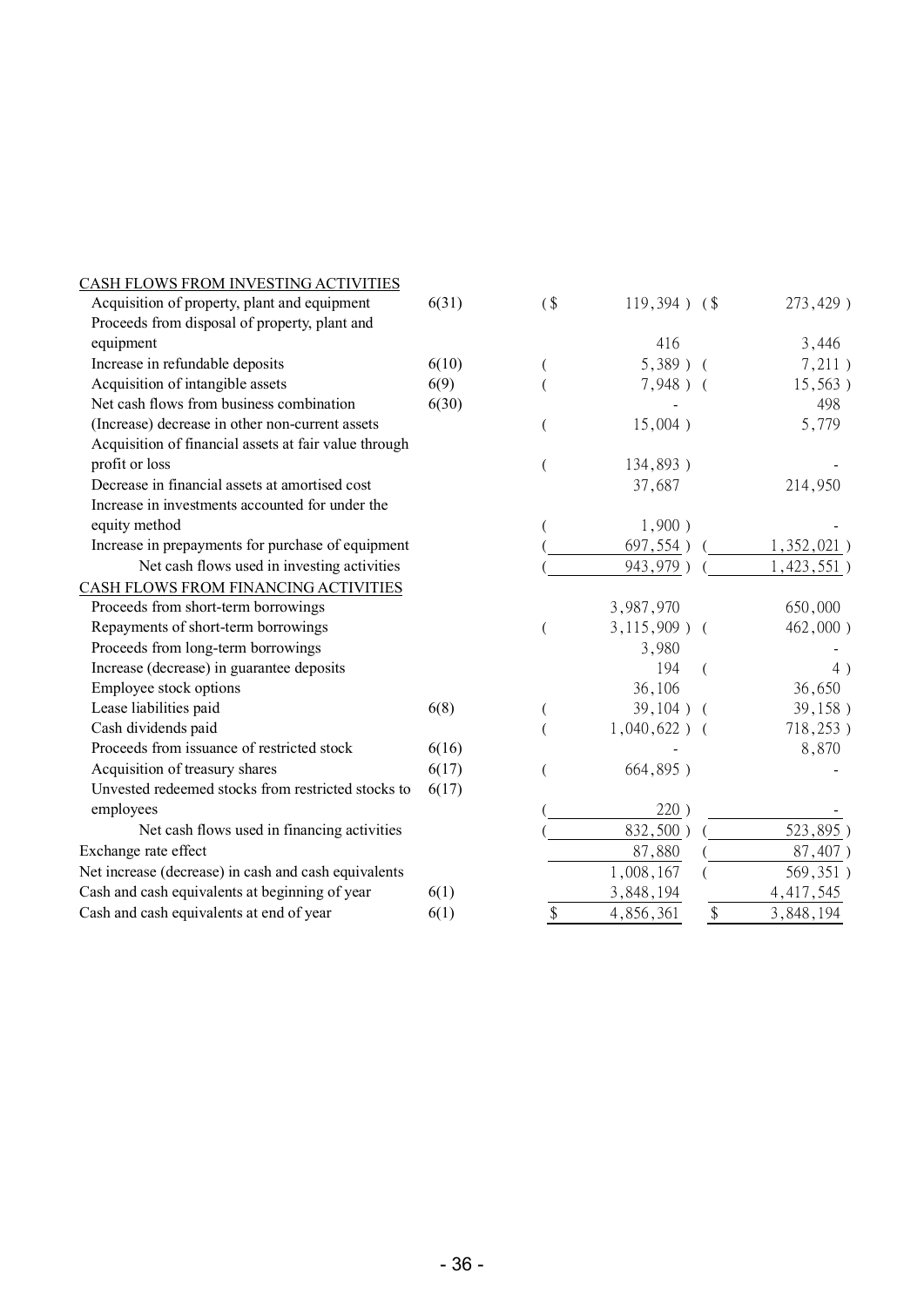| CASH FLOWS FROM INVESTING ACTIVITIES                  |       |                            |                 |          |               |
|-------------------------------------------------------|-------|----------------------------|-----------------|----------|---------------|
| Acquisition of property, plant and equipment          | 6(31) | $($ \$                     | $119,394$ ) (\$ |          | 273,429)      |
| Proceeds from disposal of property, plant and         |       |                            |                 |          |               |
| equipment                                             |       |                            | 416             |          | 3,446         |
| Increase in refundable deposits                       | 6(10) |                            | $5,389$ )       | $\left($ | 7,211)        |
| Acquisition of intangible assets                      | 6(9)  |                            | $7,948$ ) (     |          | 15,563)       |
| Net cash flows from business combination              | 6(30) |                            |                 |          | 498           |
| (Increase) decrease in other non-current assets       |       |                            | 15,004)         |          | 5,779         |
| Acquisition of financial assets at fair value through |       |                            |                 |          |               |
| profit or loss                                        |       |                            | 134,893)        |          |               |
| Decrease in financial assets at amortised cost        |       |                            | 37,687          |          | 214,950       |
| Increase in investments accounted for under the       |       |                            |                 |          |               |
| equity method                                         |       |                            | 1,900)          |          |               |
| Increase in prepayments for purchase of equipment     |       |                            | 697,554)        |          | $1,352,021$ ) |
| Net cash flows used in investing activities           |       |                            | 943,979)        |          | 1,423,551)    |
| CASH FLOWS FROM FINANCING ACTIVITIES                  |       |                            |                 |          |               |
| Proceeds from short-term borrowings                   |       |                            | 3,987,970       |          | 650,000       |
| Repayments of short-term borrowings                   |       |                            | $3,115,909$ ) ( |          | 462,000)      |
| Proceeds from long-term borrowings                    |       |                            | 3,980           |          |               |
| Increase (decrease) in guarantee deposits             |       |                            | 194             |          | 4)            |
| Employee stock options                                |       |                            | 36,106          |          | 36,650        |
| Lease liabilities paid                                | 6(8)  |                            | 39,104)         |          | 39,158)       |
| Cash dividends paid                                   |       |                            | $1,040,622$ ) ( |          | 718,253)      |
| Proceeds from issuance of restricted stock            | 6(16) |                            |                 |          | 8,870         |
| Acquisition of treasury shares                        | 6(17) |                            | 664,895)        |          |               |
| Unvested redeemed stocks from restricted stocks to    | 6(17) |                            |                 |          |               |
| employees                                             |       |                            | 220)            |          |               |
| Net cash flows used in financing activities           |       |                            | 832,500)        |          | 523,895)      |
| Exchange rate effect                                  |       |                            | 87,880          |          | 87,407)       |
| Net increase (decrease) in cash and cash equivalents  |       |                            | 1,008,167       |          | 569,351)      |
| Cash and cash equivalents at beginning of year        | 6(1)  |                            | 3,848,194       |          | 4, 417, 545   |
| Cash and cash equivalents at end of year              | 6(1)  | $\boldsymbol{\mathsf{\$}}$ | 4,856,361       | \$       | 3,848,194     |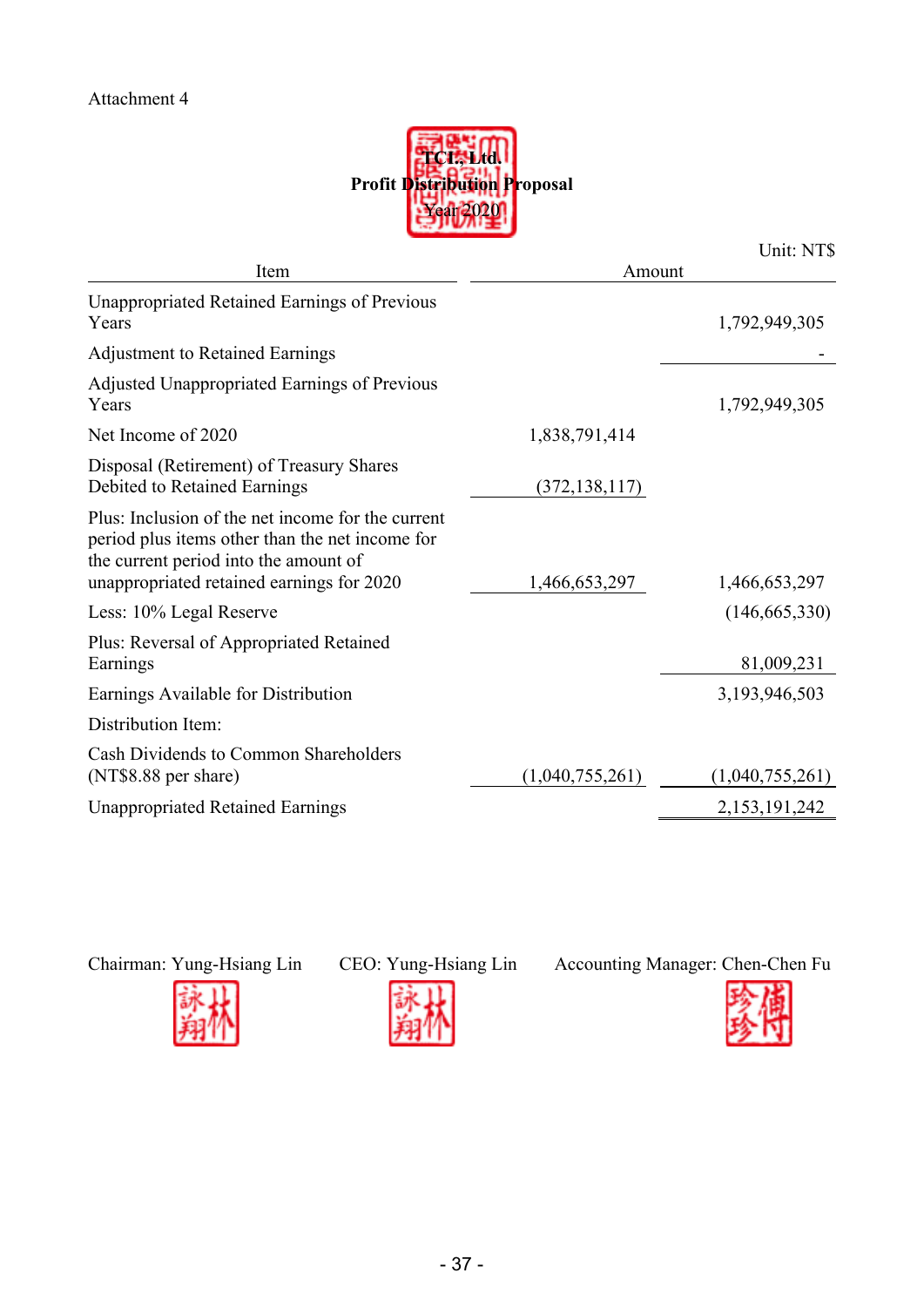

|                                                                                                                                                                                            |                 | Unit: NT\$      |
|--------------------------------------------------------------------------------------------------------------------------------------------------------------------------------------------|-----------------|-----------------|
| Item                                                                                                                                                                                       | Amount          |                 |
| <b>Unappropriated Retained Earnings of Previous</b><br>Years                                                                                                                               |                 | 1,792,949,305   |
| <b>Adjustment to Retained Earnings</b>                                                                                                                                                     |                 |                 |
| Adjusted Unappropriated Earnings of Previous<br>Years                                                                                                                                      |                 | 1,792,949,305   |
| Net Income of 2020                                                                                                                                                                         | 1,838,791,414   |                 |
| Disposal (Retirement) of Treasury Shares<br>Debited to Retained Earnings                                                                                                                   | (372, 138, 117) |                 |
| Plus: Inclusion of the net income for the current<br>period plus items other than the net income for<br>the current period into the amount of<br>unappropriated retained earnings for 2020 | 1,466,653,297   | 1,466,653,297   |
| Less: 10% Legal Reserve                                                                                                                                                                    |                 | (146, 665, 330) |
| Plus: Reversal of Appropriated Retained<br>Earnings                                                                                                                                        |                 | 81,009,231      |
| Earnings Available for Distribution                                                                                                                                                        |                 | 3,193,946,503   |
| Distribution Item:                                                                                                                                                                         |                 |                 |
| Cash Dividends to Common Shareholders<br>(NT\$8.88 per share)                                                                                                                              | (1,040,755,261) | (1,040,755,261) |
| <b>Unappropriated Retained Earnings</b>                                                                                                                                                    |                 | 2,153,191,242   |





Chairman: Yung-Hsiang Lin CEO: Yung-Hsiang Lin Accounting Manager: Chen-Chen Fu

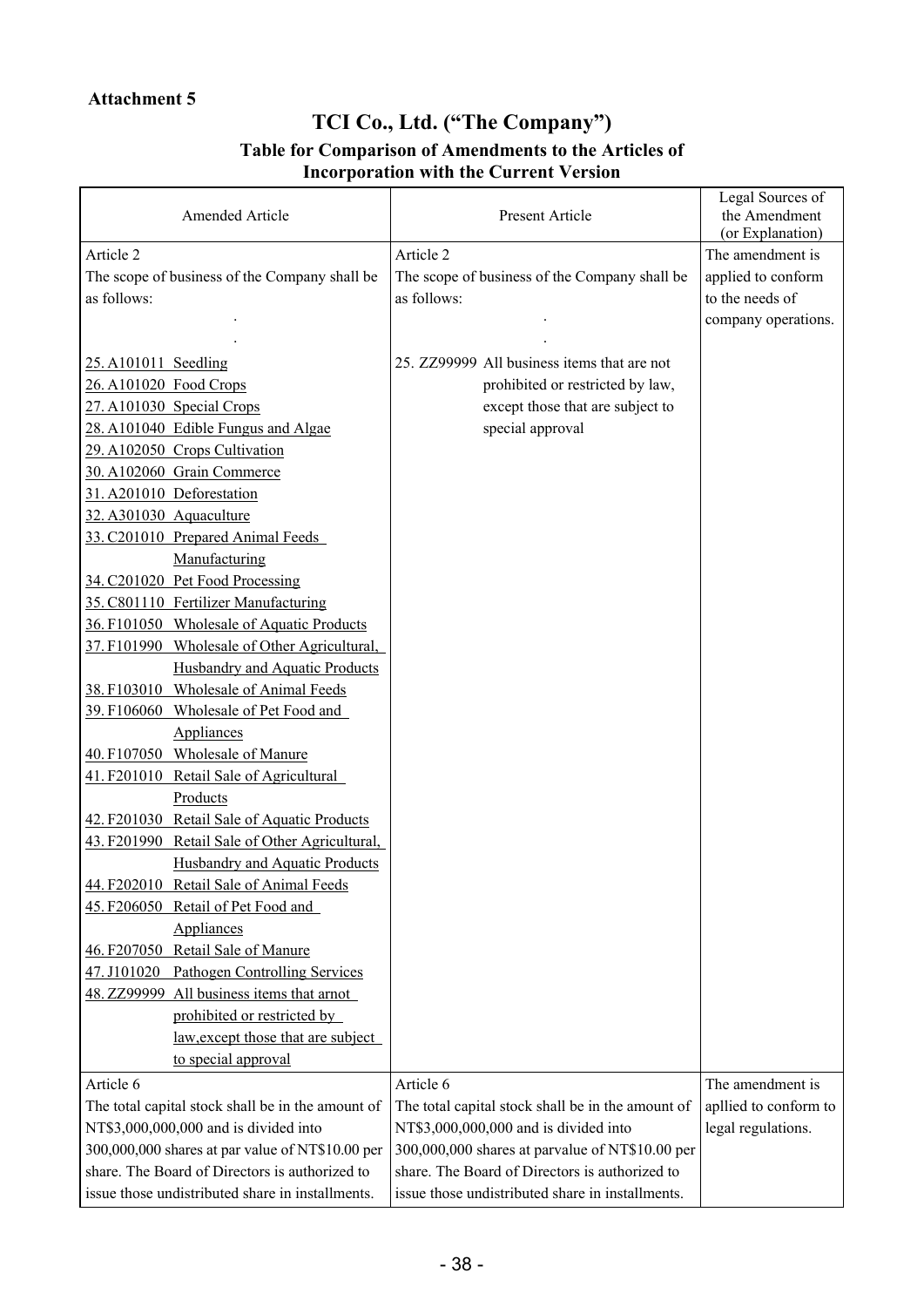# **TCI Co., Ltd. ("The Company") Table for Comparison of Amendments to the Articles of**

# **Incorporation with the Current Version**

| Amended Article                                   | Present Article                                   | Legal Sources of<br>the Amendment<br>(or Explanation) |
|---------------------------------------------------|---------------------------------------------------|-------------------------------------------------------|
| Article 2                                         | Article 2                                         | The amendment is                                      |
| The scope of business of the Company shall be     | The scope of business of the Company shall be     | applied to conform                                    |
| as follows:                                       | as follows:                                       | to the needs of                                       |
|                                                   |                                                   | company operations.                                   |
|                                                   |                                                   |                                                       |
| 25. A101011 Seedling                              | 25. ZZ99999 All business items that are not       |                                                       |
| 26. A101020 Food Crops                            | prohibited or restricted by law,                  |                                                       |
| 27. A101030 Special Crops                         | except those that are subject to                  |                                                       |
| 28. A101040 Edible Fungus and Algae               | special approval                                  |                                                       |
| 29. A102050 Crops Cultivation                     |                                                   |                                                       |
| 30. A102060 Grain Commerce                        |                                                   |                                                       |
| 31.A201010 Deforestation                          |                                                   |                                                       |
| 32. A301030 Aquaculture                           |                                                   |                                                       |
| 33. C201010 Prepared Animal Feeds                 |                                                   |                                                       |
| Manufacturing                                     |                                                   |                                                       |
| 34. C201020 Pet Food Processing                   |                                                   |                                                       |
| 35. C801110 Fertilizer Manufacturing              |                                                   |                                                       |
| 36. F101050 Wholesale of Aquatic Products         |                                                   |                                                       |
| 37. F101990 Wholesale of Other Agricultural,      |                                                   |                                                       |
| Husbandry and Aquatic Products                    |                                                   |                                                       |
| 38. F103010 Wholesale of Animal Feeds             |                                                   |                                                       |
| 39. F106060 Wholesale of Pet Food and             |                                                   |                                                       |
| Appliances                                        |                                                   |                                                       |
| 40. F107050 Wholesale of Manure                   |                                                   |                                                       |
| 41. F201010 Retail Sale of Agricultural           |                                                   |                                                       |
| Products                                          |                                                   |                                                       |
| 42. F201030 Retail Sale of Aquatic Products       |                                                   |                                                       |
| 43. F201990 Retail Sale of Other Agricultural,    |                                                   |                                                       |
| Husbandry and Aquatic Products                    |                                                   |                                                       |
| 44. F202010 Retail Sale of Animal Feeds           |                                                   |                                                       |
| 45. F206050 Retail of Pet Food and                |                                                   |                                                       |
| Appliances                                        |                                                   |                                                       |
| 46. F207050 Retail Sale of Manure                 |                                                   |                                                       |
| 47. J101020 Pathogen Controlling Services         |                                                   |                                                       |
| 48. ZZ99999 All business items that arnot         |                                                   |                                                       |
| prohibited or restricted by                       |                                                   |                                                       |
| law, except those that are subject                |                                                   |                                                       |
| to special approval                               |                                                   |                                                       |
| Article 6                                         | Article 6                                         | The amendment is                                      |
| The total capital stock shall be in the amount of | The total capital stock shall be in the amount of | apllied to conform to                                 |
| NT\$3,000,000,000 and is divided into             | NT\$3,000,000,000 and is divided into             | legal regulations.                                    |
| 300,000,000 shares at par value of NT\$10.00 per  | 300,000,000 shares at parvalue of NT\$10.00 per   |                                                       |
| share. The Board of Directors is authorized to    | share. The Board of Directors is authorized to    |                                                       |
| issue those undistributed share in installments.  | issue those undistributed share in installments.  |                                                       |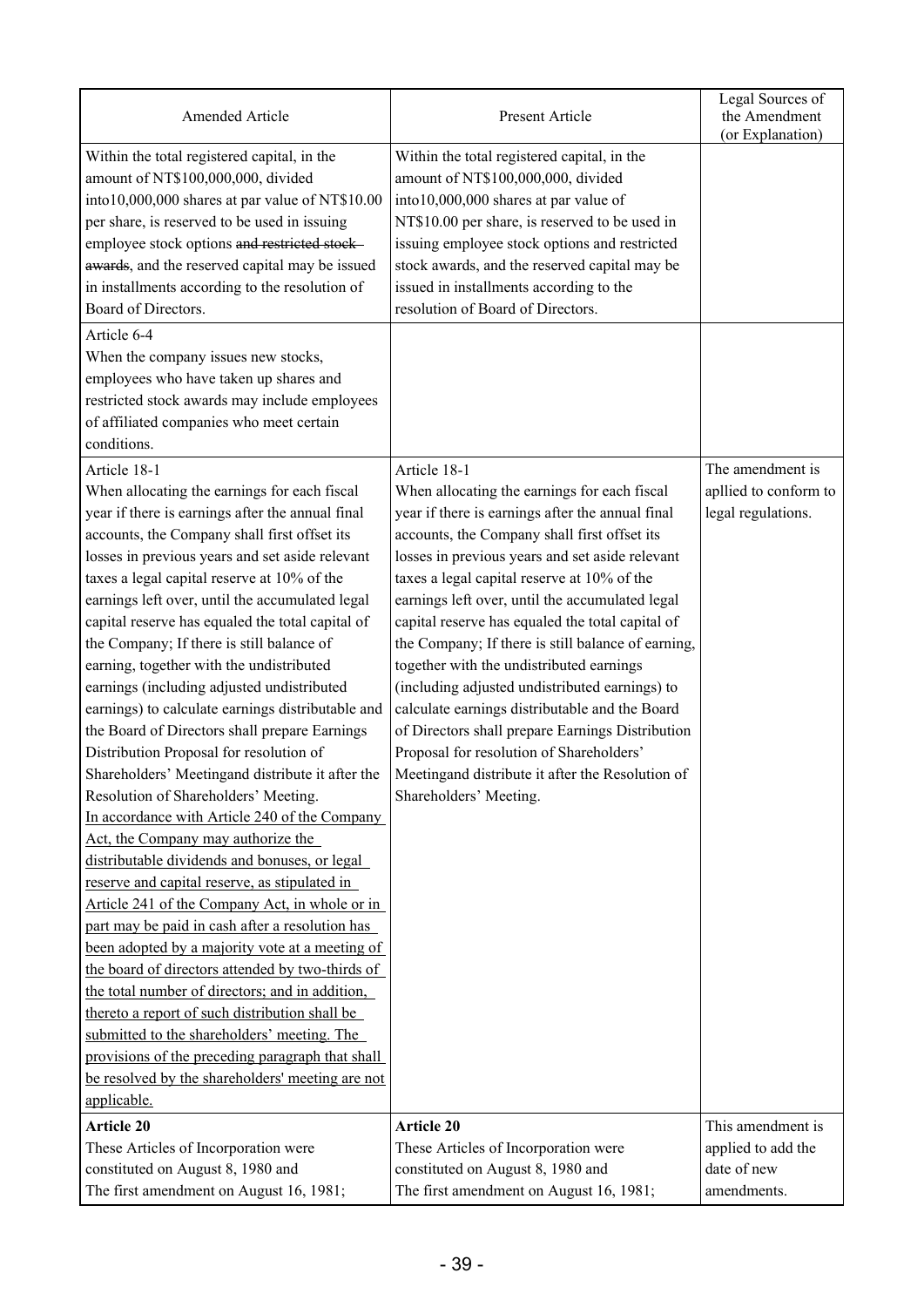| Amended Article                                                                                                                      | Present Article                                                                                                            | Legal Sources of<br>the Amendment<br>(or Explanation) |
|--------------------------------------------------------------------------------------------------------------------------------------|----------------------------------------------------------------------------------------------------------------------------|-------------------------------------------------------|
| Within the total registered capital, in the<br>amount of NT\$100,000,000, divided<br>into10,000,000 shares at par value of NT\$10.00 | Within the total registered capital, in the<br>amount of NT\$100,000,000, divided<br>into10,000,000 shares at par value of |                                                       |
| per share, is reserved to be used in issuing                                                                                         | NT\$10.00 per share, is reserved to be used in                                                                             |                                                       |
| employee stock options and restricted stock-                                                                                         | issuing employee stock options and restricted                                                                              |                                                       |
| awards, and the reserved capital may be issued                                                                                       | stock awards, and the reserved capital may be                                                                              |                                                       |
| in installments according to the resolution of                                                                                       | issued in installments according to the                                                                                    |                                                       |
| Board of Directors.                                                                                                                  | resolution of Board of Directors.                                                                                          |                                                       |
| Article 6-4                                                                                                                          |                                                                                                                            |                                                       |
| When the company issues new stocks,                                                                                                  |                                                                                                                            |                                                       |
| employees who have taken up shares and                                                                                               |                                                                                                                            |                                                       |
| restricted stock awards may include employees                                                                                        |                                                                                                                            |                                                       |
| of affiliated companies who meet certain                                                                                             |                                                                                                                            |                                                       |
| conditions.                                                                                                                          |                                                                                                                            |                                                       |
| Article 18-1                                                                                                                         | Article 18-1                                                                                                               | The amendment is                                      |
| When allocating the earnings for each fiscal                                                                                         | When allocating the earnings for each fiscal                                                                               | apllied to conform to                                 |
| year if there is earnings after the annual final                                                                                     | year if there is earnings after the annual final                                                                           | legal regulations.                                    |
| accounts, the Company shall first offset its                                                                                         | accounts, the Company shall first offset its                                                                               |                                                       |
| losses in previous years and set aside relevant                                                                                      | losses in previous years and set aside relevant                                                                            |                                                       |
| taxes a legal capital reserve at 10% of the                                                                                          | taxes a legal capital reserve at 10% of the                                                                                |                                                       |
| earnings left over, until the accumulated legal                                                                                      | earnings left over, until the accumulated legal                                                                            |                                                       |
| capital reserve has equaled the total capital of                                                                                     | capital reserve has equaled the total capital of                                                                           |                                                       |
| the Company; If there is still balance of                                                                                            | the Company; If there is still balance of earning,                                                                         |                                                       |
| earning, together with the undistributed                                                                                             | together with the undistributed earnings                                                                                   |                                                       |
| earnings (including adjusted undistributed                                                                                           | (including adjusted undistributed earnings) to                                                                             |                                                       |
| earnings) to calculate earnings distributable and                                                                                    | calculate earnings distributable and the Board                                                                             |                                                       |
| the Board of Directors shall prepare Earnings                                                                                        | of Directors shall prepare Earnings Distribution                                                                           |                                                       |
| Distribution Proposal for resolution of                                                                                              | Proposal for resolution of Shareholders'                                                                                   |                                                       |
| Shareholders' Meetingand distribute it after the                                                                                     | Meetingand distribute it after the Resolution of                                                                           |                                                       |
| Resolution of Shareholders' Meeting.                                                                                                 | Shareholders' Meeting.                                                                                                     |                                                       |
| In accordance with Article 240 of the Company                                                                                        |                                                                                                                            |                                                       |
| Act, the Company may authorize the                                                                                                   |                                                                                                                            |                                                       |
| distributable dividends and bonuses, or legal                                                                                        |                                                                                                                            |                                                       |
| reserve and capital reserve, as stipulated in                                                                                        |                                                                                                                            |                                                       |
| Article 241 of the Company Act, in whole or in                                                                                       |                                                                                                                            |                                                       |
| part may be paid in cash after a resolution has                                                                                      |                                                                                                                            |                                                       |
| been adopted by a majority vote at a meeting of                                                                                      |                                                                                                                            |                                                       |
| the board of directors attended by two-thirds of                                                                                     |                                                                                                                            |                                                       |
| the total number of directors; and in addition,                                                                                      |                                                                                                                            |                                                       |
| thereto a report of such distribution shall be                                                                                       |                                                                                                                            |                                                       |
| submitted to the shareholders' meeting. The                                                                                          |                                                                                                                            |                                                       |
| provisions of the preceding paragraph that shall                                                                                     |                                                                                                                            |                                                       |
| be resolved by the shareholders' meeting are not                                                                                     |                                                                                                                            |                                                       |
| applicable.                                                                                                                          |                                                                                                                            |                                                       |
| <b>Article 20</b>                                                                                                                    | <b>Article 20</b>                                                                                                          | This amendment is                                     |
| These Articles of Incorporation were                                                                                                 | These Articles of Incorporation were                                                                                       | applied to add the                                    |
| constituted on August 8, 1980 and                                                                                                    | constituted on August 8, 1980 and                                                                                          | date of new                                           |
| The first amendment on August 16, 1981;                                                                                              | The first amendment on August 16, 1981;                                                                                    | amendments.                                           |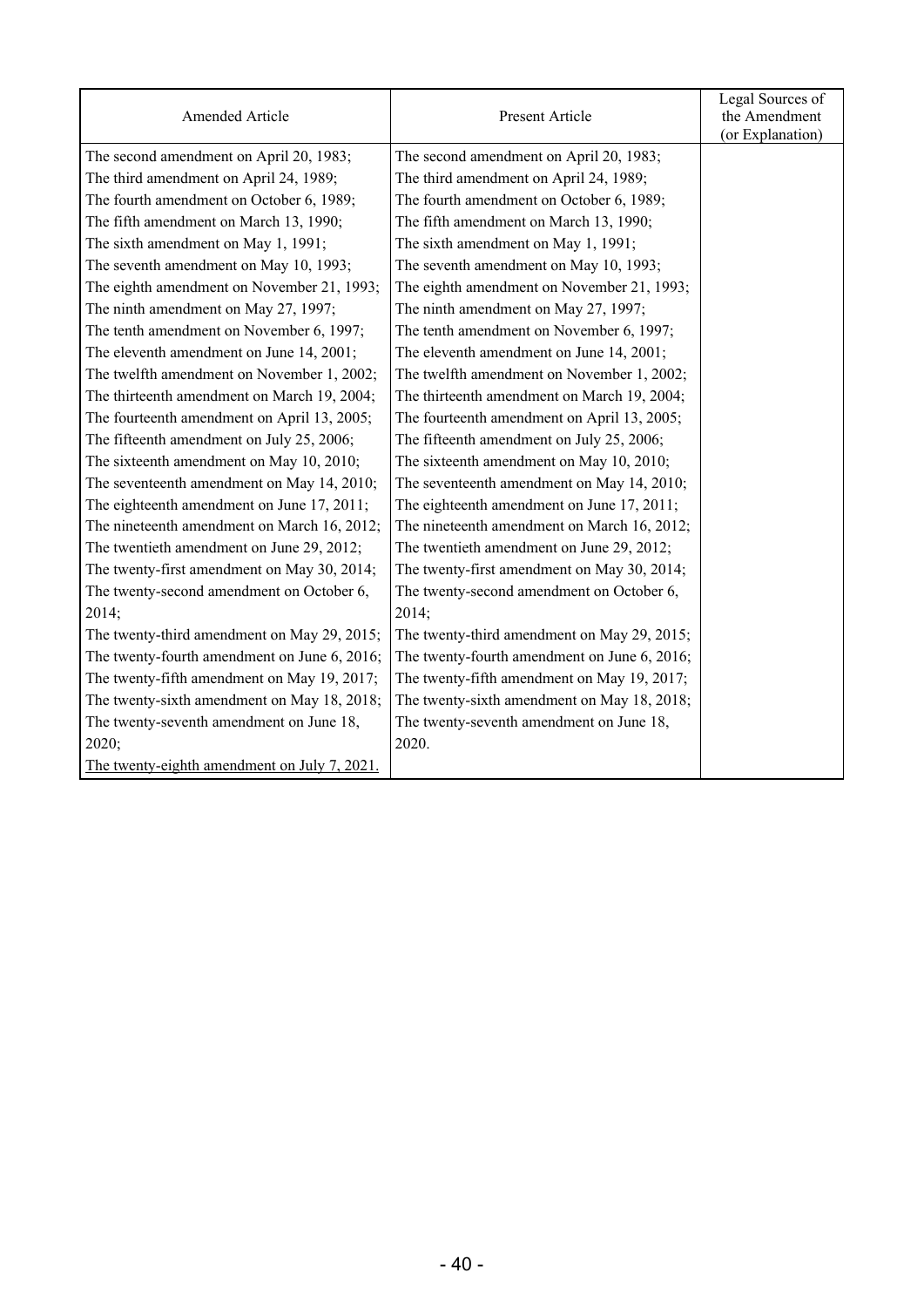| Amended Article                              | Present Article                              | Legal Sources of<br>the Amendment<br>(or Explanation) |
|----------------------------------------------|----------------------------------------------|-------------------------------------------------------|
| The second amendment on April 20, 1983;      | The second amendment on April 20, 1983;      |                                                       |
| The third amendment on April 24, 1989;       | The third amendment on April 24, 1989;       |                                                       |
| The fourth amendment on October 6, 1989;     | The fourth amendment on October 6, 1989;     |                                                       |
| The fifth amendment on March 13, 1990;       | The fifth amendment on March 13, 1990;       |                                                       |
| The sixth amendment on May 1, 1991;          | The sixth amendment on May 1, 1991;          |                                                       |
| The seventh amendment on May 10, 1993;       | The seventh amendment on May 10, 1993;       |                                                       |
| The eighth amendment on November 21, 1993;   | The eighth amendment on November 21, 1993;   |                                                       |
| The ninth amendment on May 27, 1997;         | The ninth amendment on May 27, 1997;         |                                                       |
| The tenth amendment on November 6, 1997;     | The tenth amendment on November 6, 1997;     |                                                       |
| The eleventh amendment on June 14, 2001;     | The eleventh amendment on June 14, 2001;     |                                                       |
| The twelfth amendment on November 1, 2002;   | The twelfth amendment on November 1, 2002;   |                                                       |
| The thirteenth amendment on March 19, 2004;  | The thirteenth amendment on March 19, 2004;  |                                                       |
| The fourteenth amendment on April 13, 2005;  | The fourteenth amendment on April 13, 2005;  |                                                       |
| The fifteenth amendment on July 25, 2006;    | The fifteenth amendment on July 25, 2006;    |                                                       |
| The sixteenth amendment on May 10, 2010;     | The sixteenth amendment on May 10, 2010;     |                                                       |
| The seventeenth amendment on May 14, 2010;   | The seventeenth amendment on May 14, 2010;   |                                                       |
| The eighteenth amendment on June 17, 2011;   | The eighteenth amendment on June 17, 2011;   |                                                       |
| The nineteenth amendment on March 16, 2012;  | The nineteenth amendment on March 16, 2012;  |                                                       |
| The twentieth amendment on June 29, 2012;    | The twentieth amendment on June 29, 2012;    |                                                       |
| The twenty-first amendment on May 30, 2014;  | The twenty-first amendment on May 30, 2014;  |                                                       |
| The twenty-second amendment on October 6,    | The twenty-second amendment on October 6,    |                                                       |
| 2014;                                        | 2014;                                        |                                                       |
| The twenty-third amendment on May 29, 2015;  | The twenty-third amendment on May 29, 2015;  |                                                       |
| The twenty-fourth amendment on June 6, 2016; | The twenty-fourth amendment on June 6, 2016; |                                                       |
| The twenty-fifth amendment on May 19, 2017;  | The twenty-fifth amendment on May 19, 2017;  |                                                       |
| The twenty-sixth amendment on May 18, 2018;  | The twenty-sixth amendment on May 18, 2018;  |                                                       |
| The twenty-seventh amendment on June 18,     | The twenty-seventh amendment on June 18,     |                                                       |
| 2020;                                        | 2020.                                        |                                                       |
| The twenty-eighth amendment on July 7, 2021. |                                              |                                                       |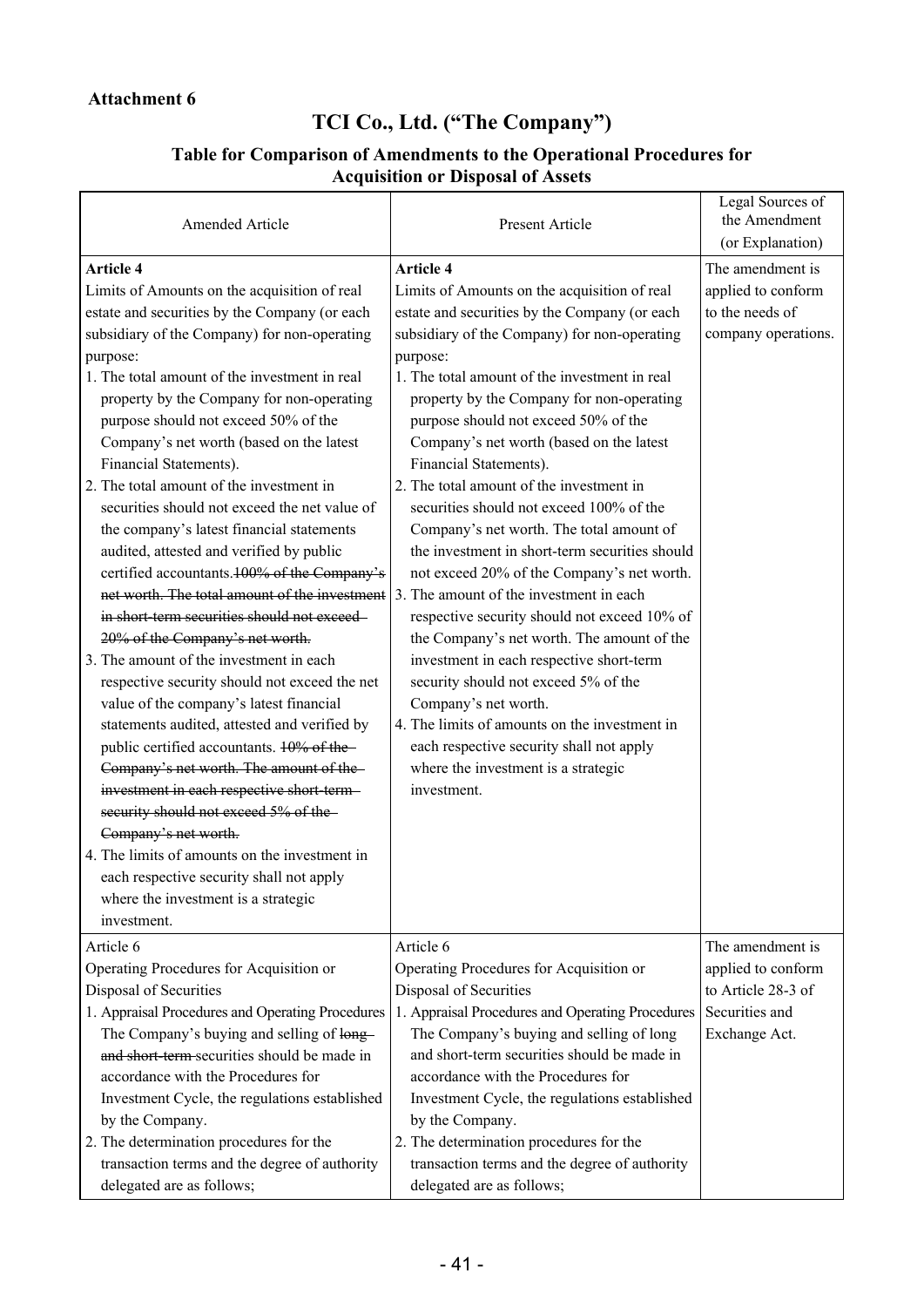# **TCI Co., Ltd. ("The Company")**

#### **Table for Comparison of Amendments to the Operational Procedures for Acquisition or Disposal of Assets**

| Amended Article                                                                    | Present Article                                  | Legal Sources of<br>the Amendment<br>(or Explanation) |
|------------------------------------------------------------------------------------|--------------------------------------------------|-------------------------------------------------------|
| <b>Article 4</b>                                                                   | <b>Article 4</b>                                 | The amendment is                                      |
| Limits of Amounts on the acquisition of real                                       | Limits of Amounts on the acquisition of real     | applied to conform                                    |
| estate and securities by the Company (or each                                      | estate and securities by the Company (or each    | to the needs of                                       |
| subsidiary of the Company) for non-operating                                       | subsidiary of the Company) for non-operating     | company operations.                                   |
| purpose:                                                                           | purpose:                                         |                                                       |
| 1. The total amount of the investment in real                                      | 1. The total amount of the investment in real    |                                                       |
| property by the Company for non-operating                                          | property by the Company for non-operating        |                                                       |
| purpose should not exceed 50% of the                                               | purpose should not exceed 50% of the             |                                                       |
| Company's net worth (based on the latest                                           | Company's net worth (based on the latest         |                                                       |
| Financial Statements).                                                             | Financial Statements).                           |                                                       |
| 2. The total amount of the investment in                                           | 2. The total amount of the investment in         |                                                       |
| securities should not exceed the net value of                                      | securities should not exceed 100% of the         |                                                       |
| the company's latest financial statements                                          | Company's net worth. The total amount of         |                                                       |
| audited, attested and verified by public                                           | the investment in short-term securities should   |                                                       |
| certified accountants. 100% of the Company's                                       | not exceed 20% of the Company's net worth.       |                                                       |
| net worth. The total amount of the investment                                      | 3. The amount of the investment in each          |                                                       |
| in short term securities should not exceed-                                        | respective security should not exceed 10% of     |                                                       |
| 20% of the Company's net worth.                                                    | the Company's net worth. The amount of the       |                                                       |
| 3. The amount of the investment in each                                            | investment in each respective short-term         |                                                       |
| respective security should not exceed the net                                      | security should not exceed 5% of the             |                                                       |
| value of the company's latest financial                                            | Company's net worth.                             |                                                       |
| statements audited, attested and verified by                                       | 4. The limits of amounts on the investment in    |                                                       |
| public certified accountants. 10% of the-                                          | each respective security shall not apply         |                                                       |
| Company's net worth. The amount of the-                                            | where the investment is a strategic              |                                                       |
| investment in each respective short term-<br>security should not exceed 5% of the- | investment.                                      |                                                       |
| Company's net worth.                                                               |                                                  |                                                       |
| 4. The limits of amounts on the investment in                                      |                                                  |                                                       |
| each respective security shall not apply                                           |                                                  |                                                       |
| where the investment is a strategic                                                |                                                  |                                                       |
| investment.                                                                        |                                                  |                                                       |
| Article 6                                                                          | Article 6                                        | The amendment is                                      |
| Operating Procedures for Acquisition or                                            | Operating Procedures for Acquisition or          | applied to conform                                    |
| Disposal of Securities                                                             | Disposal of Securities                           | to Article 28-3 of                                    |
| 1. Appraisal Procedures and Operating Procedures                                   | 1. Appraisal Procedures and Operating Procedures | Securities and                                        |
| The Company's buying and selling of long-                                          | The Company's buying and selling of long         | Exchange Act.                                         |
| and short term-securities should be made in                                        | and short-term securities should be made in      |                                                       |
| accordance with the Procedures for                                                 | accordance with the Procedures for               |                                                       |
| Investment Cycle, the regulations established                                      | Investment Cycle, the regulations established    |                                                       |
| by the Company.                                                                    | by the Company.                                  |                                                       |
| 2. The determination procedures for the                                            | 2. The determination procedures for the          |                                                       |
| transaction terms and the degree of authority                                      | transaction terms and the degree of authority    |                                                       |
| delegated are as follows;                                                          | delegated are as follows;                        |                                                       |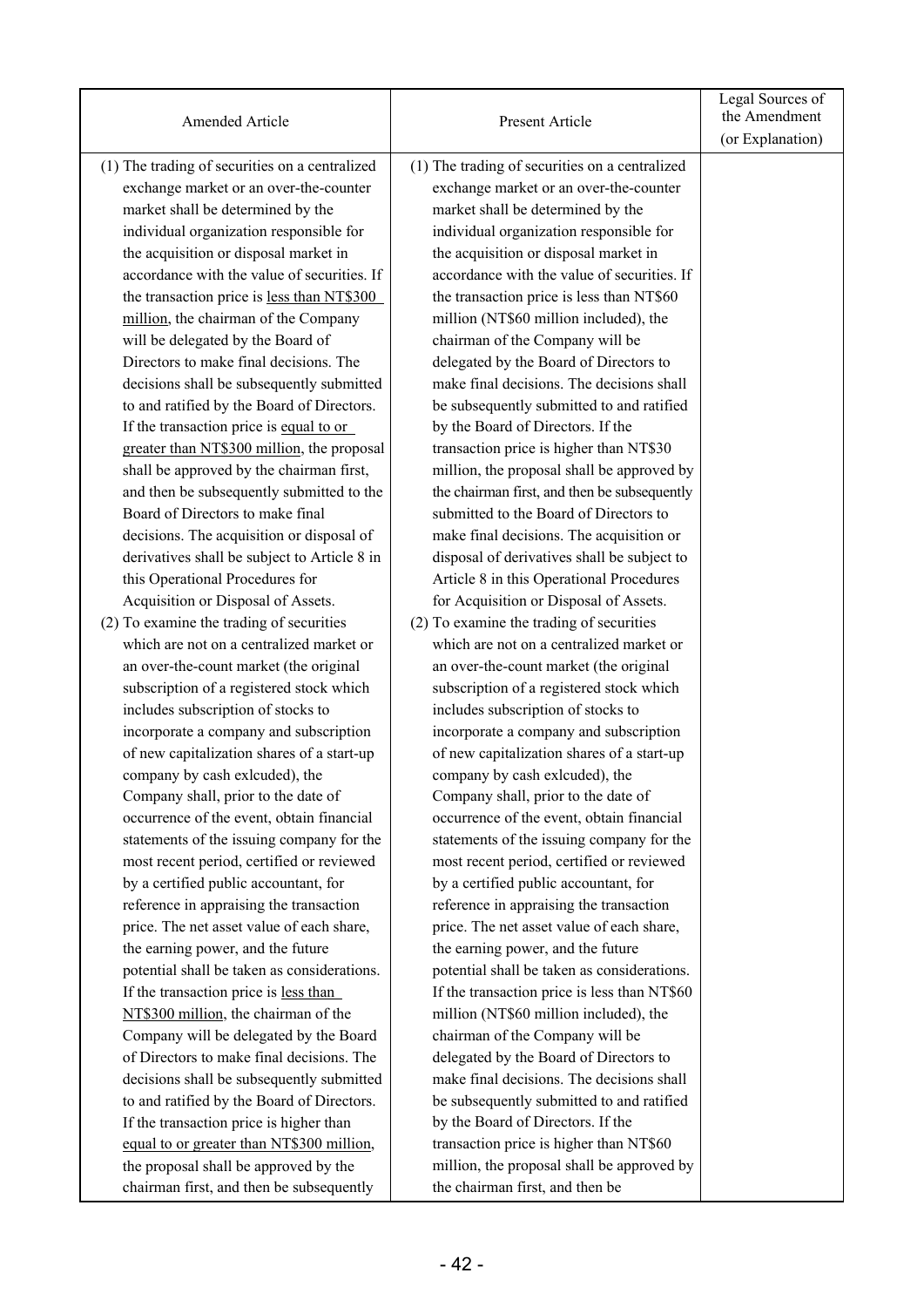| Amended Article                                | Present Article                                | Legal Sources of<br>the Amendment<br>(or Explanation) |
|------------------------------------------------|------------------------------------------------|-------------------------------------------------------|
| (1) The trading of securities on a centralized | (1) The trading of securities on a centralized |                                                       |
| exchange market or an over-the-counter         | exchange market or an over-the-counter         |                                                       |
| market shall be determined by the              | market shall be determined by the              |                                                       |
| individual organization responsible for        | individual organization responsible for        |                                                       |
| the acquisition or disposal market in          | the acquisition or disposal market in          |                                                       |
| accordance with the value of securities. If    | accordance with the value of securities. If    |                                                       |
| the transaction price is less than NT\$300     | the transaction price is less than NT\$60      |                                                       |
| million, the chairman of the Company           | million (NT\$60 million included), the         |                                                       |
| will be delegated by the Board of              | chairman of the Company will be                |                                                       |
| Directors to make final decisions. The         | delegated by the Board of Directors to         |                                                       |
| decisions shall be subsequently submitted      | make final decisions. The decisions shall      |                                                       |
| to and ratified by the Board of Directors.     | be subsequently submitted to and ratified      |                                                       |
| If the transaction price is equal to or        | by the Board of Directors. If the              |                                                       |
| greater than NT\$300 million, the proposal     | transaction price is higher than NT\$30        |                                                       |
| shall be approved by the chairman first,       | million, the proposal shall be approved by     |                                                       |
| and then be subsequently submitted to the      | the chairman first, and then be subsequently   |                                                       |
| Board of Directors to make final               | submitted to the Board of Directors to         |                                                       |
| decisions. The acquisition or disposal of      | make final decisions. The acquisition or       |                                                       |
| derivatives shall be subject to Article 8 in   | disposal of derivatives shall be subject to    |                                                       |
| this Operational Procedures for                | Article 8 in this Operational Procedures       |                                                       |
| Acquisition or Disposal of Assets.             | for Acquisition or Disposal of Assets.         |                                                       |
| (2) To examine the trading of securities       | (2) To examine the trading of securities       |                                                       |
| which are not on a centralized market or       | which are not on a centralized market or       |                                                       |
| an over-the-count market (the original         | an over-the-count market (the original         |                                                       |
| subscription of a registered stock which       | subscription of a registered stock which       |                                                       |
| includes subscription of stocks to             | includes subscription of stocks to             |                                                       |
| incorporate a company and subscription         | incorporate a company and subscription         |                                                       |
| of new capitalization shares of a start-up     | of new capitalization shares of a start-up     |                                                       |
| company by cash exlcuded), the                 | company by cash exlcuded), the                 |                                                       |
| Company shall, prior to the date of            | Company shall, prior to the date of            |                                                       |
| occurrence of the event, obtain financial      | occurrence of the event, obtain financial      |                                                       |
| statements of the issuing company for the      | statements of the issuing company for the      |                                                       |
| most recent period, certified or reviewed      | most recent period, certified or reviewed      |                                                       |
| by a certified public accountant, for          | by a certified public accountant, for          |                                                       |
| reference in appraising the transaction        | reference in appraising the transaction        |                                                       |
| price. The net asset value of each share,      | price. The net asset value of each share,      |                                                       |
| the earning power, and the future              | the earning power, and the future              |                                                       |
| potential shall be taken as considerations.    | potential shall be taken as considerations.    |                                                       |
| If the transaction price is less than          | If the transaction price is less than NT\$60   |                                                       |
| NT\$300 million, the chairman of the           | million (NT\$60 million included), the         |                                                       |
| Company will be delegated by the Board         | chairman of the Company will be                |                                                       |
| of Directors to make final decisions. The      | delegated by the Board of Directors to         |                                                       |
| decisions shall be subsequently submitted      | make final decisions. The decisions shall      |                                                       |
| to and ratified by the Board of Directors.     | be subsequently submitted to and ratified      |                                                       |
| If the transaction price is higher than        | by the Board of Directors. If the              |                                                       |
| equal to or greater than NT\$300 million,      | transaction price is higher than NT\$60        |                                                       |
| the proposal shall be approved by the          | million, the proposal shall be approved by     |                                                       |
| chairman first, and then be subsequently       | the chairman first, and then be                |                                                       |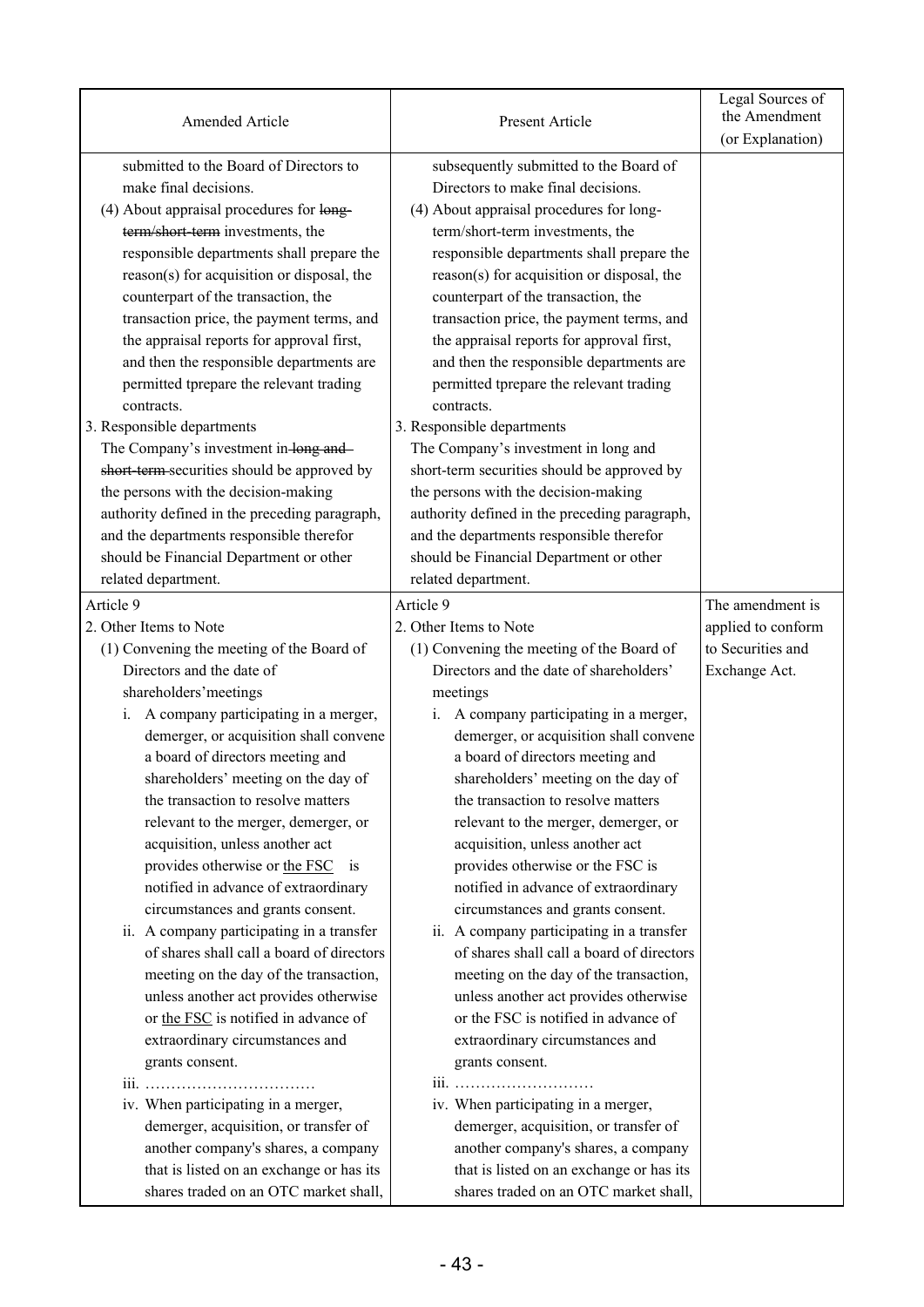| Amended Article                               | Present Article                               | Legal Sources of<br>the Amendment<br>(or Explanation) |
|-----------------------------------------------|-----------------------------------------------|-------------------------------------------------------|
| submitted to the Board of Directors to        | subsequently submitted to the Board of        |                                                       |
| make final decisions.                         | Directors to make final decisions.            |                                                       |
| (4) About appraisal procedures for long-      | (4) About appraisal procedures for long-      |                                                       |
| term/short-term investments, the              | term/short-term investments, the              |                                                       |
| responsible departments shall prepare the     | responsible departments shall prepare the     |                                                       |
| reason(s) for acquisition or disposal, the    | reason(s) for acquisition or disposal, the    |                                                       |
| counterpart of the transaction, the           | counterpart of the transaction, the           |                                                       |
| transaction price, the payment terms, and     | transaction price, the payment terms, and     |                                                       |
| the appraisal reports for approval first,     | the appraisal reports for approval first,     |                                                       |
| and then the responsible departments are      | and then the responsible departments are      |                                                       |
| permitted tprepare the relevant trading       | permitted tprepare the relevant trading       |                                                       |
| contracts.                                    | contracts.                                    |                                                       |
| 3. Responsible departments                    | 3. Responsible departments                    |                                                       |
| The Company's investment in-long and-         | The Company's investment in long and          |                                                       |
| short term securities should be approved by   | short-term securities should be approved by   |                                                       |
| the persons with the decision-making          | the persons with the decision-making          |                                                       |
| authority defined in the preceding paragraph, | authority defined in the preceding paragraph, |                                                       |
| and the departments responsible therefor      | and the departments responsible therefor      |                                                       |
| should be Financial Department or other       | should be Financial Department or other       |                                                       |
| related department.                           | related department.                           |                                                       |
| Article 9                                     | Article 9                                     | The amendment is                                      |
| 2. Other Items to Note                        | 2. Other Items to Note                        | applied to conform                                    |
| (1) Convening the meeting of the Board of     | (1) Convening the meeting of the Board of     | to Securities and                                     |
| Directors and the date of                     | Directors and the date of shareholders'       | Exchange Act.                                         |
| shareholders' meetings                        | meetings                                      |                                                       |
| A company participating in a merger,<br>1.    | A company participating in a merger,<br>i.    |                                                       |
| demerger, or acquisition shall convene        | demerger, or acquisition shall convene        |                                                       |
| a board of directors meeting and              | a board of directors meeting and              |                                                       |
| shareholders' meeting on the day of           | shareholders' meeting on the day of           |                                                       |
| the transaction to resolve matters            | the transaction to resolve matters            |                                                       |
| relevant to the merger, demerger, or          | relevant to the merger, demerger, or          |                                                       |
| acquisition, unless another act               | acquisition, unless another act               |                                                       |
| provides otherwise or the FSC is              | provides otherwise or the FSC is              |                                                       |
| notified in advance of extraordinary          | notified in advance of extraordinary          |                                                       |
| circumstances and grants consent.             | circumstances and grants consent.             |                                                       |
| ii. A company participating in a transfer     | ii. A company participating in a transfer     |                                                       |
| of shares shall call a board of directors     | of shares shall call a board of directors     |                                                       |
| meeting on the day of the transaction,        | meeting on the day of the transaction,        |                                                       |
| unless another act provides otherwise         | unless another act provides otherwise         |                                                       |
| or the FSC is notified in advance of          | or the FSC is notified in advance of          |                                                       |
| extraordinary circumstances and               | extraordinary circumstances and               |                                                       |
| grants consent.                               | grants consent.                               |                                                       |
|                                               | iii.                                          |                                                       |
| iv. When participating in a merger,           | iv. When participating in a merger,           |                                                       |
| demerger, acquisition, or transfer of         | demerger, acquisition, or transfer of         |                                                       |
| another company's shares, a company           | another company's shares, a company           |                                                       |
| that is listed on an exchange or has its      | that is listed on an exchange or has its      |                                                       |
| shares traded on an OTC market shall,         | shares traded on an OTC market shall,         |                                                       |